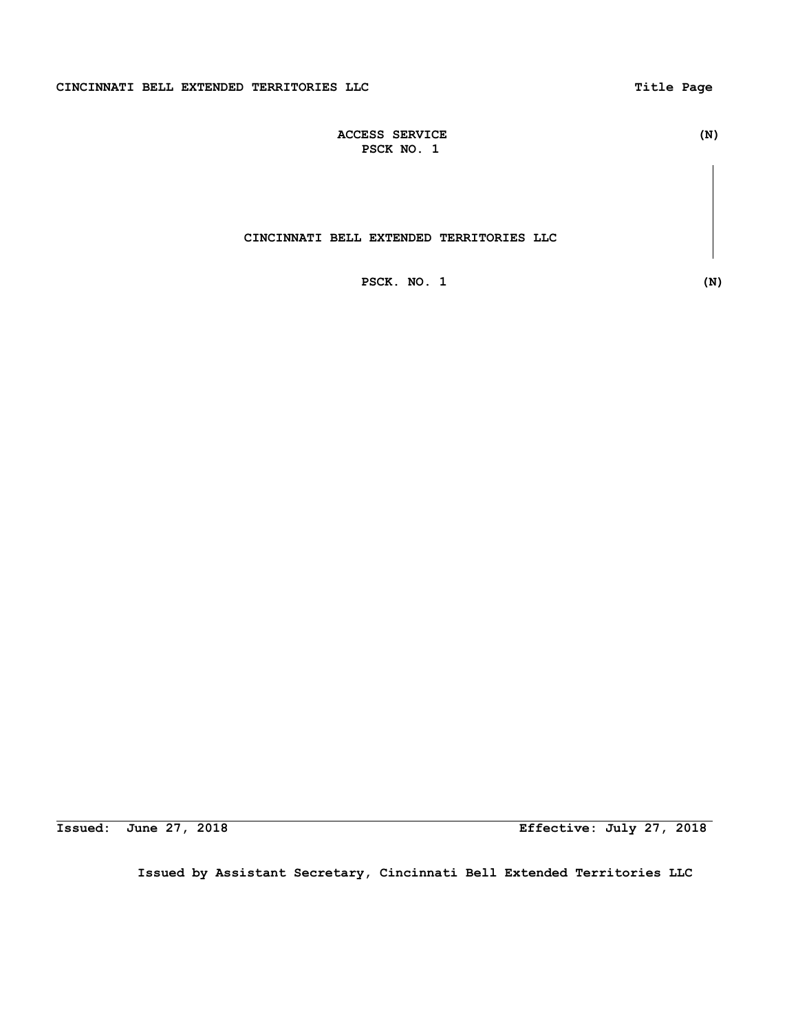| <b>ACCESS SERVICE</b> | (N) |
|-----------------------|-----|
| PSCK NO.              |     |

# **CINCINNATI BELL EXTENDED TERRITORIES LLC**

 **PSCK. NO. 1 (N)**

**Issued: June 27, 2018 Effective: July 27, 2018**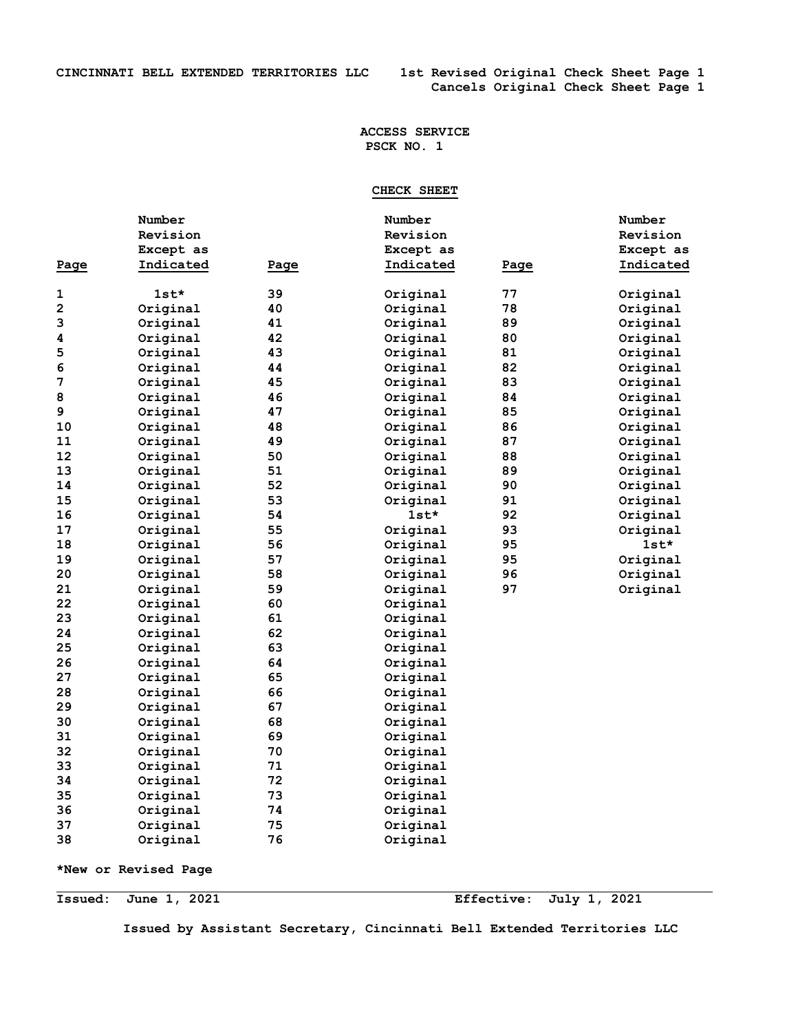# **CHECK SHEET**

|      | Number    |      | Number    |      | Number    |
|------|-----------|------|-----------|------|-----------|
|      | Revision  |      | Revision  |      | Revision  |
|      | Except as |      | Except as |      | Except as |
| Page | Indicated | Page | Indicated | Page | Indicated |
|      |           |      |           |      |           |
| 1    | $1st*$    | 39   | Original  | 77   | Original  |
| 2    | Original  | 40   | Original  | 78   | Original  |
| 3    | Original  | 41   | Original  | 89   | Original  |
| 4    | Original  | 42   | Original  | 80   | Original  |
| 5    | Original  | 43   | Original  | 81   | Original  |
| 6    | Original  | 44   | Original  | 82   | Original  |
| 7    | Original  | 45   | Original  | 83   | Original  |
| 8    | Original  | 46   | Original  | 84   | Original  |
| 9    | Original  | 47   | Original  | 85   | Original  |
| 10   | Original  | 48   | Original  | 86   | Original  |
| 11   | Original  | 49   | Original  | 87   | Original  |
| 12   | Original  | 50   | Original  | 88   | Original  |
| 13   | Original  | 51   | Original  | 89   | Original  |
| 14   | Original  | 52   | Original  | 90   | Original  |
| 15   | Original  | 53   | Original  | 91   | Original  |
| 16   | Original  | 54   | $1st*$    | 92   | Original  |
| 17   | Original  | 55   | Original  | 93   | Original  |
| 18   | Original  | 56   | Original  | 95   | $1st*$    |
| 19   | Original  | 57   | Original  | 95   | Original  |
| 20   | Original  | 58   | Original  | 96   | Original  |
| 21   | Original  | 59   | Original  | 97   | Original  |
| 22   | Original  | 60   | Original  |      |           |
| 23   | Original  | 61   | Original  |      |           |
| 24   | Original  | 62   | Original  |      |           |
| 25   | Original  | 63   | Original  |      |           |
| 26   | Original  | 64   | Original  |      |           |
| 27   | Original  | 65   | Original  |      |           |
| 28   | Original  | 66   | Original  |      |           |
| 29   | Original  | 67   | Original  |      |           |
| 30   | Original  | 68   | Original  |      |           |
| 31   | Original  | 69   | Original  |      |           |
| 32   | Original  | 70   | Original  |      |           |
| 33   | Original  | 71   | Original  |      |           |
| 34   | Original  | 72   | Original  |      |           |
| 35   | Original  | 73   | Original  |      |           |
| 36   | Original  | 74   | Original  |      |           |
| 37   | Original  | 75   | Original  |      |           |
| 38   | Original  | 76   | Original  |      |           |
|      |           |      |           |      |           |

**\*New or Revised Page** 

**Issued: June 1, 2021 Effective: July 1, 2021**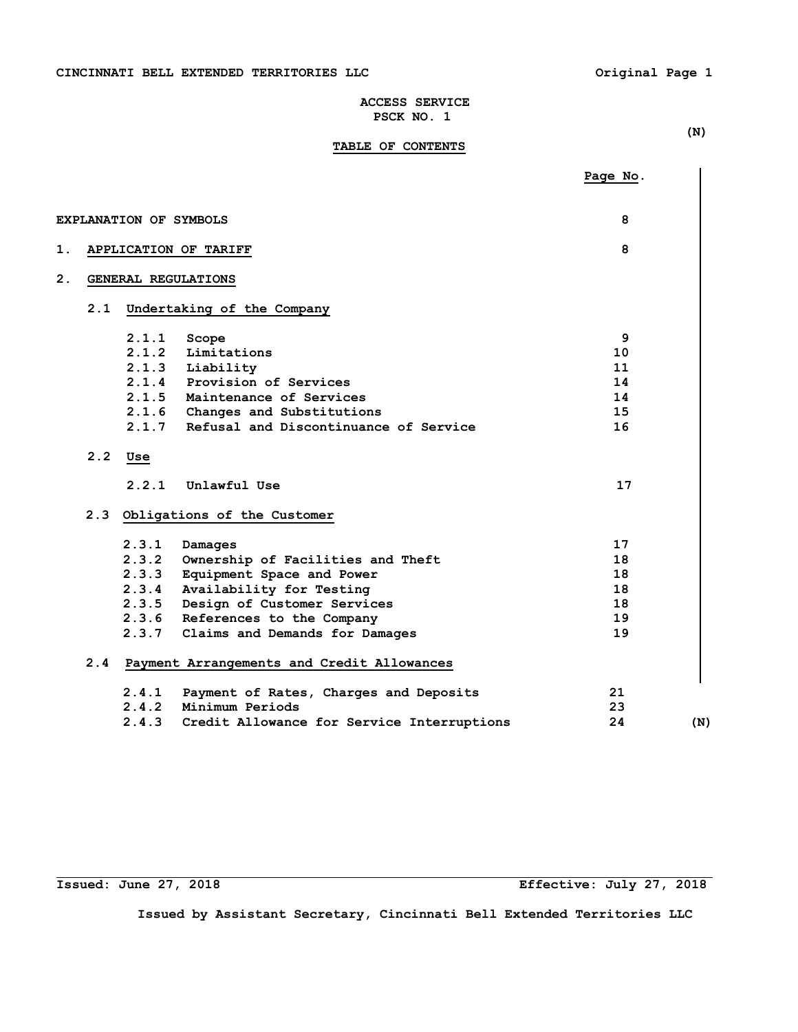# **TABLE OF CONTENTS**

 **(N)** 

|     |       |                                            | Page No. |     |
|-----|-------|--------------------------------------------|----------|-----|
|     |       |                                            |          |     |
|     |       | EXPLANATION OF SYMBOLS                     | 8        |     |
|     |       | APPLICATION OF TARIFF                      | 8        |     |
|     |       | GENERAL REGULATIONS                        |          |     |
| 2.1 |       | Undertaking of the Company                 |          |     |
|     | 2.1.1 | Scope                                      | 9        |     |
|     | 2.1.2 | Limitations                                | 10       |     |
|     |       | 2.1.3 Liability                            | 11       |     |
|     |       | 2.1.4 Provision of Services                | 14       |     |
|     |       | 2.1.5 Maintenance of Services              | 14       |     |
|     |       | 2.1.6 Changes and Substitutions            | 15       |     |
|     | 2.1.7 | Refusal and Discontinuance of Service      | 16       |     |
| 2.2 | Use   |                                            |          |     |
|     | 2.2.1 | Unlawful Use                               | 17       |     |
| 2.3 |       | Obligations of the Customer                |          |     |
|     | 2.3.1 | Damages                                    | 17       |     |
|     |       | 2.3.2 Ownership of Facilities and Theft    | 18       |     |
|     | 2.3.3 | Equipment Space and Power                  | 18       |     |
|     | 2.3.4 | Availability for Testing                   | 18       |     |
|     | 2.3.5 | Design of Customer Services                | 18       |     |
|     |       | 2.3.6 References to the Company            | 19       |     |
|     |       | 2.3.7 Claims and Demands for Damages       | 19       |     |
| 2.4 |       | Payment Arrangements and Credit Allowances |          |     |
|     | 2.4.1 | Payment of Rates, Charges and Deposits     | 21       |     |
|     | 2.4.2 | Minimum Periods                            | 23       |     |
|     | 2.4.3 | Credit Allowance for Service Interruptions | 24       | (N) |

i<br>L

**Issued: June 27, 2018 Effective: July 27, 2018**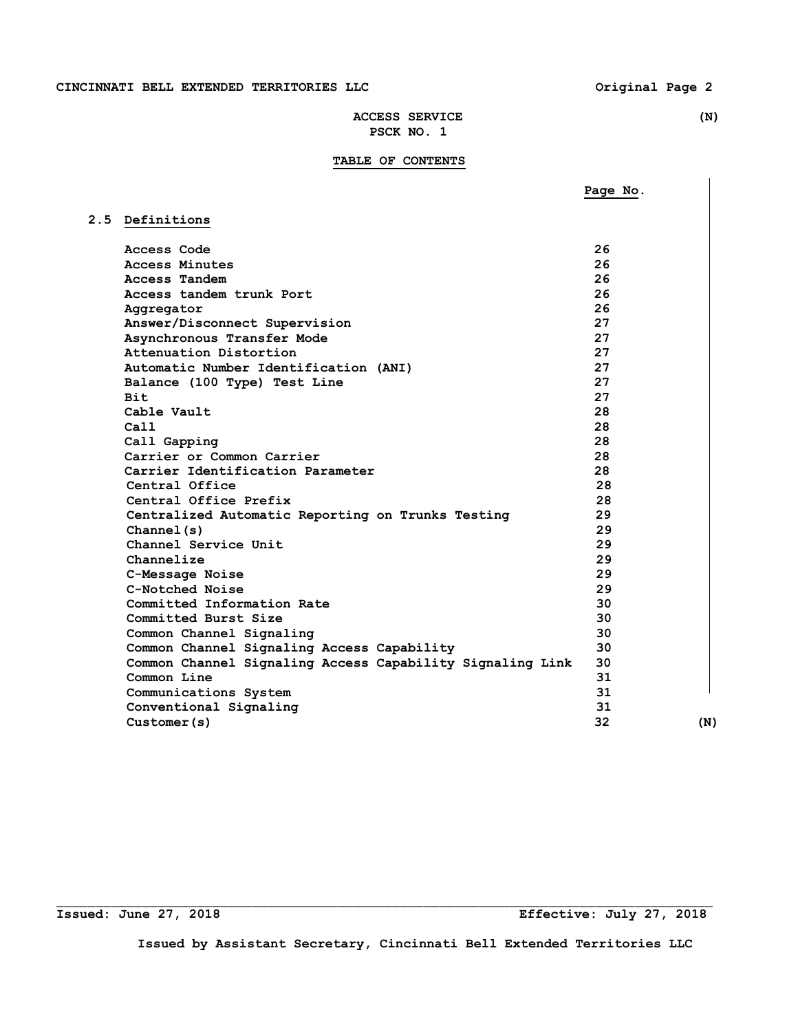**Page No.** 

# **ACCESS SERVICE (N) PSCK NO. 1**

# **TABLE OF CONTENTS**

| 2.5 Definitions                                           |    |     |
|-----------------------------------------------------------|----|-----|
| Access Code                                               | 26 |     |
| <b>Access Minutes</b>                                     | 26 |     |
| Access Tandem                                             | 26 |     |
| Access tandem trunk Port                                  | 26 |     |
| Aggregator                                                | 26 |     |
| Answer/Disconnect Supervision                             | 27 |     |
| Asynchronous Transfer Mode                                | 27 |     |
| Attenuation Distortion                                    | 27 |     |
| Automatic Number Identification (ANI)                     | 27 |     |
| Balance (100 Type) Test Line                              | 27 |     |
| <b>Bit</b>                                                | 27 |     |
| Cable Vault                                               | 28 |     |
| Ca11                                                      | 28 |     |
| Call Gapping                                              | 28 |     |
| Carrier or Common Carrier                                 | 28 |     |
| Carrier Identification Parameter                          | 28 |     |
| Central Office                                            | 28 |     |
| Central Office Prefix                                     | 28 |     |
| Centralized Automatic Reporting on Trunks Testing         | 29 |     |
| Channel(s)                                                | 29 |     |
| Channel Service Unit                                      | 29 |     |
| Channelize                                                | 29 |     |
| C-Message Noise                                           | 29 |     |
| C-Notched Noise                                           | 29 |     |
| Committed Information Rate                                | 30 |     |
| Committed Burst Size                                      | 30 |     |
| Common Channel Signaling                                  | 30 |     |
| Common Channel Signaling Access Capability                | 30 |     |
| Common Channel Signaling Access Capability Signaling Link | 30 |     |
| Common Line                                               | 31 |     |
| Communications System                                     | 31 |     |
| Conventional Signaling                                    | 31 |     |
| Customer(s)                                               | 32 | (N) |
|                                                           |    |     |

**Issued: June 27, 2018 Effective: July 27, 2018** 

**Issued by Assistant Secretary, Cincinnati Bell Extended Territories LLC** 

 $\Box$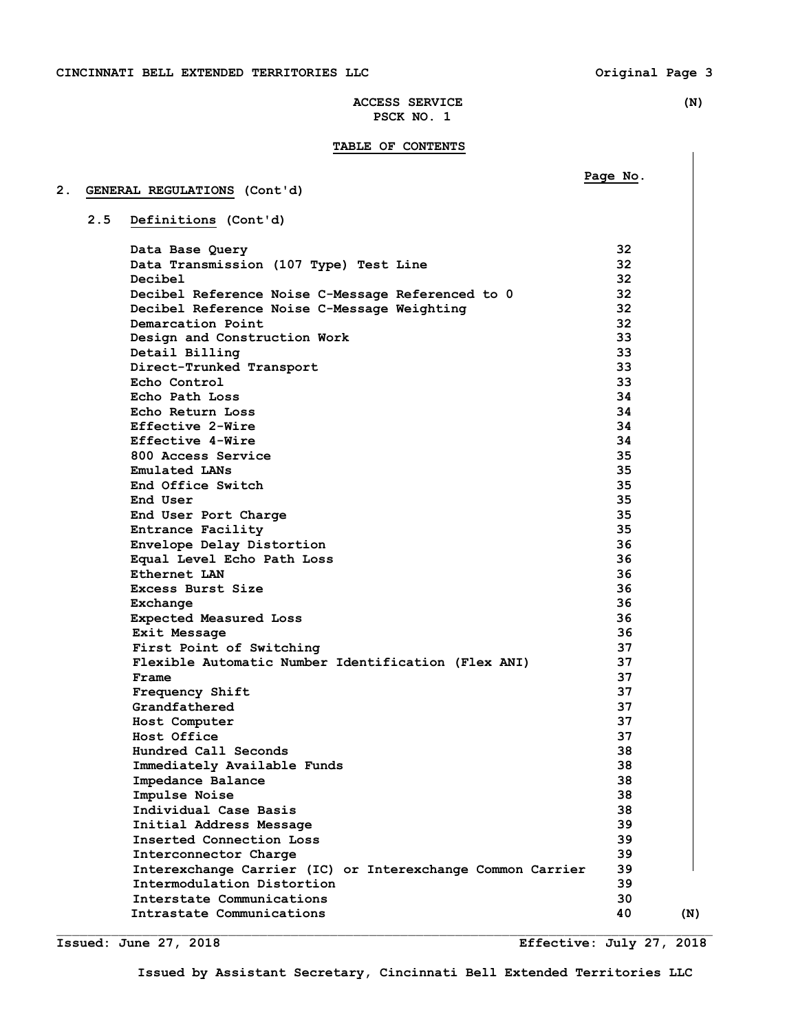## **TABLE OF CONTENTS**

# **Page No. Page No. 2. GENERAL REGULATIONS (Cont'd) 2.5 Definitions (Cont'd) Data Base Query 32 Data Transmission (107 Type) Test Line 32 Decibel 32 Decibel Reference Noise C-Message Referenced to 0 32 Decibel Reference Noise C-Message Weighting 32 Demarcation Point 32**<br> **Design and Construction Work 33 Design and Construction Work 33<br>
<b>Detail Billing** 33  **Detail Billing 33 Direct-Trunked Transport 33 Echo Control 33 Echo Path Loss 34 Echo Return Loss 34 Effective 2-Wire 34 Effective 4-Wire 34 800 Access Service 35 Emulated LANs 35 End Office Switch 35 End User 35 End User Port Charge 35 <b>35 Entrance Facility 35 Envelope Delay Distortion 36 Equal Level Echo Path Loss 36 Ethernet LAN** 36  **Excess Burst Size 36 Exchange 36 Expected Measured Loss 36 Exit Message 36** 36 **First Point of Switching 37 37 Flexible Automatic Number Identification (Flex ANI) 37 Frame** 37 **Frequency Shift 37 37 Grandfathered** 37  **Host Computer 37 Host Office 37 Hundred Call Seconds 38 Immediately Available Funds 38 Impedance Balance 38 Impulse Noise 38 Individual Case Basis 38 Initial Address Message 39 Inserted Connection Loss 39 Interconnector Charge 39 Interexchange Carrier (IC) or Interexchange Common Carrier 39 Intermodulation Distortion 39 Interstate Communications 30 Intrastate Communications** (N)  $\qquad \qquad$  (N)

**Issued: June 27, 2018 Effective: July 27, 2018** 

**Issued by Assistant Secretary, Cincinnati Bell Extended Territories LLC** 

 $\Box$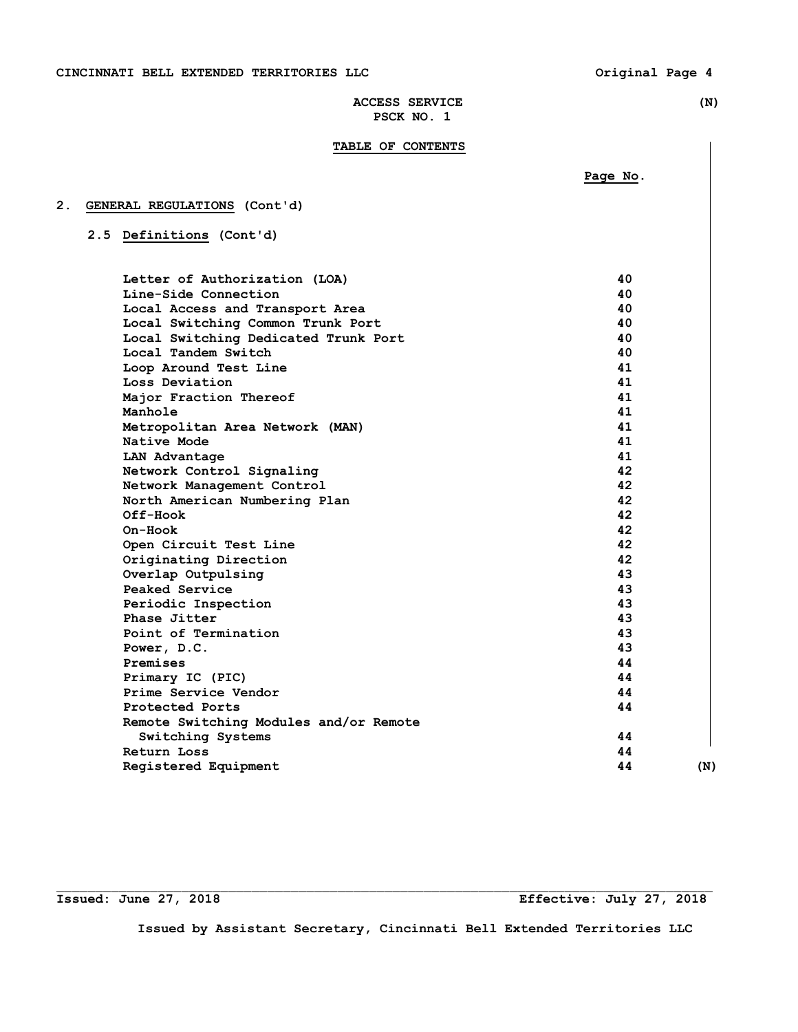# **TABLE OF CONTENTS**

 **Page No.** 

| 2. | GENERAL REGULATIONS (Cont'd) |  |
|----|------------------------------|--|
|    |                              |  |

 **2.5 Definitions (Cont'd)** 

| Letter of Authorization (LOA)          | 40 |     |
|----------------------------------------|----|-----|
| Line-Side Connection                   | 40 |     |
| Local Access and Transport Area        | 40 |     |
| Local Switching Common Trunk Port      | 40 |     |
| Local Switching Dedicated Trunk Port   | 40 |     |
| Local Tandem Switch                    | 40 |     |
| Loop Around Test Line                  | 41 |     |
| Loss Deviation                         | 41 |     |
| Major Fraction Thereof                 | 41 |     |
| Manhole                                | 41 |     |
| Metropolitan Area Network (MAN)        | 41 |     |
| Native Mode                            | 41 |     |
| LAN Advantage                          | 41 |     |
| Network Control Signaling              | 42 |     |
| Network Management Control             | 42 |     |
| North American Numbering Plan          | 42 |     |
| Off-Hook                               | 42 |     |
| $On-Hook$                              | 42 |     |
| Open Circuit Test Line                 | 42 |     |
| Originating Direction                  | 42 |     |
| Overlap Outpulsing                     | 43 |     |
| Peaked Service                         | 43 |     |
| Periodic Inspection                    | 43 |     |
| Phase Jitter                           | 43 |     |
| Point of Termination                   | 43 |     |
| Power, D.C.                            | 43 |     |
| Premises                               | 44 |     |
| Primary IC (PIC)                       | 44 |     |
| Prime Service Vendor                   | 44 |     |
| Protected Ports                        | 44 |     |
| Remote Switching Modules and/or Remote |    |     |
| Switching Systems                      | 44 |     |
| Return Loss                            | 44 |     |
| Registered Equipment                   | 44 | (N) |
|                                        |    |     |

 $\mathcal{L}_\text{max}$ 

**Issued: June 27, 2018 Effective: July 27, 2018**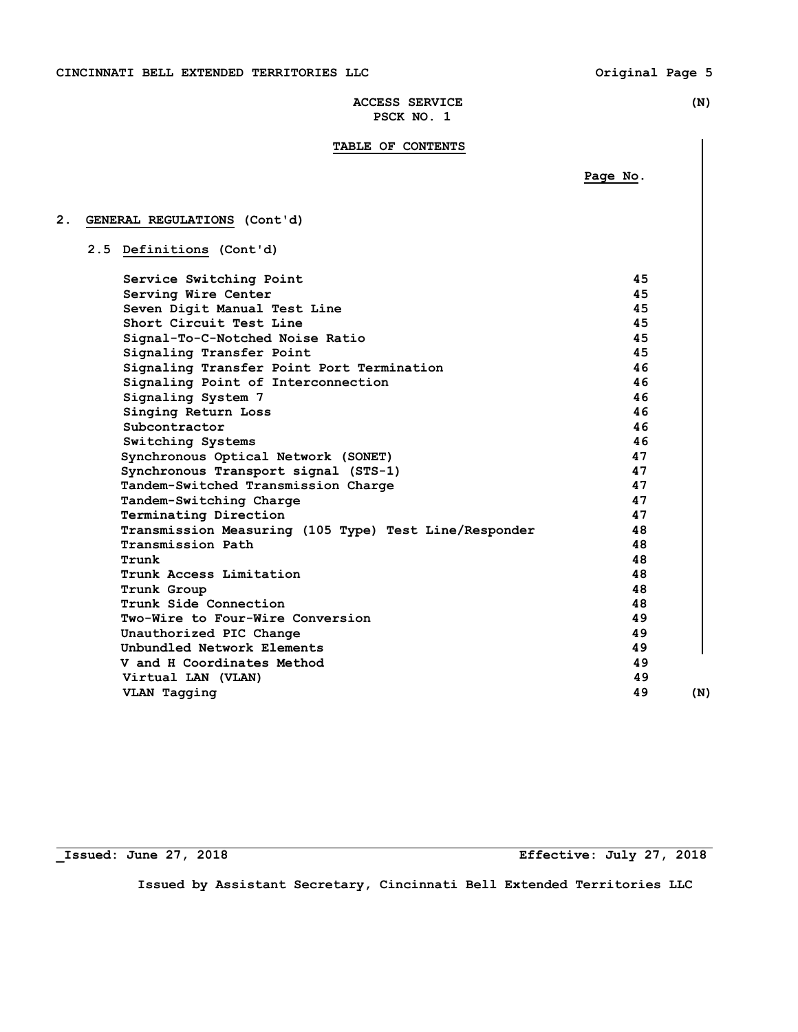# **TABLE OF CONTENTS**

 **Page No.** 

# **2. GENERAL REGULATIONS (Cont'd)**

# **2.5 Definitions (Cont'd)**

| Service Switching Point                               | 45 |     |
|-------------------------------------------------------|----|-----|
| Serving Wire Center                                   | 45 |     |
| Seven Digit Manual Test Line                          | 45 |     |
| Short Circuit Test Line                               | 45 |     |
| Signal-To-C-Notched Noise Ratio                       | 45 |     |
| Signaling Transfer Point                              | 45 |     |
| Signaling Transfer Point Port Termination             | 46 |     |
| Signaling Point of Interconnection                    | 46 |     |
| Signaling System 7                                    | 46 |     |
| Singing Return Loss                                   | 46 |     |
| Subcontractor                                         | 46 |     |
| Switching Systems                                     | 46 |     |
| Synchronous Optical Network (SONET)                   | 47 |     |
| Synchronous Transport signal (STS-1)                  | 47 |     |
| Tandem-Switched Transmission Charge                   | 47 |     |
| Tandem-Switching Charge                               | 47 |     |
| Terminating Direction                                 | 47 |     |
| Transmission Measuring (105 Type) Test Line/Responder | 48 |     |
| Transmission Path                                     | 48 |     |
| Trunk                                                 | 48 |     |
| Trunk Access Limitation                               | 48 |     |
| Trunk Group                                           | 48 |     |
| Trunk Side Connection                                 | 48 |     |
| Two-Wire to Four-Wire Conversion                      | 49 |     |
| Unauthorized PIC Change                               | 49 |     |
| Unbundled Network Elements                            | 49 |     |
| V and H Coordinates Method                            | 49 |     |
| Virtual LAN (VLAN)                                    | 49 |     |
| VLAN Tagging                                          | 49 | (N) |
|                                                       |    |     |

**\_Issued: June 27, 2018 Effective: July 27, 2018**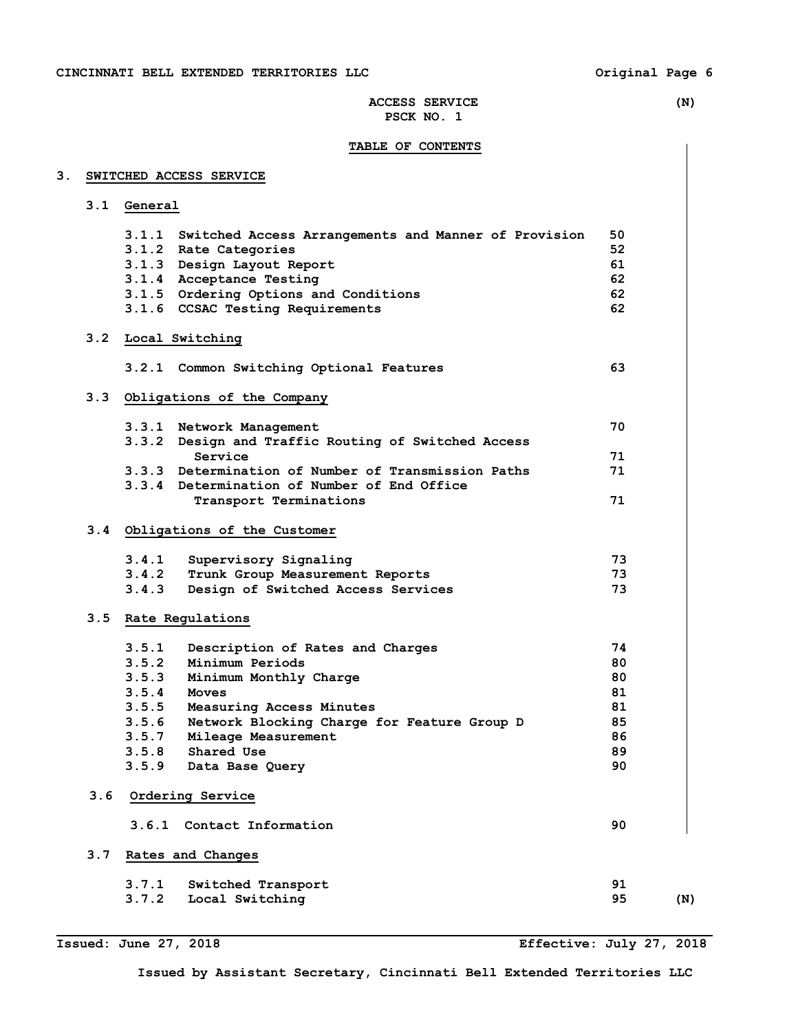# **TABLE OF CONTENTS**

# **3. SWITCHED ACCESS SERVICE**

|     | 3.1 General |                                                            |    |     |
|-----|-------------|------------------------------------------------------------|----|-----|
|     |             | 3.1.1 Switched Access Arrangements and Manner of Provision | 50 |     |
|     |             | 3.1.2 Rate Categories                                      | 52 |     |
|     |             | 3.1.3 Design Layout Report                                 | 61 |     |
|     |             | 3.1.4 Acceptance Testing                                   | 62 |     |
|     |             | 3.1.5 Ordering Options and Conditions                      | 62 |     |
|     |             | 3.1.6 CCSAC Testing Requirements                           | 62 |     |
|     |             | 3.2 Local Switching                                        |    |     |
|     |             | 3.2.1 Common Switching Optional Features                   | 63 |     |
| 3.3 |             | Obligations of the Company                                 |    |     |
|     |             | 3.3.1 Network Management                                   | 70 |     |
|     |             | 3.3.2 Design and Traffic Routing of Switched Access        |    |     |
|     |             | Service                                                    | 71 |     |
|     |             | 3.3.3 Determination of Number of Transmission Paths        | 71 |     |
|     |             | 3.3.4 Determination of Number of End Office                |    |     |
|     |             | Transport Terminations                                     | 71 |     |
|     |             | 3.4 Obligations of the Customer                            |    |     |
|     | 3.4.1       | Supervisory Signaling                                      | 73 |     |
|     | 3.4.2       | Trunk Group Measurement Reports                            | 73 |     |
|     | 3.4.3       | Design of Switched Access Services                         | 73 |     |
|     |             | 3.5 Rate Regulations                                       |    |     |
|     | 3.5.1       | Description of Rates and Charges                           | 74 |     |
|     |             | 3.5.2 Minimum Periods                                      | 80 |     |
|     | 3.5.3       | Minimum Monthly Charge                                     | 80 |     |
|     |             | $3.5.4$ Moves                                              | 81 |     |
|     | 3.5.5       | Measuring Access Minutes                                   | 81 |     |
|     | 3.5.6       | Network Blocking Charge for Feature Group D                | 85 |     |
|     |             | 3.5.7 Mileage Measurement                                  | 86 |     |
|     |             | 3.5.8 Shared Use                                           | 89 |     |
|     | 3.5.9       | Data Base Query                                            | 90 |     |
| 3.6 |             | Ordering Service                                           |    |     |
|     | 3.6.1       | Contact Information                                        | 90 |     |
| 3.7 |             | Rates and Changes                                          |    |     |
|     | 3.7.1       | Switched Transport                                         | 91 |     |
|     | 3.7.2       | Local Switching                                            | 95 | (N) |

**Issued: June 27, 2018 Effective: July 27, 2018**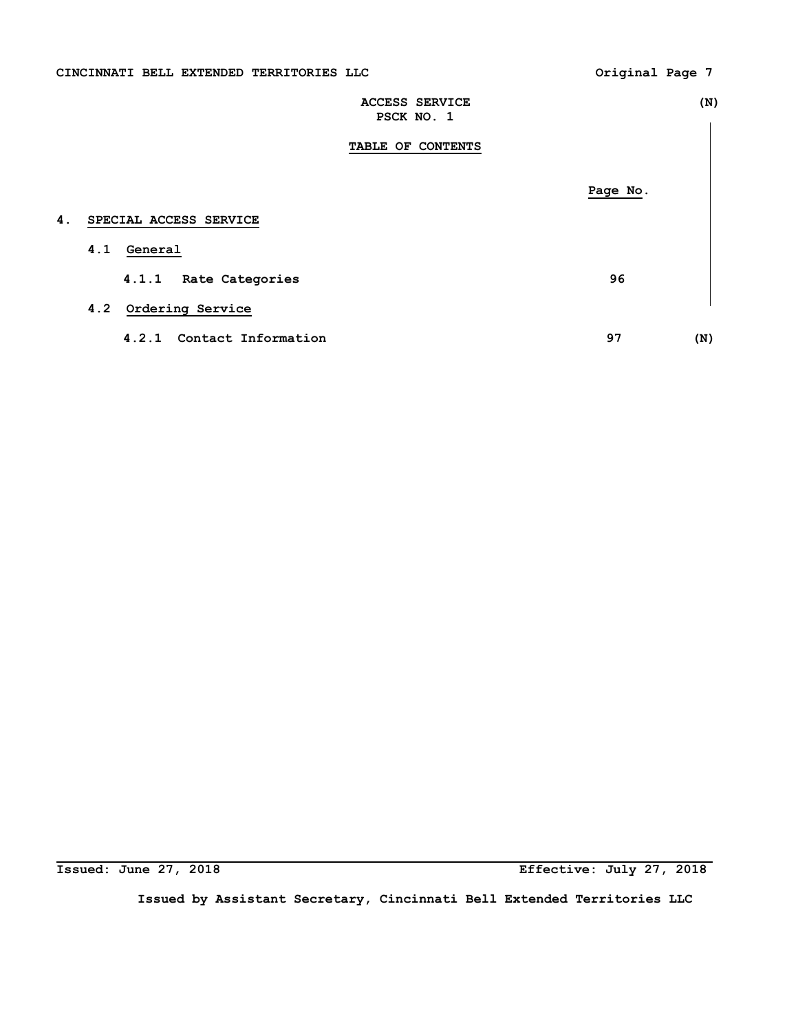|  | CINCINNATI BELL EXTENDED TERRITORIES LLC |  |
|--|------------------------------------------|--|
|  |                                          |  |

Original Page 7

|    | <b>ACCESS SERVICE</b><br>PSCK NO. 1 |          | (N) |
|----|-------------------------------------|----------|-----|
|    | TABLE OF CONTENTS                   |          |     |
|    |                                     | Page No. |     |
| 4. | SPECIAL ACCESS SERVICE              |          |     |
|    | General<br>4.1                      |          |     |
|    | 4.1.1<br>Rate Categories            | 96       |     |
|    | Ordering Service<br>4.2             |          |     |
|    | Contact Information<br>4.2.1        | 97       | (N) |

**Issued: June 27, 2018** 

**Issued: June 27, 2018 Effective: July 27, 2018**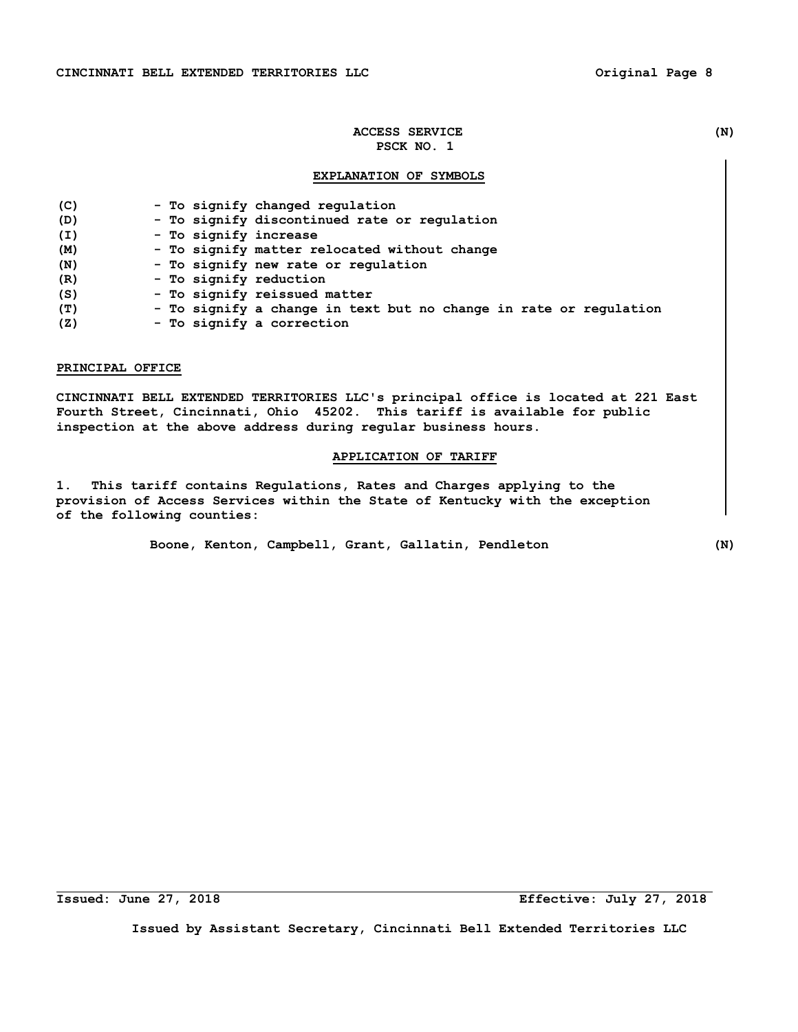# **EXPLANATION OF SYMBOLS**

| (C) | - To signify changed regulation                                   |
|-----|-------------------------------------------------------------------|
| (D) | - To signify discontinued rate or regulation                      |
| (I) | - To signify increase                                             |
| (M) | - To signify matter relocated without change                      |
| (N) | - To signify new rate or regulation                               |
| (R) | - To signify reduction                                            |
| (S) | - To signify reissued matter                                      |
| (T) | - To signify a change in text but no change in rate or regulation |
| (Z) | - To signify a correction                                         |

#### **PRINCIPAL OFFICE**

**CINCINNATI BELL EXTENDED TERRITORIES LLC's principal office is located at 221 East Fourth Street, Cincinnati, Ohio 45202. This tariff is available for public inspection at the above address during regular business hours.** 

# **APPLICATION OF TARIFF**

**1. This tariff contains Regulations, Rates and Charges applying to the provision of Access Services within the State of Kentucky with the exception of the following counties:** 

 **Boone, Kenton, Campbell, Grant, Gallatin, Pendleton (N)** 

**Issued: June 27, 2018 Effective: July 27, 2018**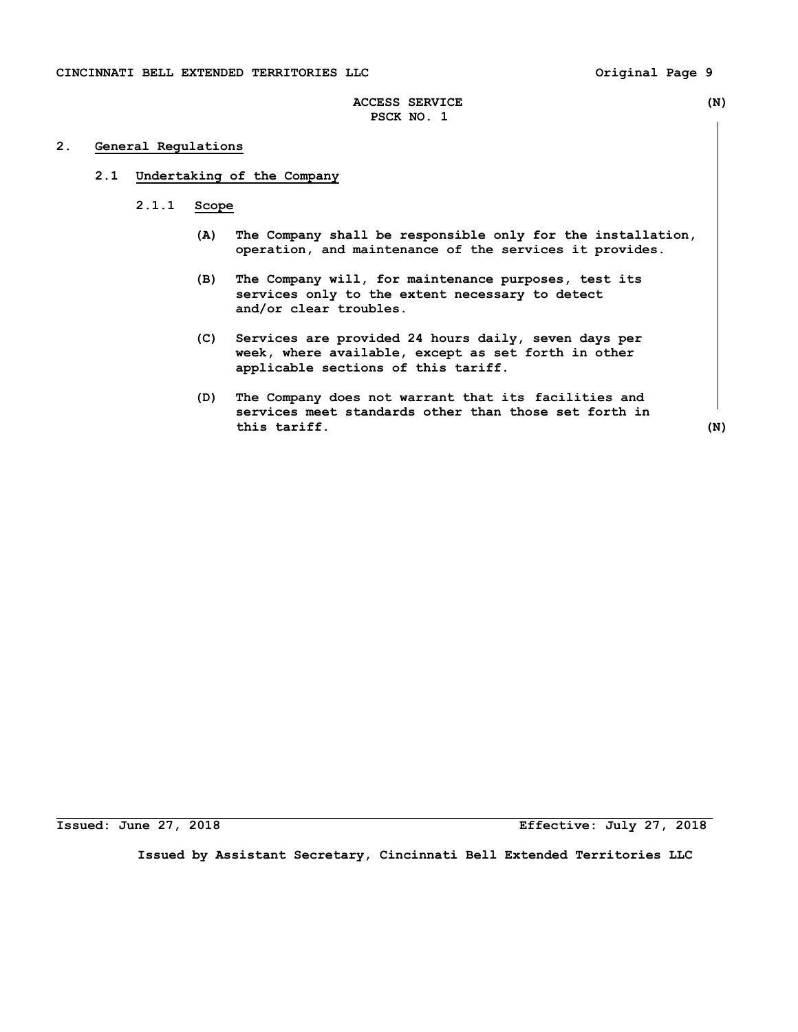# **2. General Regulations**

# **2.1 Undertaking of the Company**

- **2.1.1 Scope** 
	- **(A) The Company shall be responsible only for the installation, operation, and maintenance of the services it provides.**
	- **(B) The Company will, for maintenance purposes, test its services only to the extent necessary to detect and/or clear troubles.**
	- **(C) Services are provided 24 hours daily, seven days per week, where available, except as set forth in other applicable sections of this tariff.**
	- **(D) The Company does not warrant that its facilities and services meet standards other than those set forth in this tariff. (N)**

**Issued: June 27, 2018 Effective: July 27, 2018**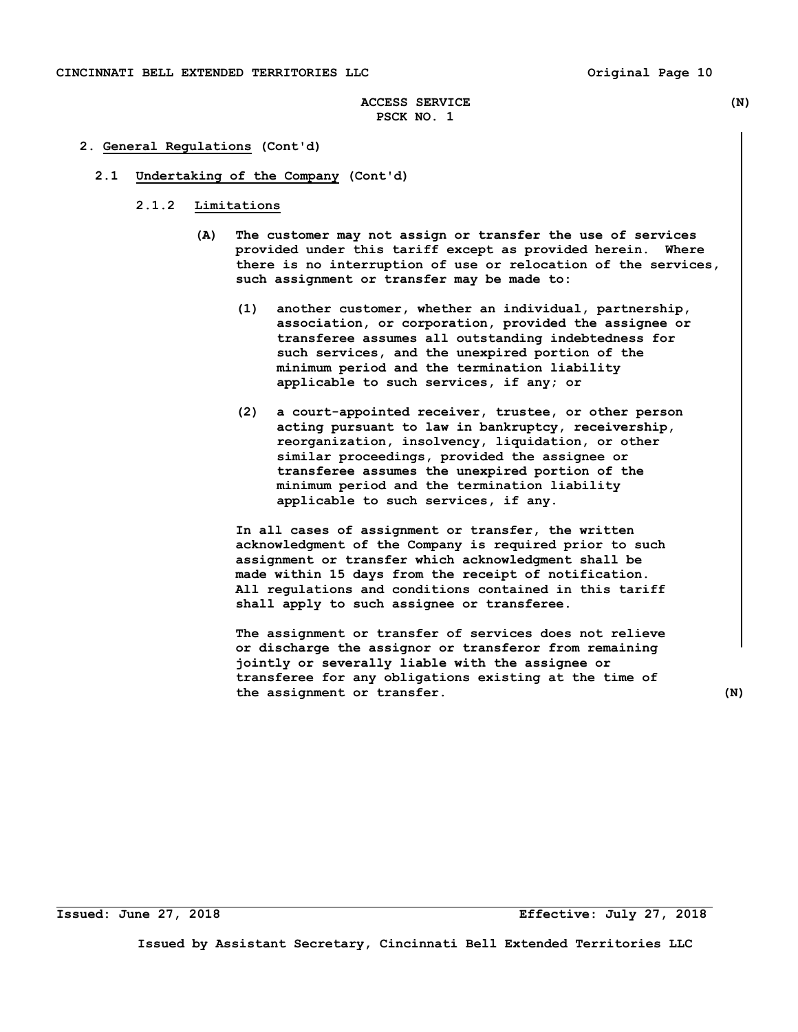# **ACCESS SERVICE (N) PSCK NO. 1**

# **2. General Regulations (Cont'd)**

- **2.1 Undertaking of the Company (Cont'd)** 
	- **2.1.2 Limitations** 
		- **(A) The customer may not assign or transfer the use of services provided under this tariff except as provided herein. Where there is no interruption of use or relocation of the services, such assignment or transfer may be made to:** 
			- **(1) another customer, whether an individual, partnership, association, or corporation, provided the assignee or transferee assumes all outstanding indebtedness for such services, and the unexpired portion of the minimum period and the termination liability applicable to such services, if any; or**
			- **(2) a court-appointed receiver, trustee, or other person acting pursuant to law in bankruptcy, receivership, reorganization, insolvency, liquidation, or other similar proceedings, provided the assignee or transferee assumes the unexpired portion of the minimum period and the termination liability applicable to such services, if any.**

 **In all cases of assignment or transfer, the written acknowledgment of the Company is required prior to such assignment or transfer which acknowledgment shall be made within 15 days from the receipt of notification. All regulations and conditions contained in this tariff shall apply to such assignee or transferee.** 

 **The assignment or transfer of services does not relieve or discharge the assignor or transferor from remaining jointly or severally liable with the assignee or transferee for any obligations existing at the time of the assignment or transfer. (N)** 

**Issued: June 27, 2018 Effective: July 27, 2018**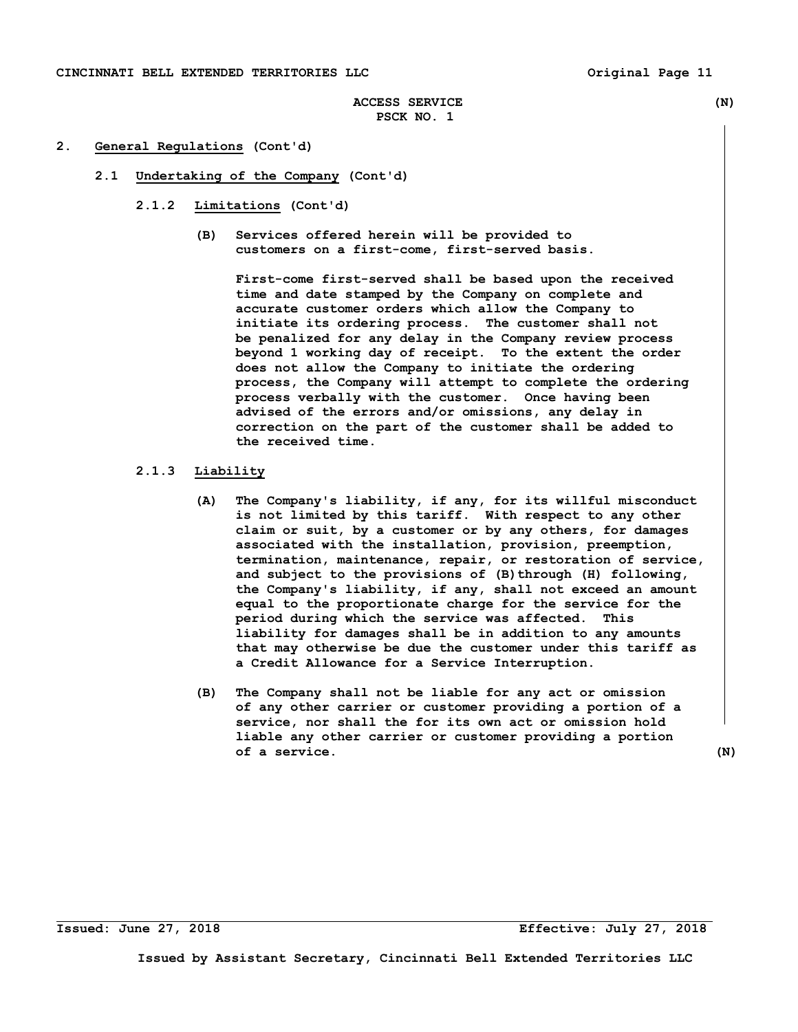# **ACCESS SERVICE (N) PSCK NO. 1**

## **2. General Regulations (Cont'd)**

- **2.1 Undertaking of the Company (Cont'd)** 
	- **2.1.2 Limitations (Cont'd)** 
		- **(B) Services offered herein will be provided to customers on a first-come, first-served basis.**

 **First-come first-served shall be based upon the received time and date stamped by the Company on complete and accurate customer orders which allow the Company to initiate its ordering process. The customer shall not be penalized for any delay in the Company review process beyond 1 working day of receipt. To the extent the order does not allow the Company to initiate the ordering process, the Company will attempt to complete the ordering process verbally with the customer. Once having been advised of the errors and/or omissions, any delay in correction on the part of the customer shall be added to the received time.** 

# **2.1.3 Liability**

- **(A) The Company's liability, if any, for its willful misconduct is not limited by this tariff. With respect to any other claim or suit, by a customer or by any others, for damages associated with the installation, provision, preemption, termination, maintenance, repair, or restoration of service,**  and subject to the provisions of (B) through (H) following,  **the Company's liability, if any, shall not exceed an amount equal to the proportionate charge for the service for the period during which the service was affected. This liability for damages shall be in addition to any amounts that may otherwise be due the customer under this tariff as a Credit Allowance for a Service Interruption.**
- **(B) The Company shall not be liable for any act or omission of any other carrier or customer providing a portion of a service, nor shall the for its own act or omission hold liable any other carrier or customer providing a portion of a service. (N)**

**Issued: June 27, 2018 Effective: July 27, 2018**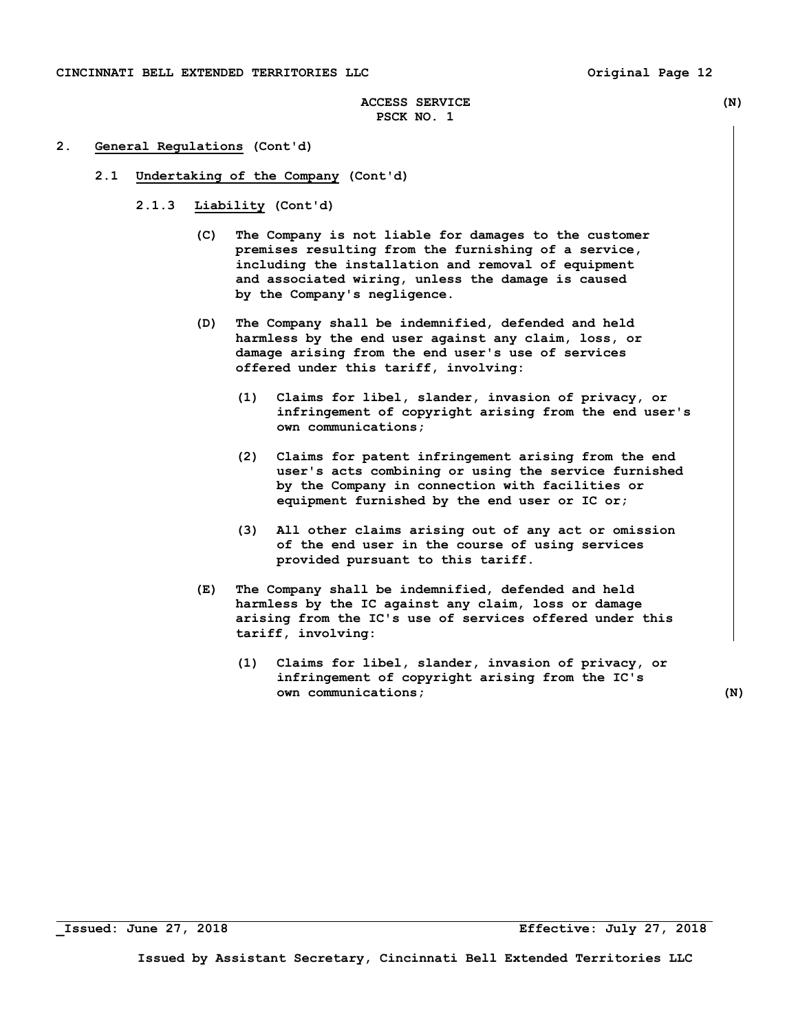# **ACCESS SERVICE (N) PSCK NO. 1**

# **2. General Regulations (Cont'd)**

- **2.1 Undertaking of the Company (Cont'd)** 
	- **2.1.3 Liability (Cont'd)** 
		- **(C) The Company is not liable for damages to the customer premises resulting from the furnishing of a service, including the installation and removal of equipment and associated wiring, unless the damage is caused by the Company's negligence.**
		- **(D) The Company shall be indemnified, defended and held harmless by the end user against any claim, loss, or damage arising from the end user's use of services offered under this tariff, involving:** 
			- **(1) Claims for libel, slander, invasion of privacy, or infringement of copyright arising from the end user's own communications;**
			- **(2) Claims for patent infringement arising from the end user's acts combining or using the service furnished by the Company in connection with facilities or equipment furnished by the end user or IC or;**
			- **(3) All other claims arising out of any act or omission of the end user in the course of using services provided pursuant to this tariff.**
		- **(E) The Company shall be indemnified, defended and held harmless by the IC against any claim, loss or damage arising from the IC's use of services offered under this tariff, involving:** 
			- **(1) Claims for libel, slander, invasion of privacy, or infringement of copyright arising from the IC's own communications;** (N)

**\_Issued: June 27, 2018 Effective: July 27, 2018**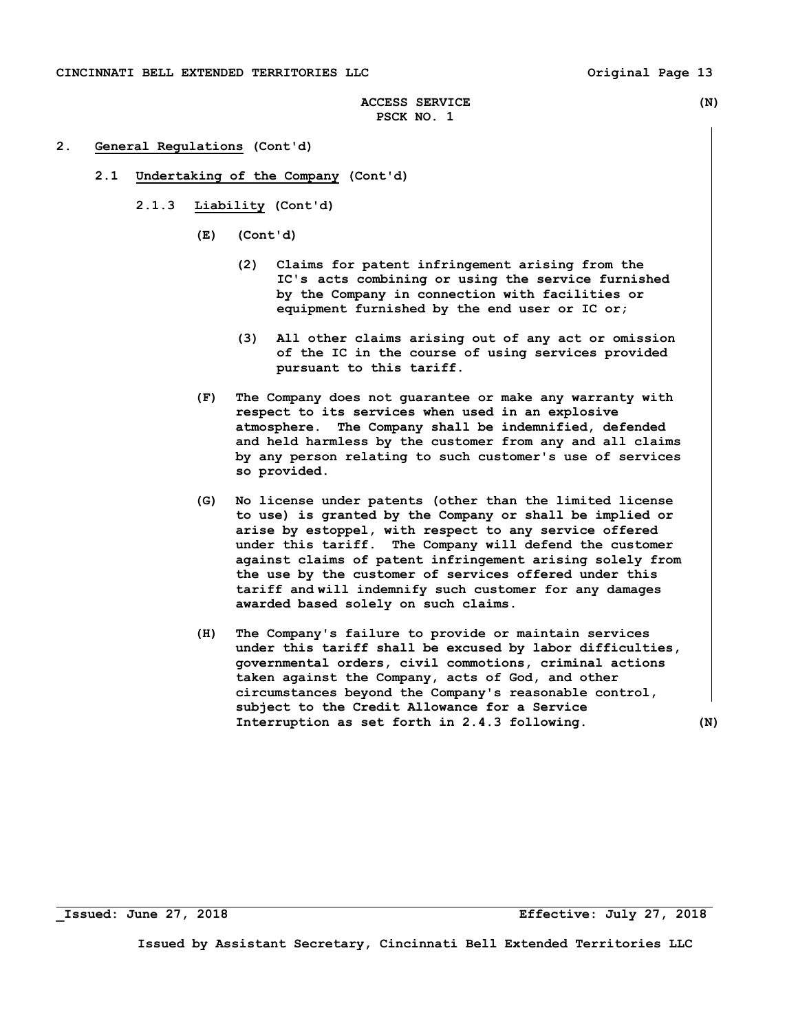# **ACCESS SERVICE (N) PSCK NO. 1**

# **2. General Regulations (Cont'd)**

- **2.1 Undertaking of the Company (Cont'd)** 
	- **2.1.3 Liability (Cont'd)** 
		- **(E) (Cont'd)** 
			- **(2) Claims for patent infringement arising from the IC's acts combining or using the service furnished by the Company in connection with facilities or equipment furnished by the end user or IC or;**
			- **(3) All other claims arising out of any act or omission of the IC in the course of using services provided pursuant to this tariff.**
		- **(F) The Company does not guarantee or make any warranty with respect to its services when used in an explosive atmosphere. The Company shall be indemnified, defended and held harmless by the customer from any and all claims by any person relating to such customer's use of services so provided.**
		- **(G) No license under patents (other than the limited license to use) is granted by the Company or shall be implied or arise by estoppel, with respect to any service offered under this tariff. The Company will defend the customer against claims of patent infringement arising solely from the use by the customer of services offered under this tariff and will indemnify such customer for any damages awarded based solely on such claims.**
		- **(H) The Company's failure to provide or maintain services under this tariff shall be excused by labor difficulties, governmental orders, civil commotions, criminal actions taken against the Company, acts of God, and other circumstances beyond the Company's reasonable control, subject to the Credit Allowance for a Service Interruption as set forth in 2.4.3 following. (N)**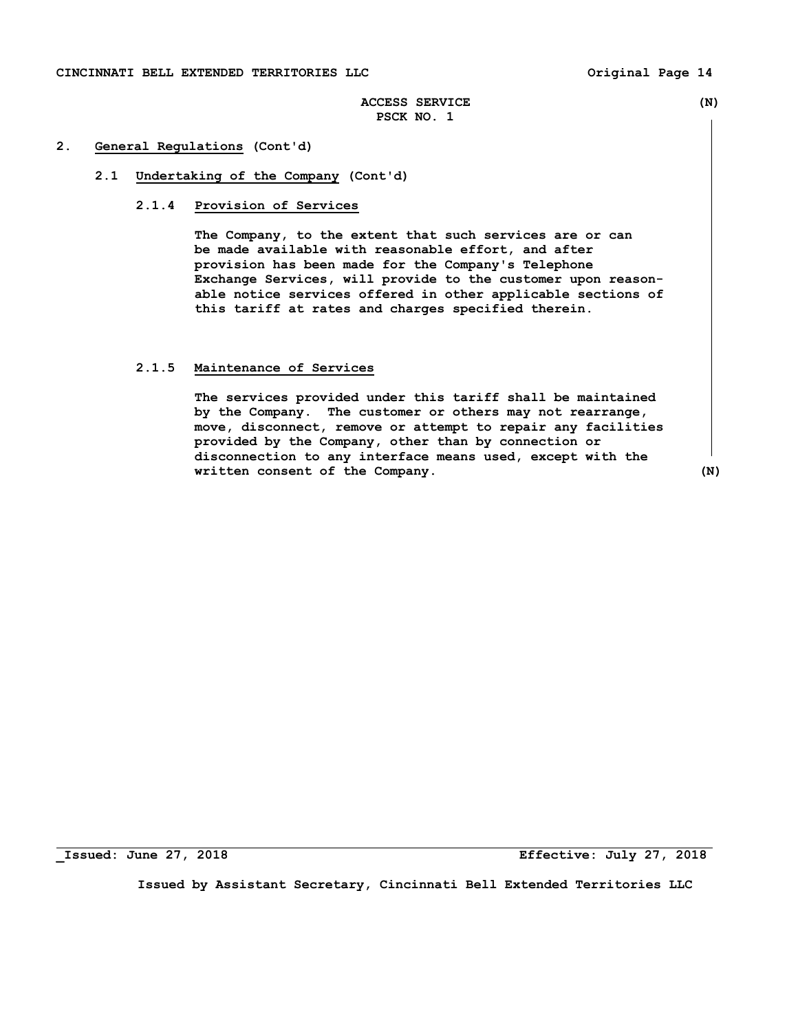# **ACCESS SERVICE (N) PSCK NO. 1**

# **2. General Regulations (Cont'd)**

# **2.1 Undertaking of the Company (Cont'd)**

# **2.1.4 Provision of Services**

 **The Company, to the extent that such services are or can be made available with reasonable effort, and after provision has been made for the Company's Telephone Exchange Services, will provide to the customer upon reason able notice services offered in other applicable sections of this tariff at rates and charges specified therein.** 

## **2.1.5 Maintenance of Services**

 **The services provided under this tariff shall be maintained by the Company. The customer or others may not rearrange, move, disconnect, remove or attempt to repair any facilities provided by the Company, other than by connection or disconnection to any interface means used, except with the written consent of the Company. (N)** 

**\_Issued: June 27, 2018 Effective: July 27, 2018**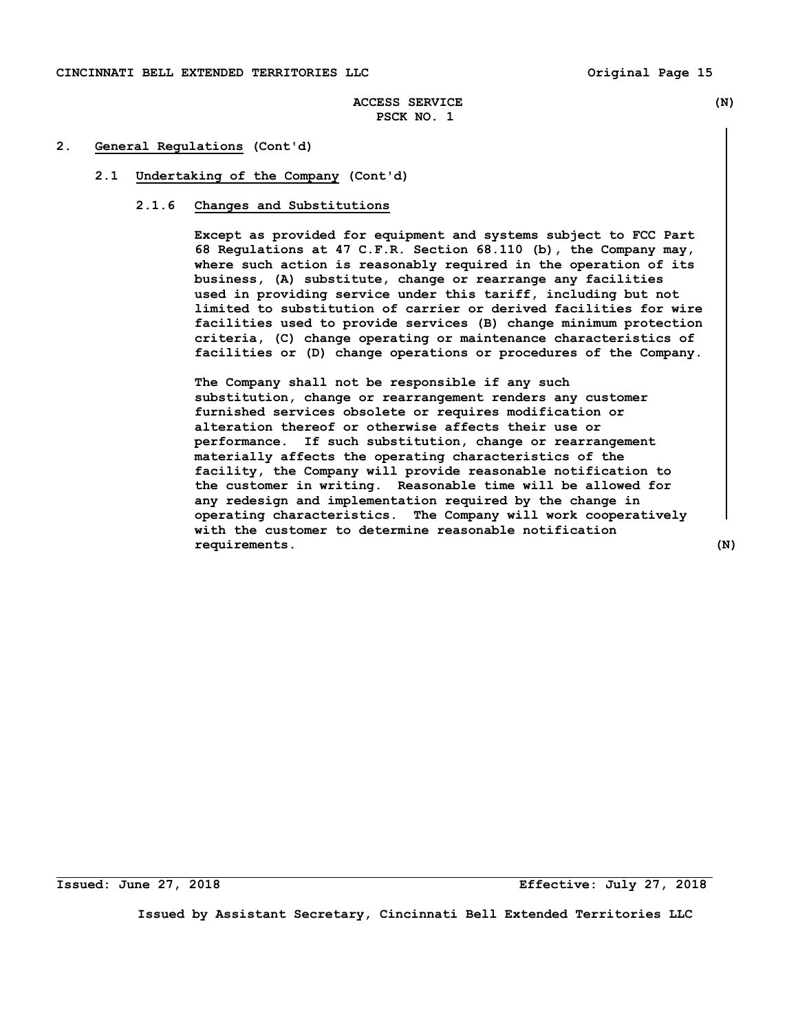# **ACCESS SERVICE (N) PSCK NO. 1**

## **2. General Regulations (Cont'd)**

## **2.1 Undertaking of the Company (Cont'd)**

# **2.1.6 Changes and Substitutions**

 **Except as provided for equipment and systems subject to FCC Part 68 Regulations at 47 C.F.R. Section 68.110 (b), the Company may, where such action is reasonably required in the operation of its business, (A) substitute, change or rearrange any facilities used in providing service under this tariff, including but not limited to substitution of carrier or derived facilities for wire facilities used to provide services (B) change minimum protection criteria, (C) change operating or maintenance characteristics of facilities or (D) change operations or procedures of the Company.** 

**The Company shall not be responsible if any such substitution, change or rearrangement renders any customer furnished services obsolete or requires modification or alteration thereof or otherwise affects their use or performance. If such substitution, change or rearrangement materially affects the operating characteristics of the facility, the Company will provide reasonable notification to the customer in writing. Reasonable time will be allowed for any redesign and implementation required by the change in operating characteristics. The Company will work cooperatively with the customer to determine reasonable notification requirements. (N)**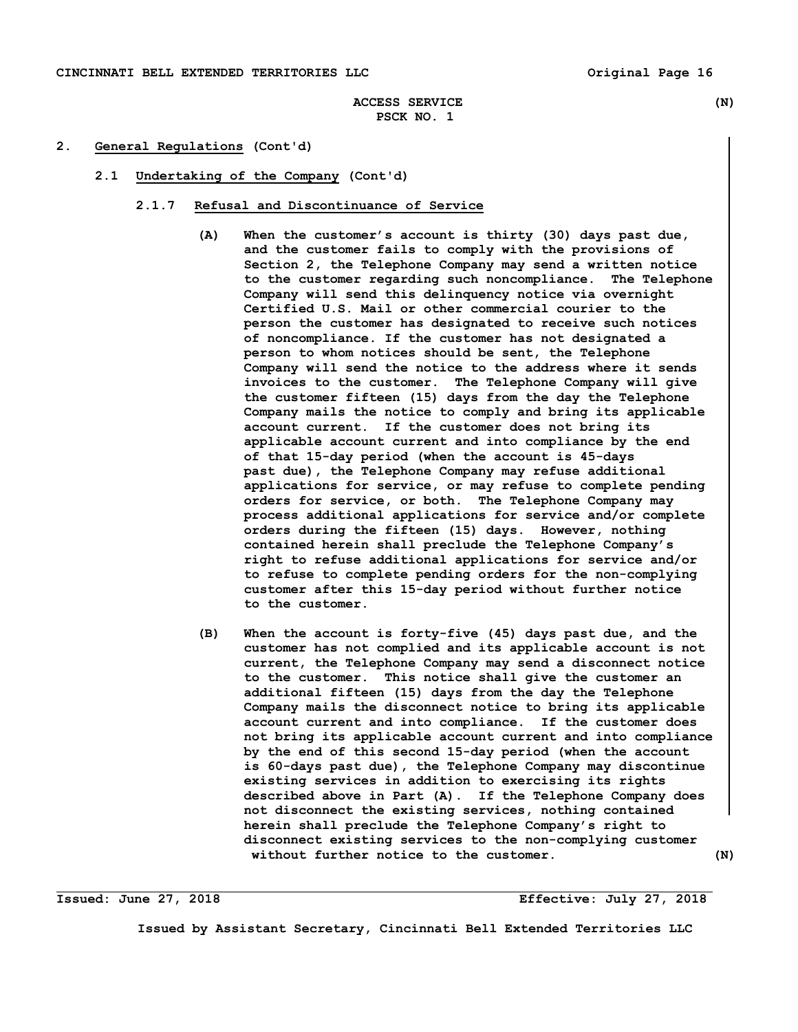# **ACCESS SERVICE (N) PSCK NO. 1**

# **2. General Regulations (Cont'd)**

 **2.1 Undertaking of the Company (Cont'd)** 

#### **2.1.7 Refusal and Discontinuance of Service**

- **(A) When the customer's account is thirty (30) days past due, and the customer fails to comply with the provisions of Section 2, the Telephone Company may send a written notice to the customer regarding such noncompliance. The Telephone Company will send this delinquency notice via overnight Certified U.S. Mail or other commercial courier to the person the customer has designated to receive such notices of noncompliance. If the customer has not designated a person to whom notices should be sent, the Telephone Company will send the notice to the address where it sends invoices to the customer. The Telephone Company will give the customer fifteen (15) days from the day the Telephone Company mails the notice to comply and bring its applicable account current. If the customer does not bring its applicable account current and into compliance by the end of that 15-day period (when the account is 45-days past due), the Telephone Company may refuse additional applications for service, or may refuse to complete pending orders for service, or both. The Telephone Company may process additional applications for service and/or complete orders during the fifteen (15) days. However, nothing contained herein shall preclude the Telephone Company's right to refuse additional applications for service and/or to refuse to complete pending orders for the non-complying customer after this 15-day period without further notice to the customer.**
- **(B) When the account is forty-five (45) days past due, and the customer has not complied and its applicable account is not current, the Telephone Company may send a disconnect notice to the customer. This notice shall give the customer an additional fifteen (15) days from the day the Telephone Company mails the disconnect notice to bring its applicable account current and into compliance. If the customer does not bring its applicable account current and into compliance by the end of this second 15-day period (when the account is 60-days past due), the Telephone Company may discontinue existing services in addition to exercising its rights described above in Part (A). If the Telephone Company does not disconnect the existing services, nothing contained herein shall preclude the Telephone Company's right to disconnect existing services to the non-complying customer without further notice to the customer. (N)**

**Issued: June 27, 2018 Effective: July 27, 2018**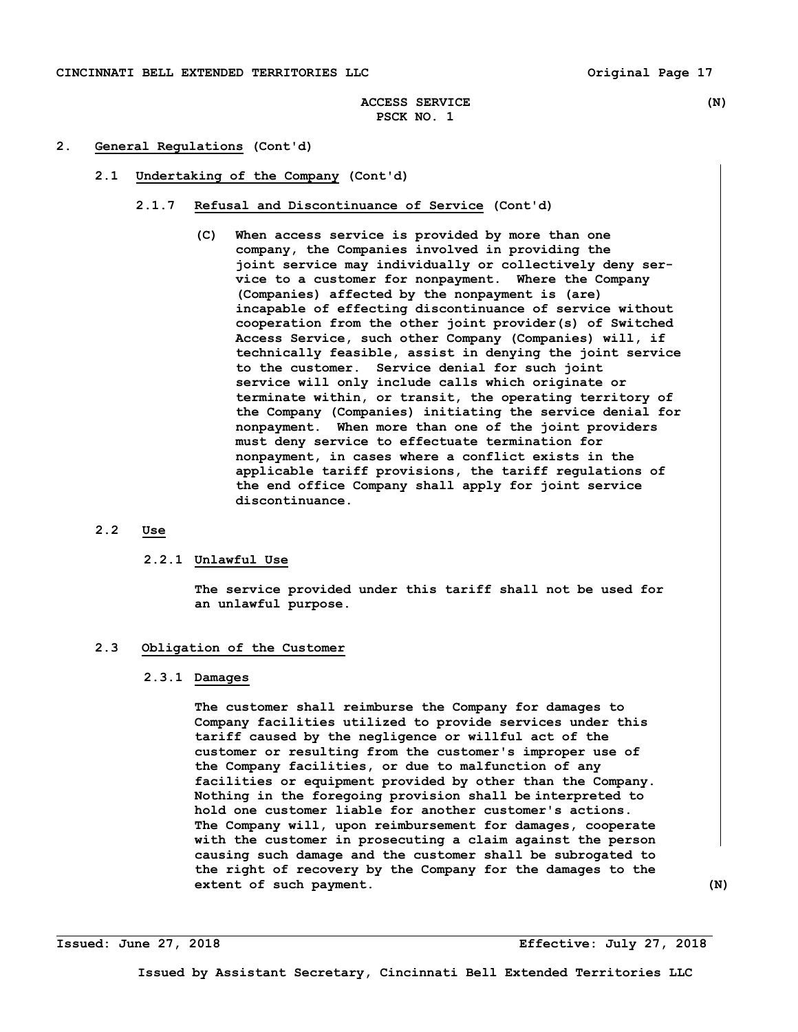# **ACCESS SERVICE (N) PSCK NO. 1**

# **2. General Regulations (Cont'd)**

- **2.1 Undertaking of the Company (Cont'd)** 
	- **2.1.7 Refusal and Discontinuance of Service (Cont'd)** 
		- **(C) When access service is provided by more than one company, the Companies involved in providing the joint service may individually or collectively deny ser vice to a customer for nonpayment. Where the Company (Companies) affected by the nonpayment is (are) incapable of effecting discontinuance of service without cooperation from the other joint provider(s) of Switched Access Service, such other Company (Companies) will, if technically feasible, assist in denying the joint service to the customer. Service denial for such joint service will only include calls which originate or terminate within, or transit, the operating territory of the Company (Companies) initiating the service denial for nonpayment. When more than one of the joint providers must deny service to effectuate termination for nonpayment, in cases where a conflict exists in the applicable tariff provisions, the tariff regulations of the end office Company shall apply for joint service discontinuance.**

# **2.2 Use**

# **2.2.1 Unlawful Use**

 **The service provided under this tariff shall not be used for an unlawful purpose.** 

# **2.3 Obligation of the Customer**

# **2.3.1 Damages**

 **The customer shall reimburse the Company for damages to Company facilities utilized to provide services under this tariff caused by the negligence or willful act of the customer or resulting from the customer's improper use of the Company facilities, or due to malfunction of any facilities or equipment provided by other than the Company. Nothing in the foregoing provision shall be interpreted to hold one customer liable for another customer's actions. The Company will, upon reimbursement for damages, cooperate with the customer in prosecuting a claim against the person causing such damage and the customer shall be subrogated to the right of recovery by the Company for the damages to the extent of such payment.** (N)

**Issued: June 27, 2018 Effective: July 27, 2018**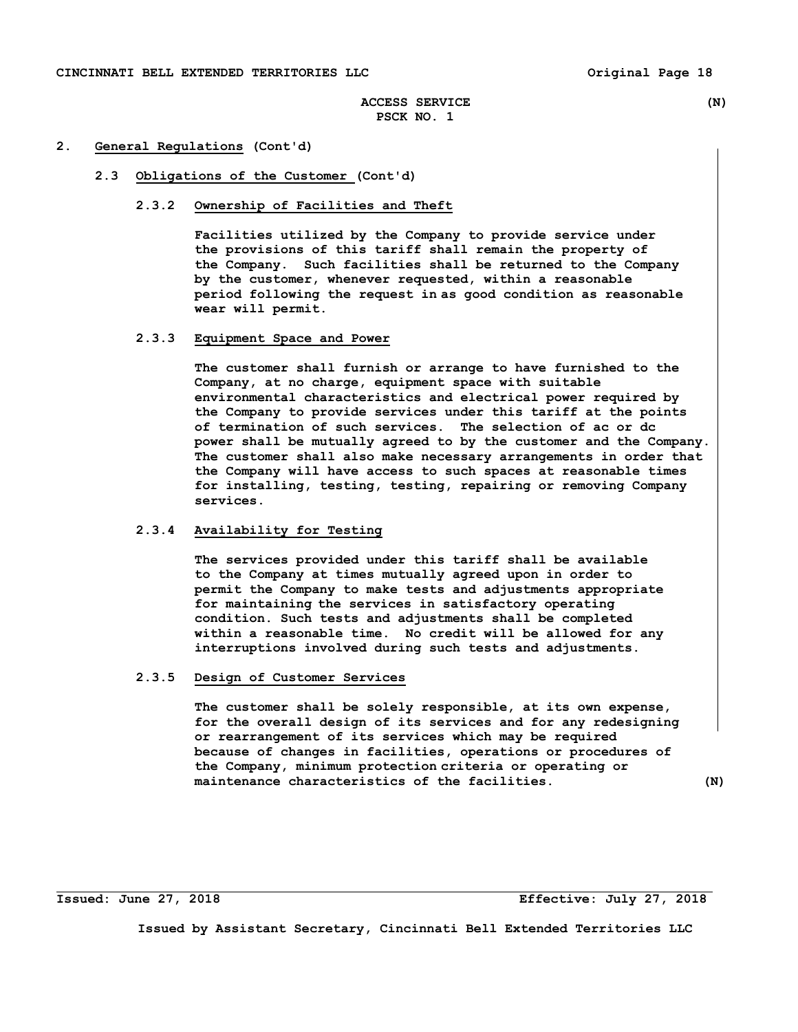## **2. General Regulations (Cont'd)**

## **2.3 Obligations of the Customer (Cont'd)**

# **2.3.2 Ownership of Facilities and Theft**

 **Facilities utilized by the Company to provide service under the provisions of this tariff shall remain the property of the Company. Such facilities shall be returned to the Company by the customer, whenever requested, within a reasonable period following the request in as good condition as reasonable wear will permit.** 

# **2.3.3 Equipment Space and Power**

 **The customer shall furnish or arrange to have furnished to the Company, at no charge, equipment space with suitable environmental characteristics and electrical power required by the Company to provide services under this tariff at the points of termination of such services. The selection of ac or dc power shall be mutually agreed to by the customer and the Company. The customer shall also make necessary arrangements in order that the Company will have access to such spaces at reasonable times for installing, testing, testing, repairing or removing Company services.** 

# **2.3.4 Availability for Testing**

 **The services provided under this tariff shall be available to the Company at times mutually agreed upon in order to permit the Company to make tests and adjustments appropriate for maintaining the services in satisfactory operating condition. Such tests and adjustments shall be completed within a reasonable time. No credit will be allowed for any interruptions involved during such tests and adjustments.** 

## **2.3.5 Design of Customer Services**

 **The customer shall be solely responsible, at its own expense, for the overall design of its services and for any redesigning or rearrangement of its services which may be required because of changes in facilities, operations or procedures of the Company, minimum protection criteria or operating or maintenance characteristics of the facilities. (N)** 

**Issued: June 27, 2018 Effective: July 27, 2018**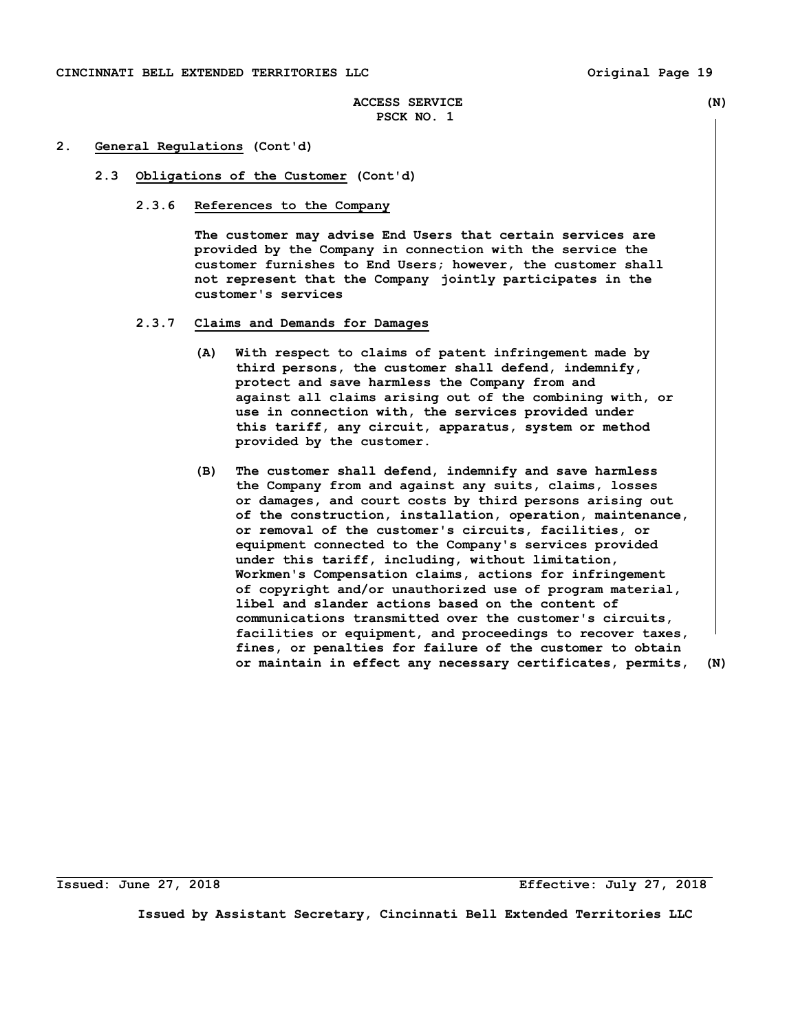#### **2. General Regulations (Cont'd)**

- **2.3 Obligations of the Customer (Cont'd)** 
	- **2.3.6 References to the Company**

 **The customer may advise End Users that certain services are provided by the Company in connection with the service the customer furnishes to End Users; however, the customer shall not represent that the Company jointly participates in the customer's services** 

- **2.3.7 Claims and Demands for Damages** 
	- **(A) With respect to claims of patent infringement made by third persons, the customer shall defend, indemnify, protect and save harmless the Company from and against all claims arising out of the combining with, or use in connection with, the services provided under this tariff, any circuit, apparatus, system or method provided by the customer.**
	- **(B) The customer shall defend, indemnify and save harmless the Company from and against any suits, claims, losses or damages, and court costs by third persons arising out of the construction, installation, operation, maintenance, or removal of the customer's circuits, facilities, or equipment connected to the Company's services provided under this tariff, including, without limitation, Workmen's Compensation claims, actions for infringement of copyright and/or unauthorized use of program material, libel and slander actions based on the content of communications transmitted over the customer's circuits, facilities or equipment, and proceedings to recover taxes, fines, or penalties for failure of the customer to obtain or maintain in effect any necessary certificates, permits, (N)**

**Issued: June 27, 2018 Effective: July 27, 2018**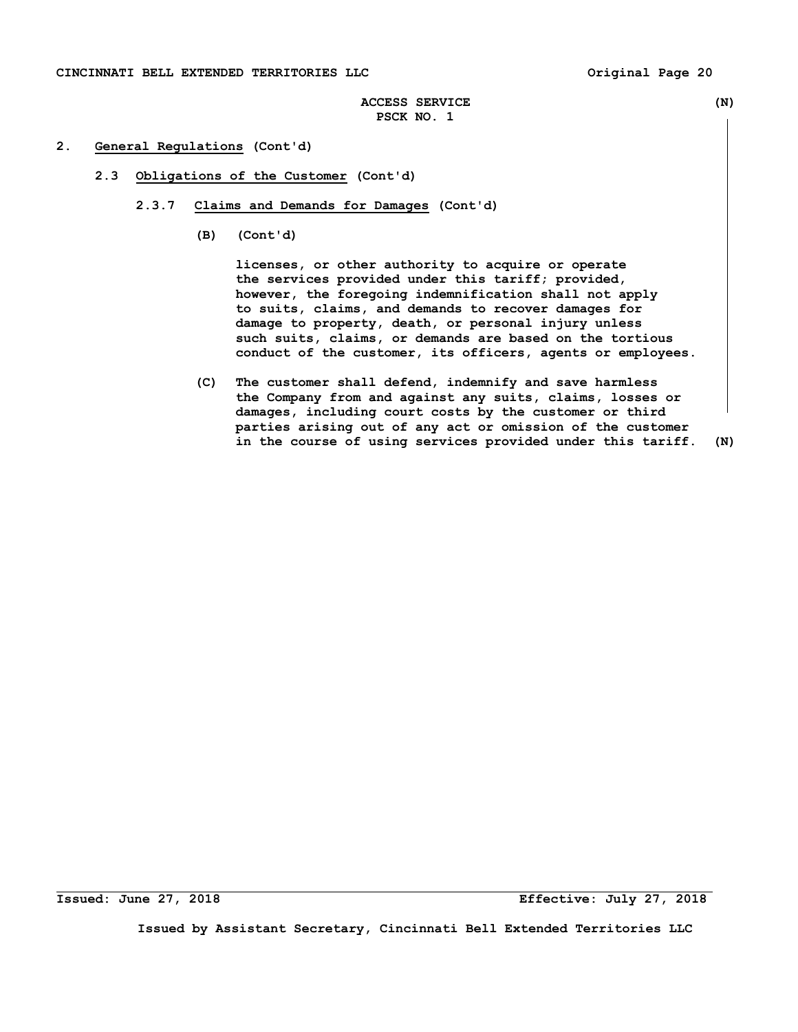# **ACCESS SERVICE (N) PSCK NO. 1**

# **2. General Regulations (Cont'd)**

- **2.3 Obligations of the Customer (Cont'd)** 
	- **2.3.7 Claims and Demands for Damages (Cont'd)** 
		- **(B) (Cont'd)**

 **licenses, or other authority to acquire or operate the services provided under this tariff; provided, however, the foregoing indemnification shall not apply to suits, claims, and demands to recover damages for damage to property, death, or personal injury unless such suits, claims, or demands are based on the tortious conduct of the customer, its officers, agents or employees.** 

 **(C) The customer shall defend, indemnify and save harmless the Company from and against any suits, claims, losses or damages, including court costs by the customer or third parties arising out of any act or omission of the customer in the course of using services provided under this tariff. (N)** 

**Issued: June 27, 2018 Effective: July 27, 2018**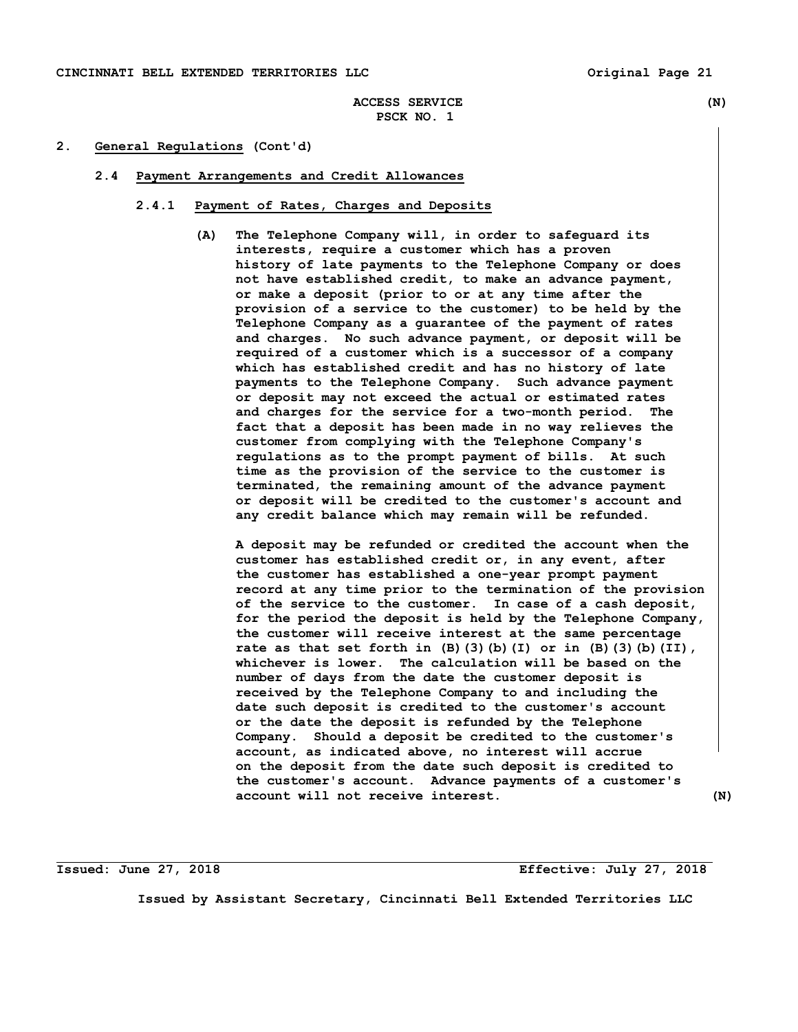## **2. General Regulations (Cont'd)**

## **2.4 Payment Arrangements and Credit Allowances**

## **2.4.1 Payment of Rates, Charges and Deposits**

 **(A) The Telephone Company will, in order to safeguard its interests, require a customer which has a proven history of late payments to the Telephone Company or does not have established credit, to make an advance payment, or make a deposit (prior to or at any time after the provision of a service to the customer) to be held by the Telephone Company as a guarantee of the payment of rates and charges. No such advance payment, or deposit will be required of a customer which is a successor of a company which has established credit and has no history of late payments to the Telephone Company. Such advance payment or deposit may not exceed the actual or estimated rates and charges for the service for a two-month period. The fact that a deposit has been made in no way relieves the customer from complying with the Telephone Company's regulations as to the prompt payment of bills. At such time as the provision of the service to the customer is terminated, the remaining amount of the advance payment or deposit will be credited to the customer's account and any credit balance which may remain will be refunded.** 

 **A deposit may be refunded or credited the account when the customer has established credit or, in any event, after the customer has established a one-year prompt payment record at any time prior to the termination of the provision of the service to the customer. In case of a cash deposit, for the period the deposit is held by the Telephone Company, the customer will receive interest at the same percentage rate as that set forth in (B)(3)(b)(I) or in (B)(3)(b)(II), whichever is lower. The calculation will be based on the number of days from the date the customer deposit is received by the Telephone Company to and including the date such deposit is credited to the customer's account or the date the deposit is refunded by the Telephone Company. Should a deposit be credited to the customer's account, as indicated above, no interest will accrue on the deposit from the date such deposit is credited to the customer's account. Advance payments of a customer's account will not receive interest. (N)** 

**Issued: June 27, 2018 Effective: July 27, 2018**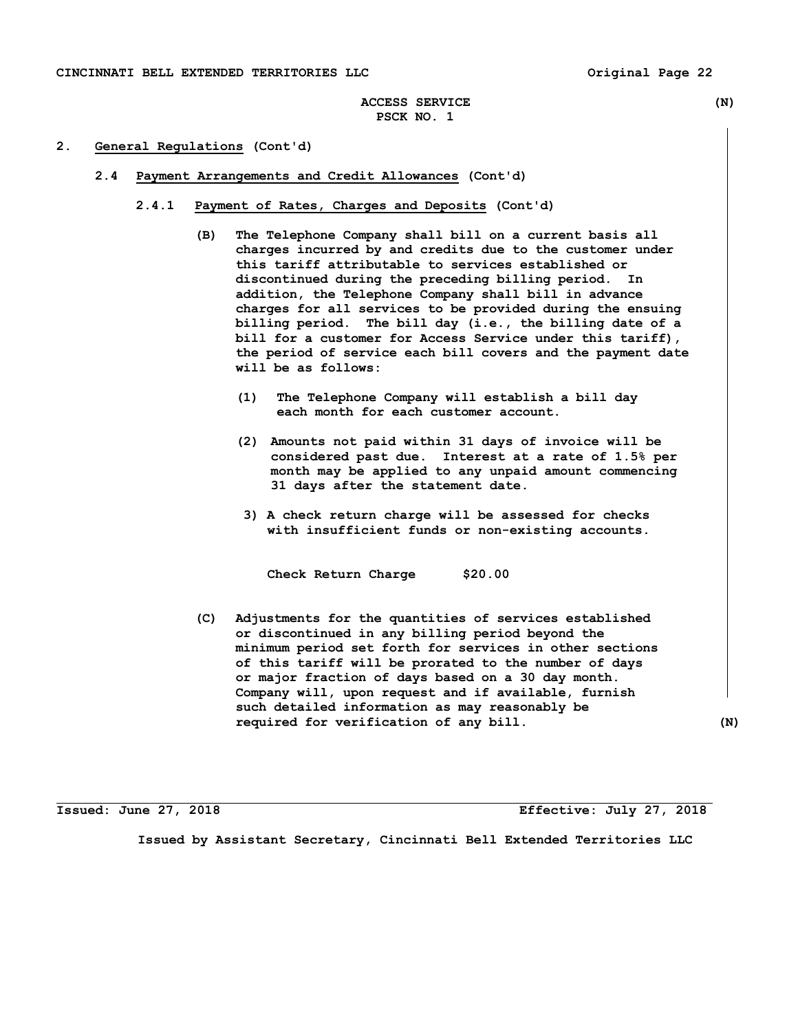**ACCESS SERVICE (N) PSCK NO. 1** 

# **2. General Regulations (Cont'd)**

- **2.4 Payment Arrangements and Credit Allowances (Cont'd)** 
	- **2.4.1 Payment of Rates, Charges and Deposits (Cont'd)** 
		- **(B) The Telephone Company shall bill on a current basis all charges incurred by and credits due to the customer under this tariff attributable to services established or discontinued during the preceding billing period. In addition, the Telephone Company shall bill in advance charges for all services to be provided during the ensuing billing period. The bill day (i.e., the billing date of a bill for a customer for Access Service under this tariff), the period of service each bill covers and the payment date will be as follows:** 
			- **(1) The Telephone Company will establish a bill day each month for each customer account.**
			- **(2) Amounts not paid within 31 days of invoice will be considered past due. Interest at a rate of 1.5% per month may be applied to any unpaid amount commencing 31 days after the statement date.**
			- **3) A check return charge will be assessed for checks with insufficient funds or non-existing accounts.**

 **Check Return Charge \$20.00** 

 **(C) Adjustments for the quantities of services established or discontinued in any billing period beyond the minimum period set forth for services in other sections of this tariff will be prorated to the number of days or major fraction of days based on a 30 day month. Company will, upon request and if available, furnish such detailed information as may reasonably be required for verification of any bill. (N)** 

**Issued: June 27, 2018 Effective: July 27, 2018**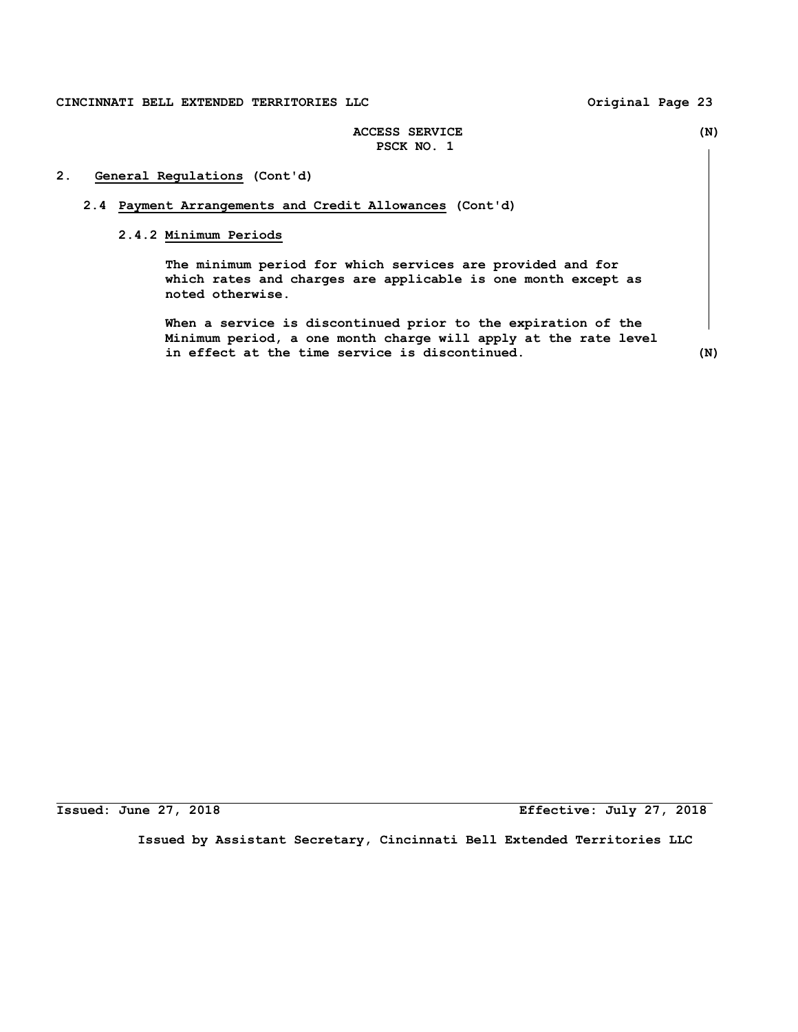# **2. General Regulations (Cont'd)**

## **2.4 Payment Arrangements and Credit Allowances (Cont'd)**

# **2.4.2 Minimum Periods**

 **The minimum period for which services are provided and for which rates and charges are applicable is one month except as noted otherwise.** 

 **When a service is discontinued prior to the expiration of the Minimum period, a one month charge will apply at the rate level in effect at the time service is discontinued. (N)** 

**Issued: June 27, 2018 Effective: July 27, 2018**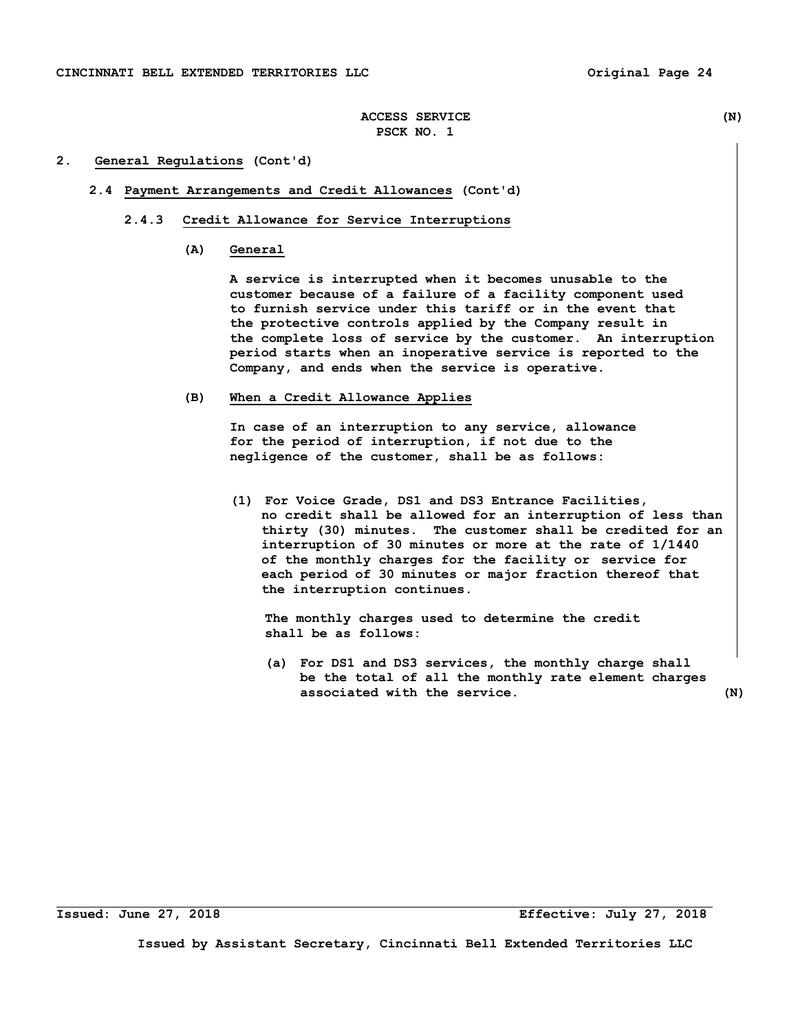## **2. General Regulations (Cont'd)**

# **2.4 Payment Arrangements and Credit Allowances (Cont'd)**

## **2.4.3 Credit Allowance for Service Interruptions**

## **(A) General**

 **A service is interrupted when it becomes unusable to the customer because of a failure of a facility component used to furnish service under this tariff or in the event that the protective controls applied by the Company result in the complete loss of service by the customer. An interruption period starts when an inoperative service is reported to the Company, and ends when the service is operative.** 

#### **(B) When a Credit Allowance Applies**

 **In case of an interruption to any service, allowance for the period of interruption, if not due to the negligence of the customer, shall be as follows:** 

**(1) For Voice Grade, DS1 and DS3 Entrance Facilities, no credit shall be allowed for an interruption of less than thirty (30) minutes. The customer shall be credited for an interruption of 30 minutes or more at the rate of 1/1440 of the monthly charges for the facility or service for each period of 30 minutes or major fraction thereof that the interruption continues.** 

 **The monthly charges used to determine the credit shall be as follows:** 

 **(a) For DS1 and DS3 services, the monthly charge shall be the total of all the monthly rate element charges associated with the service. (N)**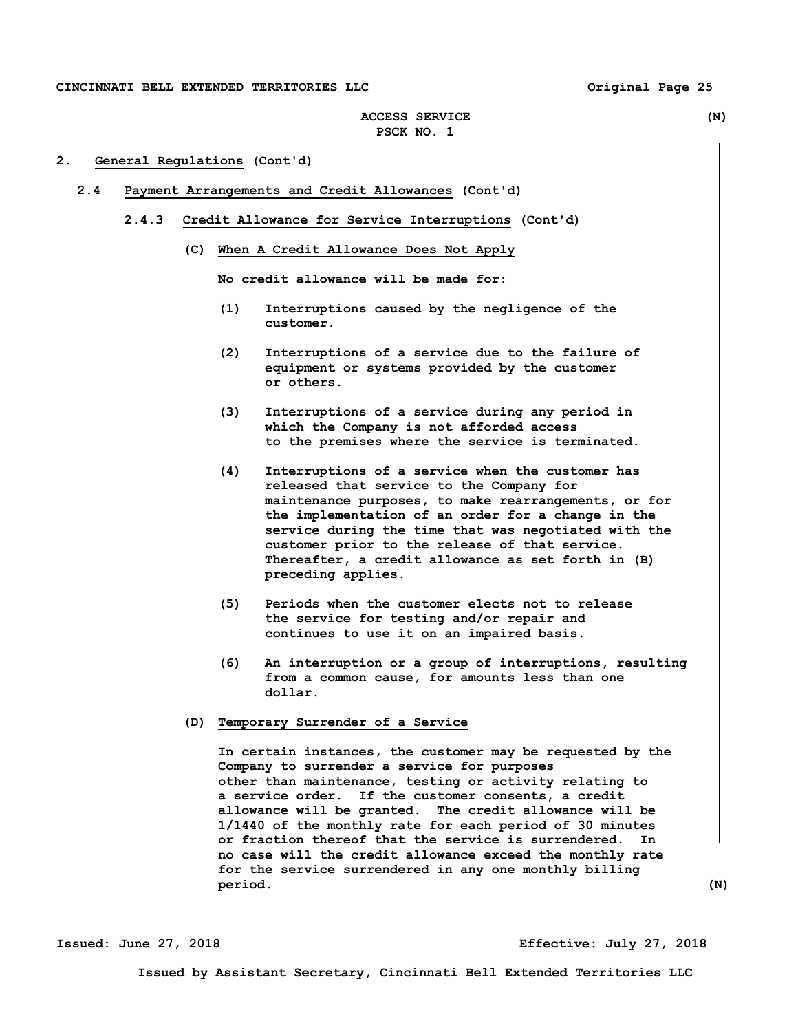# **ACCESS SERVICE (N) PSCK NO. 1**

# **2. General Regulations (Cont'd)**

- **2.4 Payment Arrangements and Credit Allowances (Cont'd)** 
	- **2.4.3 Credit Allowance for Service Interruptions (Cont'd)** 
		- **(C) When A Credit Allowance Does Not Apply**

 **No credit allowance will be made for:** 

- **(1) Interruptions caused by the negligence of the customer.**
- **(2) Interruptions of a service due to the failure of equipment or systems provided by the customer or others.**
- **(3) Interruptions of a service during any period in which the Company is not afforded access to the premises where the service is terminated.**
- **(4) Interruptions of a service when the customer has released that service to the Company for maintenance purposes, to make rearrangements, or for the implementation of an order for a change in the service during the time that was negotiated with the customer prior to the release of that service. Thereafter, a credit allowance as set forth in (B) preceding applies.**
- **(5) Periods when the customer elects not to release the service for testing and/or repair and continues to use it on an impaired basis.**
- **(6) An interruption or a group of interruptions, resulting from a common cause, for amounts less than one dollar.**
- **(D) Temporary Surrender of a Service**

 **In certain instances, the customer may be requested by the Company to surrender a service for purposes other than maintenance, testing or activity relating to a service order. If the customer consents, a credit allowance will be granted. The credit allowance will be 1/1440 of the monthly rate for each period of 30 minutes or fraction thereof that the service is surrendered. In no case will the credit allowance exceed the monthly rate for the service surrendered in any one monthly billing period. (N)** 

**Issued: June 27, 2018 Effective: July 27, 2018**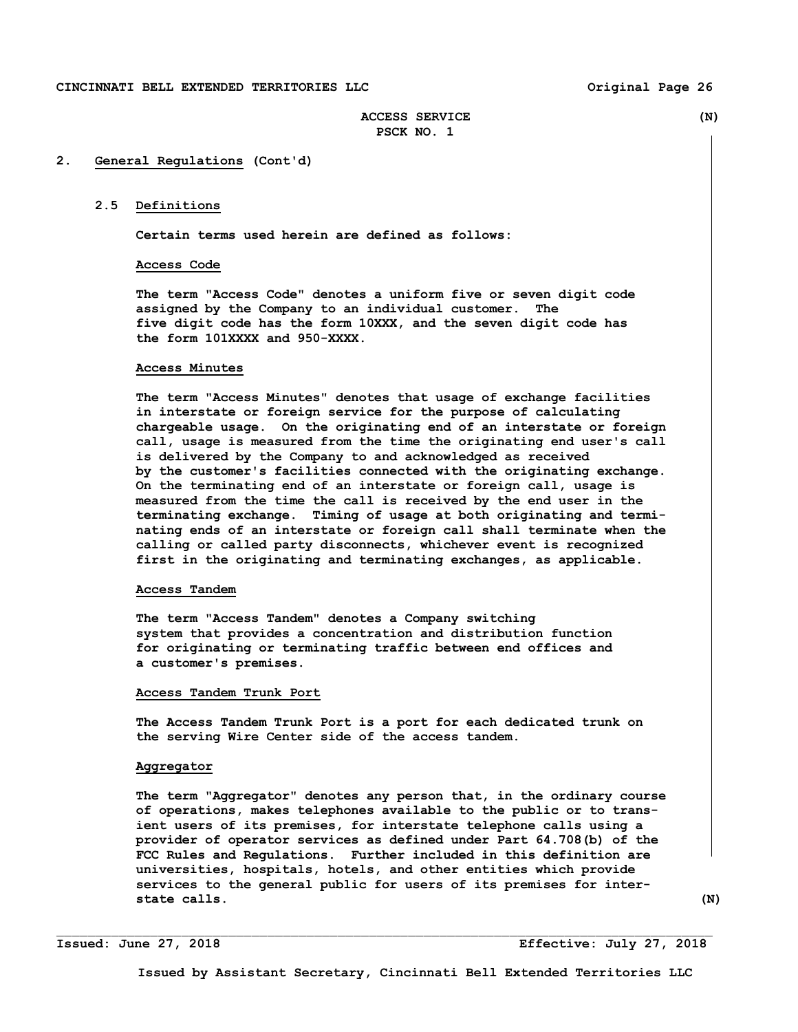# **ACCESS SERVICE (N) PSCK NO. 1**

## **2. General Regulations (Cont'd)**

# **2.5 Definitions**

**Certain terms used herein are defined as follows:** 

#### **Access Code**

 **The term "Access Code" denotes a uniform five or seven digit code assigned by the Company to an individual customer. The five digit code has the form 10XXX, and the seven digit code has the form 101XXXX and 950-XXXX.** 

#### **Access Minutes**

 **The term "Access Minutes" denotes that usage of exchange facilities in interstate or foreign service for the purpose of calculating chargeable usage. On the originating end of an interstate or foreign call, usage is measured from the time the originating end user's call is delivered by the Company to and acknowledged as received by the customer's facilities connected with the originating exchange. On the terminating end of an interstate or foreign call, usage is measured from the time the call is received by the end user in the terminating exchange. Timing of usage at both originating and termi nating ends of an interstate or foreign call shall terminate when the calling or called party disconnects, whichever event is recognized first in the originating and terminating exchanges, as applicable.** 

# **Access Tandem**

 **The term "Access Tandem" denotes a Company switching system that provides a concentration and distribution function for originating or terminating traffic between end offices and a customer's premises.** 

#### **Access Tandem Trunk Port**

 **The Access Tandem Trunk Port is a port for each dedicated trunk on the serving Wire Center side of the access tandem.** 

#### **Aggregator**

 **The term "Aggregator" denotes any person that, in the ordinary course of operations, makes telephones available to the public or to trans ient users of its premises, for interstate telephone calls using a provider of operator services as defined under Part 64.708(b) of the FCC Rules and Regulations. Further included in this definition are universities, hospitals, hotels, and other entities which provide services to the general public for users of its premises for inter state calls.** (N)

**Issued: June 27, 2018 Effective: July 27, 2018**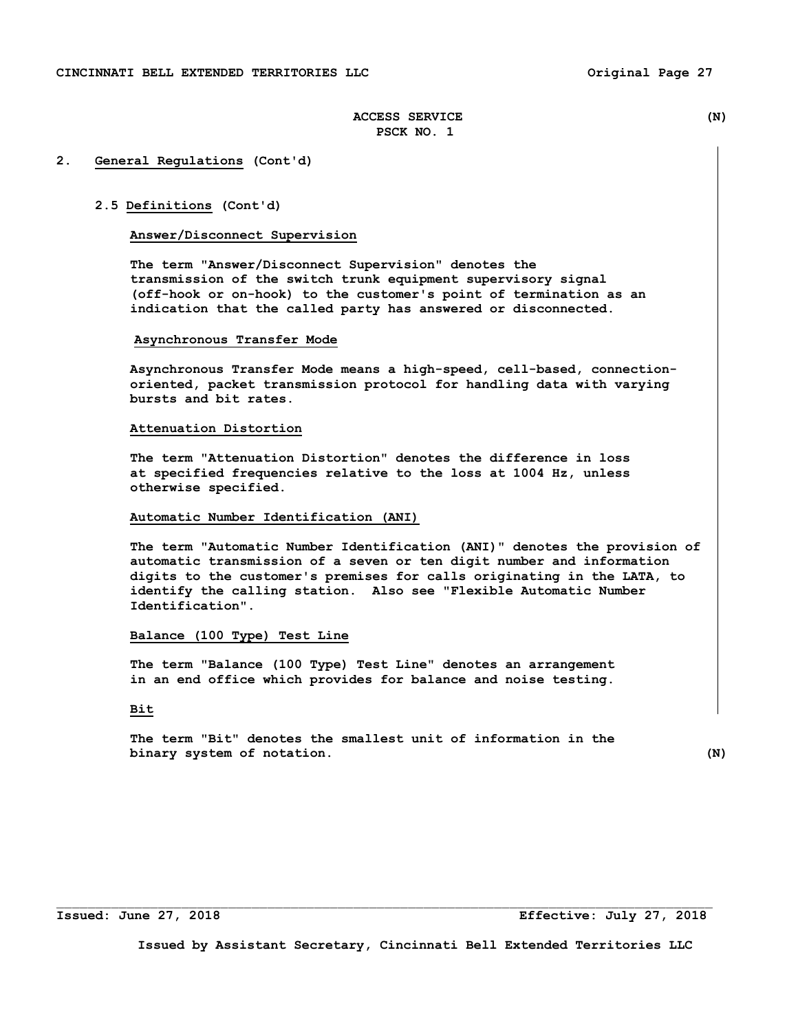## **2. General Regulations (Cont'd)**

#### **2.5 Definitions (Cont'd)**

# **Answer/Disconnect Supervision**

 **The term "Answer/Disconnect Supervision" denotes the transmission of the switch trunk equipment supervisory signal (off-hook or on-hook) to the customer's point of termination as an indication that the called party has answered or disconnected.** 

## **Asynchronous Transfer Mode**

**Asynchronous Transfer Mode means a high-speed, cell-based, connectionoriented, packet transmission protocol for handling data with varying bursts and bit rates.** 

#### **Attenuation Distortion**

 **The term "Attenuation Distortion" denotes the difference in loss at specified frequencies relative to the loss at 1004 Hz, unless otherwise specified.** 

#### **Automatic Number Identification (ANI)**

 **The term "Automatic Number Identification (ANI)" denotes the provision of automatic transmission of a seven or ten digit number and information digits to the customer's premises for calls originating in the LATA, to identify the calling station. Also see "Flexible Automatic Number Identification".** 

#### **Balance (100 Type) Test Line**

 **The term "Balance (100 Type) Test Line" denotes an arrangement in an end office which provides for balance and noise testing.** 

# **Bit**

 **The term "Bit" denotes the smallest unit of information in the binary system of notation.** (N)

 $\Box$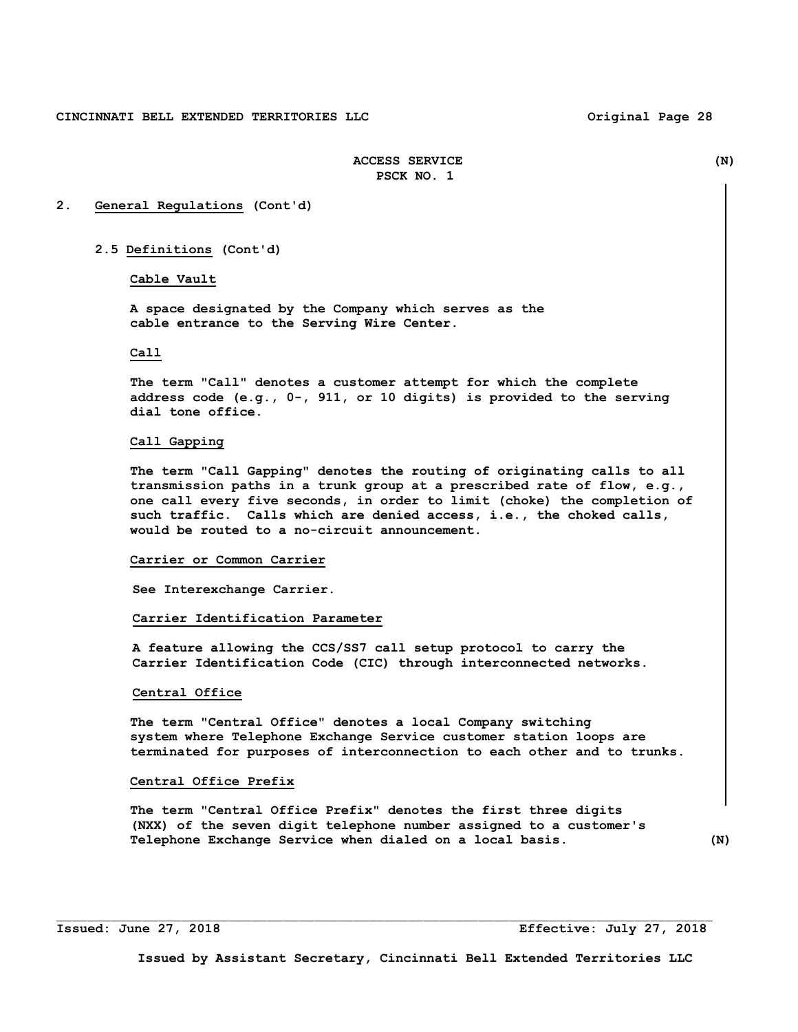## **2. General Regulations (Cont'd)**

#### **2.5 Definitions (Cont'd)**

# Cable Vault

 **A space designated by the Company which serves as the cable entrance to the Serving Wire Center.** 

#### **Call**

 **The term "Call" denotes a customer attempt for which the complete address code (e.g., 0-, 911, or 10 digits) is provided to the serving dial tone office.** 

#### **Call Gapping**

 **The term "Call Gapping" denotes the routing of originating calls to all transmission paths in a trunk group at a prescribed rate of flow, e.g., one call every five seconds, in order to limit (choke) the completion of such traffic. Calls which are denied access, i.e., the choked calls, would be routed to a no-circuit announcement.** 

#### **Carrier or Common Carrier**

 **See Interexchange Carrier.** 

#### **Carrier Identification Parameter**

 **A feature allowing the CCS/SS7 call setup protocol to carry the Carrier Identification Code (CIC) through interconnected networks.** 

#### **Central Office**

 **The term "Central Office" denotes a local Company switching system where Telephone Exchange Service customer station loops are terminated for purposes of interconnection to each other and to trunks.** 

## **Central Office Prefix**

 **The term "Central Office Prefix" denotes the first three digits (NXX) of the seven digit telephone number assigned to a customer's Telephone Exchange Service when dialed on a local basis. (N)**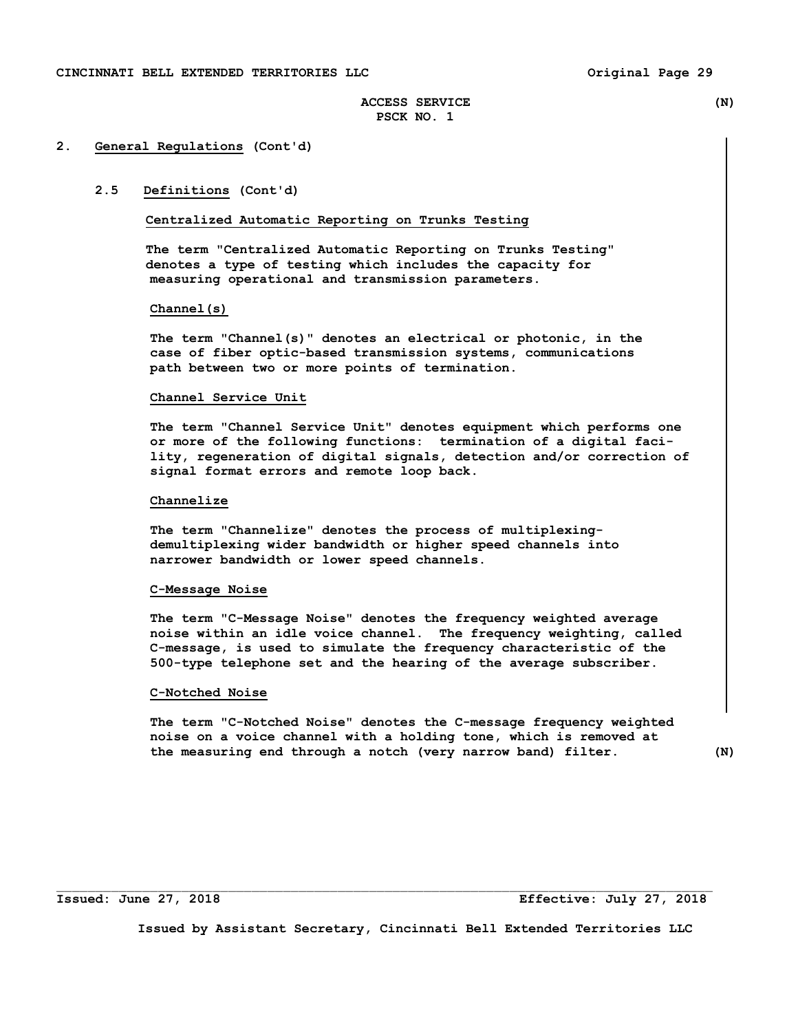# **2. General Regulations (Cont'd)**

# **2.5 Definitions (Cont'd)**

## **Centralized Automatic Reporting on Trunks Testing**

 **The term "Centralized Automatic Reporting on Trunks Testing" denotes a type of testing which includes the capacity for measuring operational and transmission parameters.** 

#### **Channel(s)**

 **The term "Channel(s)" denotes an electrical or photonic, in the case of fiber optic-based transmission systems, communications path between two or more points of termination.** 

#### **Channel Service Unit**

 **The term "Channel Service Unit" denotes equipment which performs one or more of the following functions: termination of a digital faci lity, regeneration of digital signals, detection and/or correction of signal format errors and remote loop back.** 

#### **Channelize**

 **The term "Channelize" denotes the process of multiplexing demultiplexing wider bandwidth or higher speed channels into narrower bandwidth or lower speed channels.** 

#### **C-Message Noise**

 **The term "C-Message Noise" denotes the frequency weighted average noise within an idle voice channel. The frequency weighting, called C-message, is used to simulate the frequency characteristic of the 500-type telephone set and the hearing of the average subscriber.** 

#### **C-Notched Noise**

 **The term "C-Notched Noise" denotes the C-message frequency weighted noise on a voice channel with a holding tone, which is removed at the measuring end through a notch (very narrow band) filter. (N)** 

**Issued: June 27, 2018 Effective: July 27, 2018** 

**Issued by Assistant Secretary, Cincinnati Bell Extended Territories LLC** 

 $\mathcal{L}_\text{max}$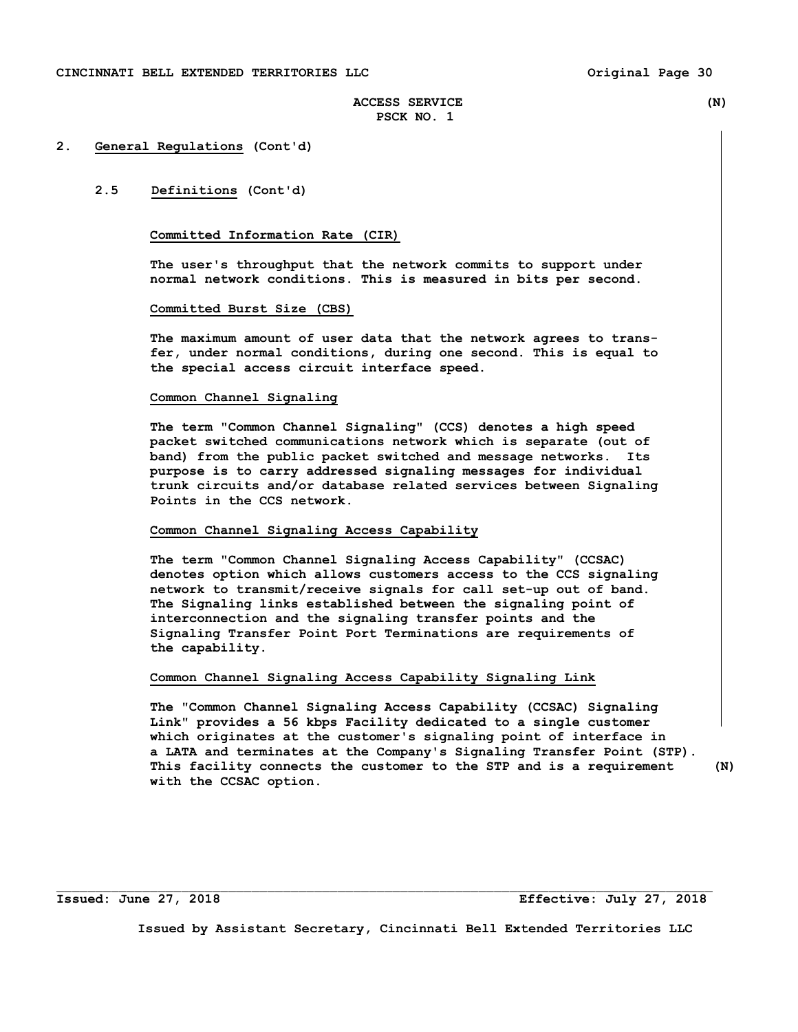#### **2. General Regulations (Cont'd)**

# **2.5 Definitions (Cont'd)**

# **Committed Information Rate (CIR)**

 **The user's throughput that the network commits to support under normal network conditions. This is measured in bits per second.** 

## **Committed Burst Size (CBS)**

 **The maximum amount of user data that the network agrees to trans fer, under normal conditions, during one second. This is equal to the special access circuit interface speed.** 

#### **Common Channel Signaling**

 **The term "Common Channel Signaling" (CCS) denotes a high speed packet switched communications network which is separate (out of band) from the public packet switched and message networks. Its purpose is to carry addressed signaling messages for individual trunk circuits and/or database related services between Signaling Points in the CCS network.** 

# **Common Channel Signaling Access Capability**

 **The term "Common Channel Signaling Access Capability" (CCSAC) denotes option which allows customers access to the CCS signaling network to transmit/receive signals for call set-up out of band. The Signaling links established between the signaling point of interconnection and the signaling transfer points and the Signaling Transfer Point Port Terminations are requirements of the capability.** 

## **Common Channel Signaling Access Capability Signaling Link**

 **The "Common Channel Signaling Access Capability (CCSAC) Signaling Link" provides a 56 kbps Facility dedicated to a single customer which originates at the customer's signaling point of interface in a LATA and terminates at the Company's Signaling Transfer Point (STP). This facility connects the customer to the STP and is a requirement (N) with the CCSAC option.** 

**Issued: June 27, 2018 Effective: July 27, 2018** 

**Issued by Assistant Secretary, Cincinnati Bell Extended Territories LLC** 

 $\mathcal{L}_\text{max}$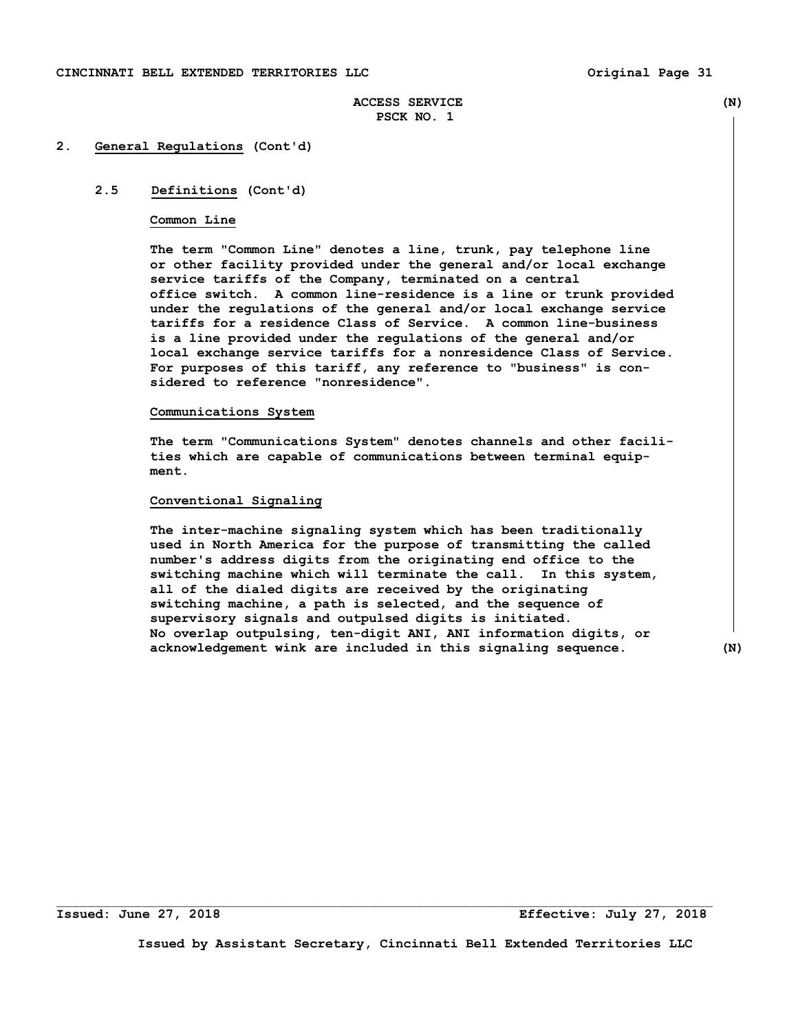# **2. General Regulations (Cont'd)**

# **2.5 Definitions (Cont'd)**

#### **Common Line**

 **The term "Common Line" denotes a line, trunk, pay telephone line or other facility provided under the general and/or local exchange service tariffs of the Company, terminated on a central office switch. A common line-residence is a line or trunk provided under the regulations of the general and/or local exchange service tariffs for a residence Class of Service. A common line-business is a line provided under the regulations of the general and/or local exchange service tariffs for a nonresidence Class of Service. For purposes of this tariff, any reference to "business" is con sidered to reference "nonresidence".** 

#### **Communications System**

**The term "Communications System" denotes channels and other facili ties which are capable of communications between terminal equip ment.** 

## **Conventional Signaling**

 **The inter-machine signaling system which has been traditionally used in North America for the purpose of transmitting the called number's address digits from the originating end office to the switching machine which will terminate the call. In this system, all of the dialed digits are received by the originating switching machine, a path is selected, and the sequence of supervisory signals and outpulsed digits is initiated. No overlap outpulsing, ten-digit ANI, ANI information digits, or acknowledgement wink are included in this signaling sequence. (N)** 

**Issued: June 27, 2018 Effective: July 27, 2018** 

**Issued by Assistant Secretary, Cincinnati Bell Extended Territories LLC** 

 $\Box$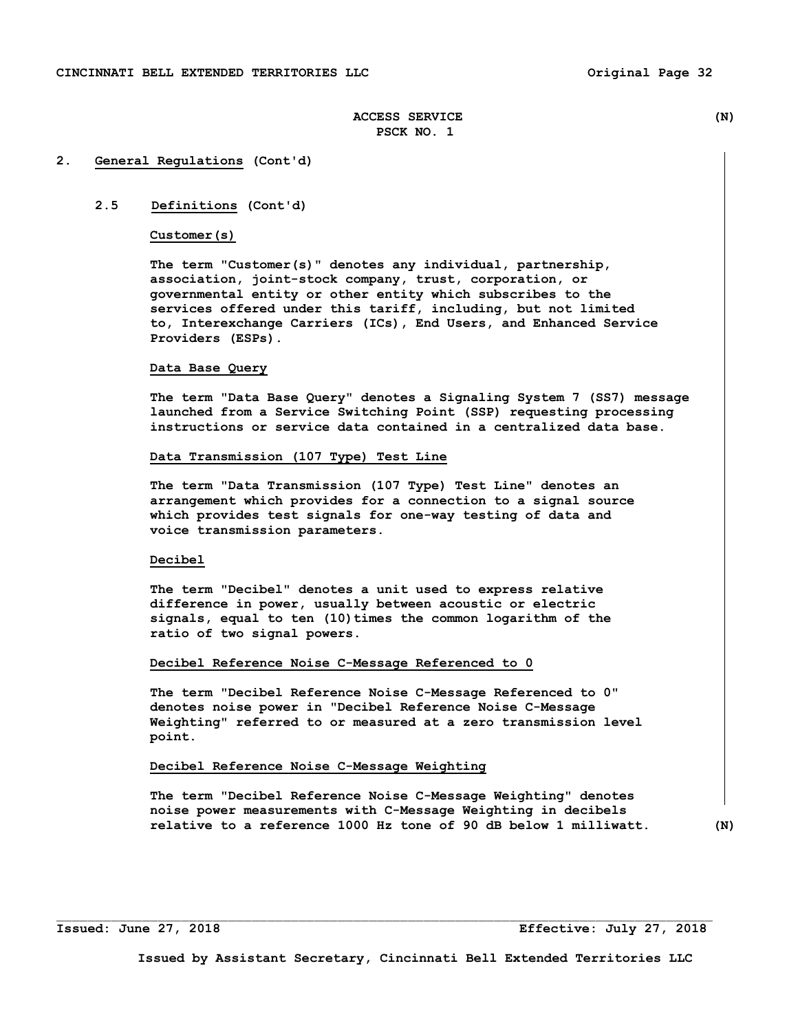## **2. General Regulations (Cont'd)**

# **2.5 Definitions (Cont'd)**

# **Customer(s)**

 **The term "Customer(s)" denotes any individual, partnership, association, joint-stock company, trust, corporation, or governmental entity or other entity which subscribes to the services offered under this tariff, including, but not limited to, Interexchange Carriers (ICs), End Users, and Enhanced Service Providers (ESPs).** 

## **Data Base Query**

 **The term "Data Base Query" denotes a Signaling System 7 (SS7) message launched from a Service Switching Point (SSP) requesting processing instructions or service data contained in a centralized data base.** 

#### **Data Transmission (107 Type) Test Line**

 **The term "Data Transmission (107 Type) Test Line" denotes an arrangement which provides for a connection to a signal source which provides test signals for one-way testing of data and voice transmission parameters.** 

# **Decibel**

 **The term "Decibel" denotes a unit used to express relative difference in power, usually between acoustic or electric signals, equal to ten (10)times the common logarithm of the ratio of two signal powers.** 

#### **Decibel Reference Noise C-Message Referenced to 0**

**The term "Decibel Reference Noise C-Message Referenced to 0" denotes noise power in "Decibel Reference Noise C-Message Weighting" referred to or measured at a zero transmission level point.** 

## **Decibel Reference Noise C-Message Weighting**

**The term "Decibel Reference Noise C-Message Weighting" denotes noise power measurements with C-Message Weighting in decibels relative to a reference 1000 Hz tone of 90 dB below 1 milliwatt. (N)** 

**Issued: June 27, 2018 Effective: July 27, 2018**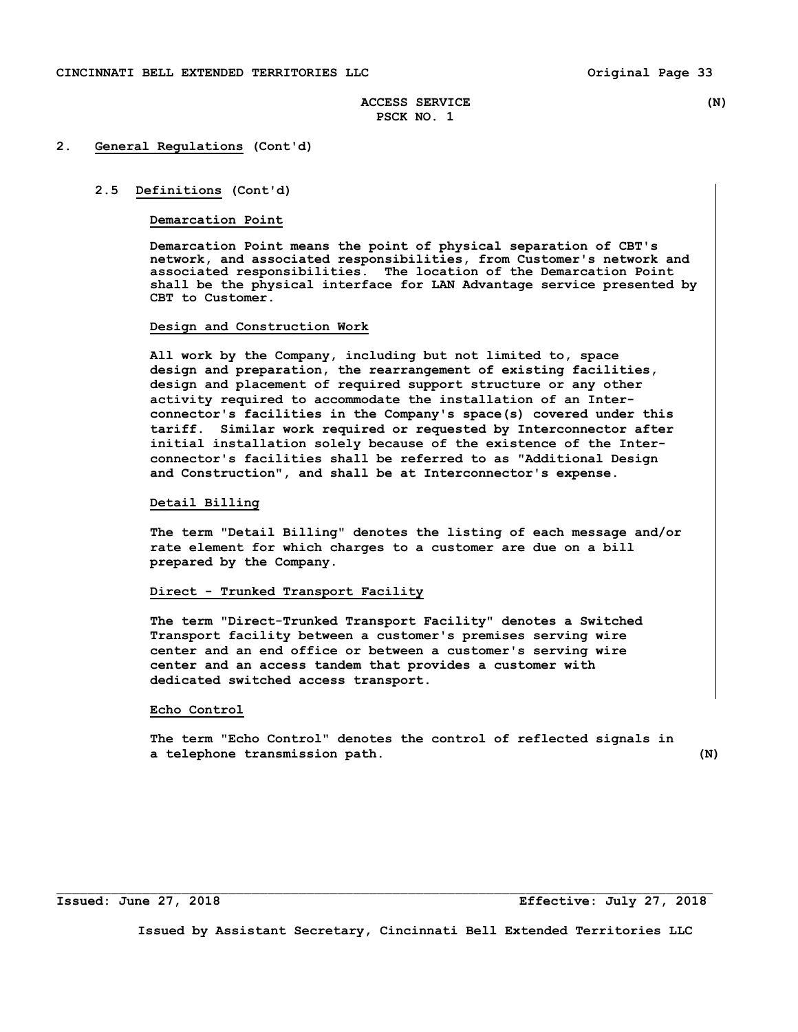## **2. General Regulations (Cont'd)**

## **2.5 Definitions (Cont'd)**

## **Demarcation Point**

 **Demarcation Point means the point of physical separation of CBT's network, and associated responsibilities, from Customer's network and associated responsibilities. The location of the Demarcation Point shall be the physical interface for LAN Advantage service presented by CBT to Customer.** 

#### **Design and Construction Work**

 **All work by the Company, including but not limited to, space design and preparation, the rearrangement of existing facilities, design and placement of required support structure or any other activity required to accommodate the installation of an Interconnector's facilities in the Company's space(s) covered under this tariff. Similar work required or requested by Interconnector after initial installation solely because of the existence of the Interconnector's facilities shall be referred to as "Additional Design and Construction", and shall be at Interconnector's expense.** 

# **Detail Billing**

 **The term "Detail Billing" denotes the listing of each message and/or rate element for which charges to a customer are due on a bill prepared by the Company.** 

# **Direct - Trunked Transport Facility**

 **The term "Direct-Trunked Transport Facility" denotes a Switched Transport facility between a customer's premises serving wire center and an end office or between a customer's serving wire center and an access tandem that provides a customer with dedicated switched access transport.** 

## **Echo Control**

 **The term "Echo Control" denotes the control of reflected signals in a telephone transmission path. (N)** 

**Issued: June 27, 2018 Effective: July 27, 2018**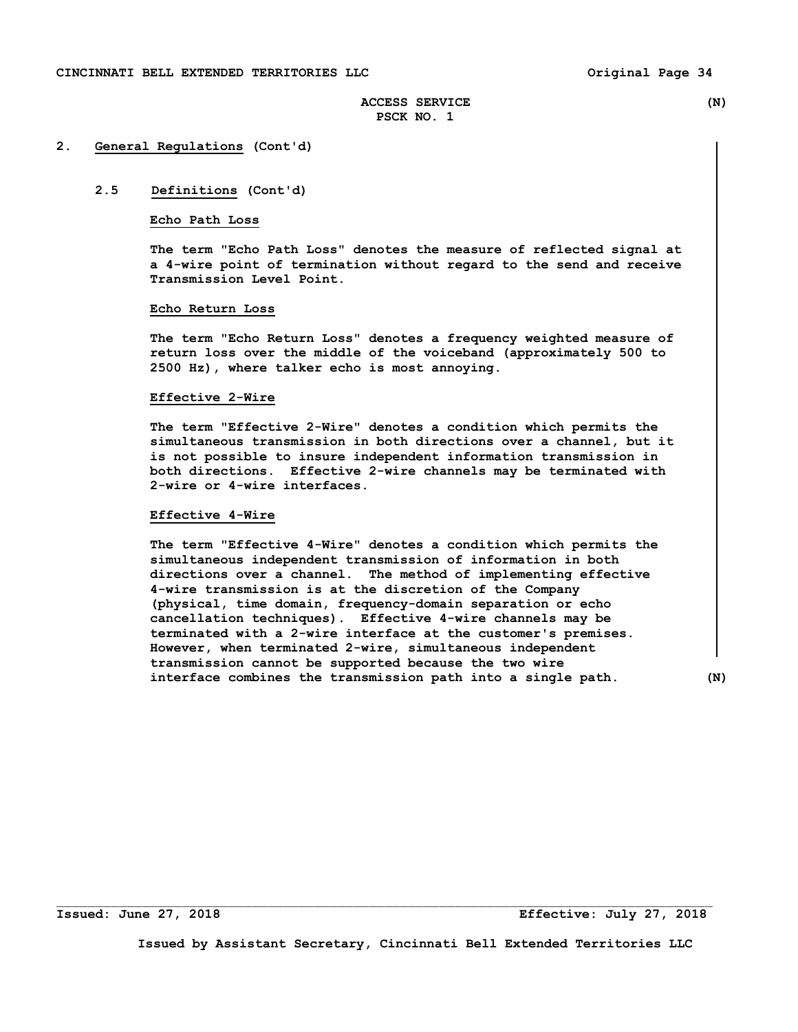## **2. General Regulations (Cont'd)**

# **2.5 Definitions (Cont'd)**

## **Echo Path Loss**

 **The term "Echo Path Loss" denotes the measure of reflected signal at a 4-wire point of termination without regard to the send and receive Transmission Level Point.** 

### **Echo Return Loss**

 **The term "Echo Return Loss" denotes a frequency weighted measure of return loss over the middle of the voiceband (approximately 500 to 2500 Hz), where talker echo is most annoying.** 

#### **Effective 2-Wire**

 **The term "Effective 2-Wire" denotes a condition which permits the simultaneous transmission in both directions over a channel, but it is not possible to insure independent information transmission in both directions. Effective 2-wire channels may be terminated with 2-wire or 4-wire interfaces.** 

#### **Effective 4-Wire**

 **The term "Effective 4-Wire" denotes a condition which permits the simultaneous independent transmission of information in both directions over a channel. The method of implementing effective 4-wire transmission is at the discretion of the Company (physical, time domain, frequency-domain separation or echo cancellation techniques). Effective 4-wire channels may be terminated with a 2-wire interface at the customer's premises. However, when terminated 2-wire, simultaneous independent transmission cannot be supported because the two wire interface combines the transmission path into a single path. (N)** 

**Issued: June 27, 2018 Effective: July 27, 2018** 

**Issued by Assistant Secretary, Cincinnati Bell Extended Territories LLC** 

 $\Box$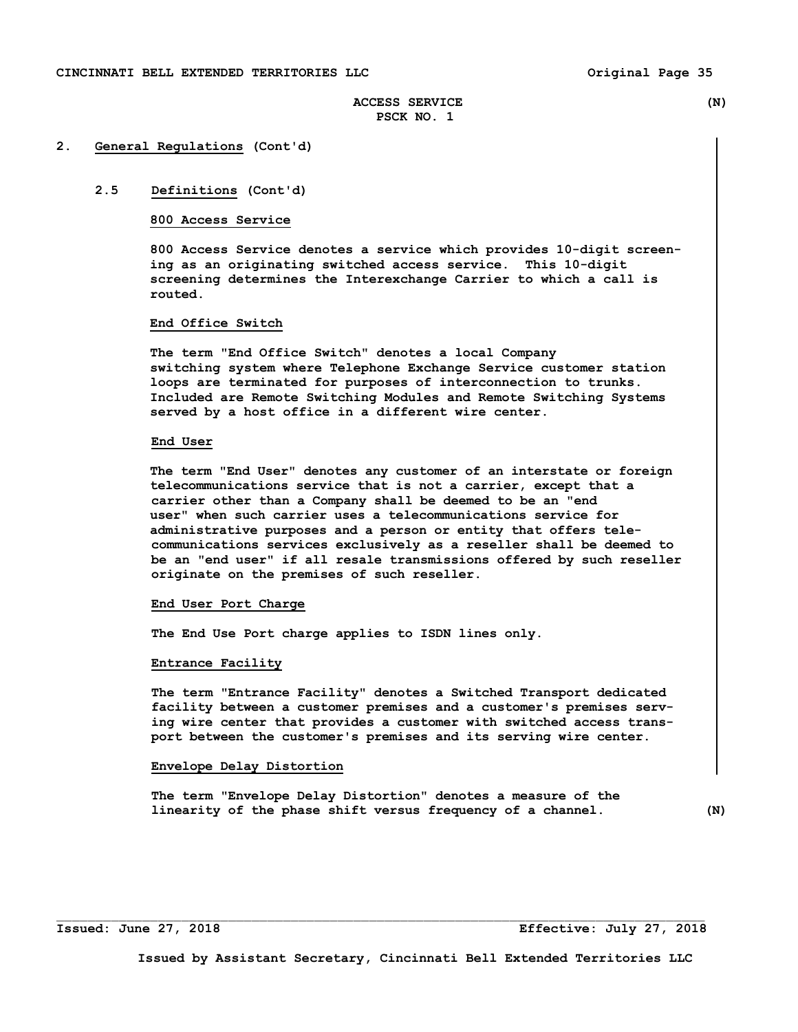#### **2. General Regulations (Cont'd)**

# **2.5 Definitions (Cont'd)**

### **800 Access Service**

 **800 Access Service denotes a service which provides 10-digit screen ing as an originating switched access service. This 10-digit screening determines the Interexchange Carrier to which a call is routed.** 

# **End Office Switch**

 **The term "End Office Switch" denotes a local Company switching system where Telephone Exchange Service customer station loops are terminated for purposes of interconnection to trunks. Included are Remote Switching Modules and Remote Switching Systems served by a host office in a different wire center.** 

#### **End User**

**The term "End User" denotes any customer of an interstate or foreign telecommunications service that is not a carrier, except that a carrier other than a Company shall be deemed to be an "end user" when such carrier uses a telecommunications service for administrative purposes and a person or entity that offers tele communications services exclusively as a reseller shall be deemed to be an "end user" if all resale transmissions offered by such reseller originate on the premises of such reseller.** 

#### **End User Port Charge**

 **The End Use Port charge applies to ISDN lines only.** 

#### **Entrance Facility**

 **The term "Entrance Facility" denotes a Switched Transport dedicated facility between a customer premises and a customer's premises serv ing wire center that provides a customer with switched access trans port between the customer's premises and its serving wire center.** 

#### **Envelope Delay Distortion**

 **The term "Envelope Delay Distortion" denotes a measure of the linearity of the phase shift versus frequency of a channel. (N)** 

**Issued: June 27, 2018 Effective: July 27, 2018**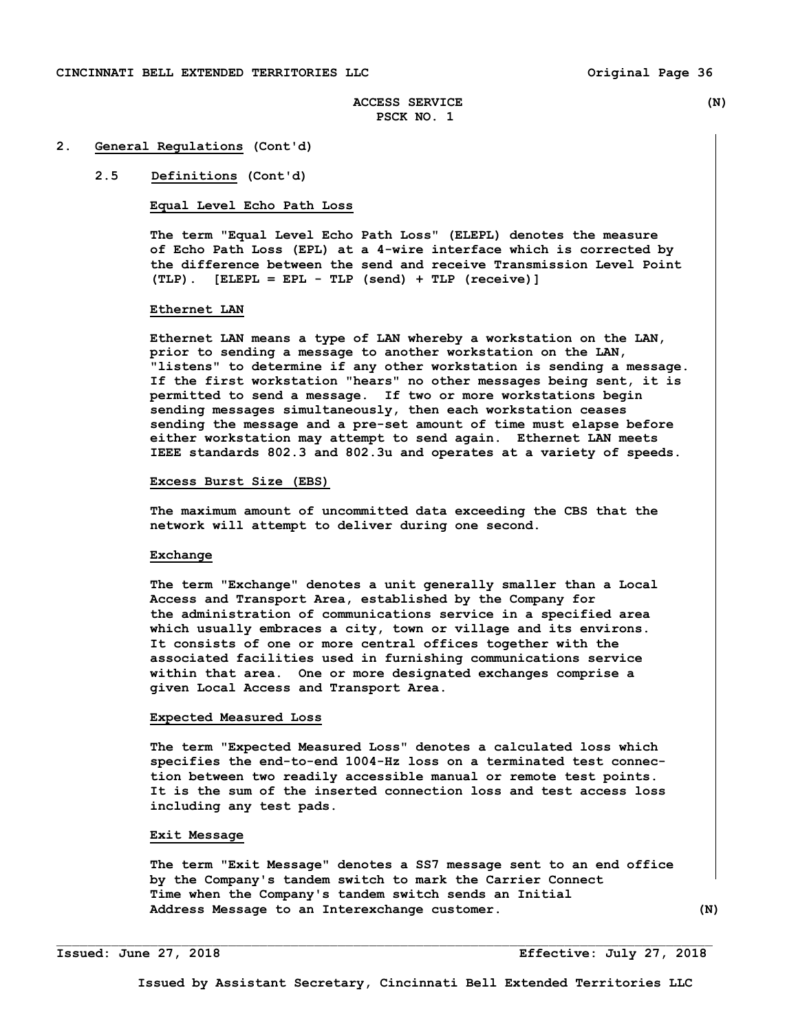#### **2. General Regulations (Cont'd)**

#### **2.5 Definitions (Cont'd)**

#### **Equal Level Echo Path Loss**

 **The term "Equal Level Echo Path Loss" (ELEPL) denotes the measure of Echo Path Loss (EPL) at a 4-wire interface which is corrected by the difference between the send and receive Transmission Level Point (TLP). [ELEPL = EPL - TLP (send) + TLP (receive)]** 

#### **Ethernet LAN**

**Ethernet LAN means a type of LAN whereby a workstation on the LAN, prior to sending a message to another workstation on the LAN, "listens" to determine if any other workstation is sending a message. If the first workstation "hears" no other messages being sent, it is permitted to send a message. If two or more workstations begin sending messages simultaneously, then each workstation ceases sending the message and a pre-set amount of time must elapse before either workstation may attempt to send again. Ethernet LAN meets IEEE standards 802.3 and 802.3u and operates at a variety of speeds.** 

#### **Excess Burst Size (EBS)**

 **The maximum amount of uncommitted data exceeding the CBS that the network will attempt to deliver during one second.** 

#### **Exchange**

 **The term "Exchange" denotes a unit generally smaller than a Local Access and Transport Area, established by the Company for the administration of communications service in a specified area which usually embraces a city, town or village and its environs. It consists of one or more central offices together with the associated facilities used in furnishing communications service within that area. One or more designated exchanges comprise a given Local Access and Transport Area.** 

#### **Expected Measured Loss**

 **The term "Expected Measured Loss" denotes a calculated loss which specifies the end-to-end 1004-Hz loss on a terminated test connec tion between two readily accessible manual or remote test points. It is the sum of the inserted connection loss and test access loss including any test pads.** 

## **Exit Message**

 **The term "Exit Message" denotes a SS7 message sent to an end office by the Company's tandem switch to mark the Carrier Connect Time when the Company's tandem switch sends an Initial Address Message to an Interexchange customer. (N)**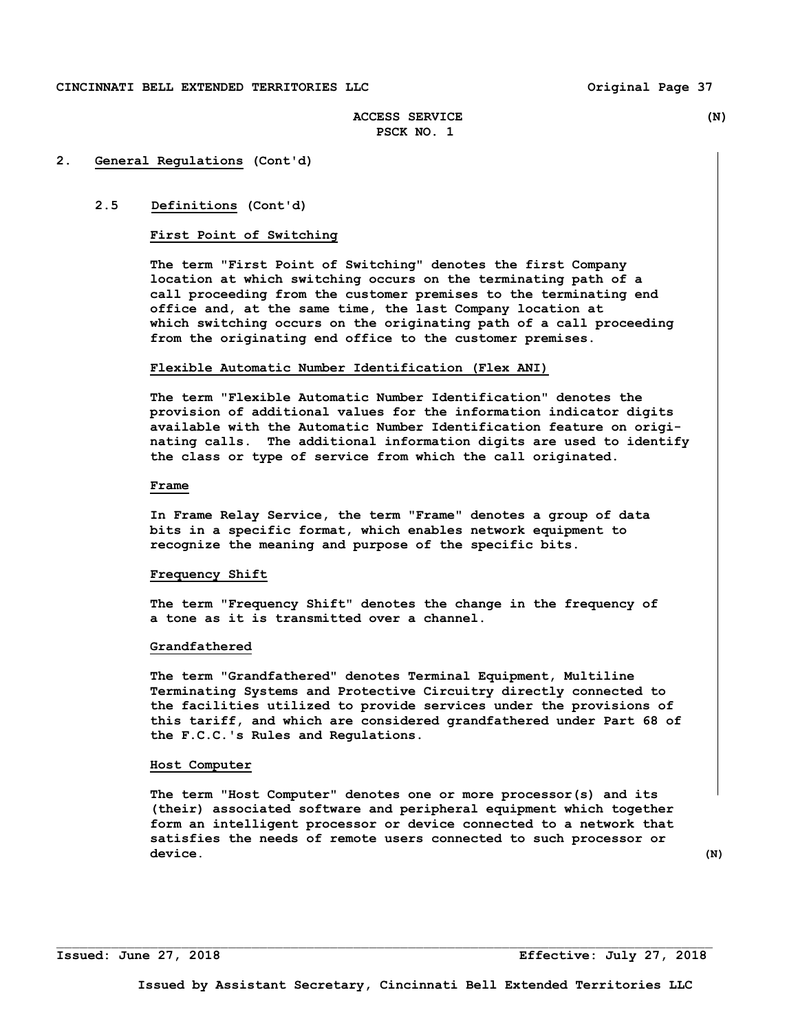## **CINCINNATI BELL EXTENDED TERRITORIES LLC Original Page 37**

# **ACCESS SERVICE (N) PSCK NO. 1**

## **2. General Regulations (Cont'd)**

#### **2.5 Definitions (Cont'd)**

#### **First Point of Switching**

 **The term "First Point of Switching" denotes the first Company location at which switching occurs on the terminating path of a call proceeding from the customer premises to the terminating end office and, at the same time, the last Company location at which switching occurs on the originating path of a call proceeding from the originating end office to the customer premises.** 

#### **Flexible Automatic Number Identification (Flex ANI)**

**The term "Flexible Automatic Number Identification" denotes the provision of additional values for the information indicator digits available with the Automatic Number Identification feature on origi nating calls. The additional information digits are used to identify the class or type of service from which the call originated.** 

#### **Frame**

 **In Frame Relay Service, the term "Frame" denotes a group of data bits in a specific format, which enables network equipment to recognize the meaning and purpose of the specific bits.** 

#### **Frequency Shift**

 **The term "Frequency Shift" denotes the change in the frequency of a tone as it is transmitted over a channel.** 

#### **Grandfathered**

 **The term "Grandfathered" denotes Terminal Equipment, Multiline Terminating Systems and Protective Circuitry directly connected to the facilities utilized to provide services under the provisions of this tariff, and which are considered grandfathered under Part 68 of the F.C.C.'s Rules and Regulations.** 

#### **Host Computer**

 **The term "Host Computer" denotes one or more processor(s) and its (their) associated software and peripheral equipment which together form an intelligent processor or device connected to a network that satisfies the needs of remote users connected to such processor or**  device. (N)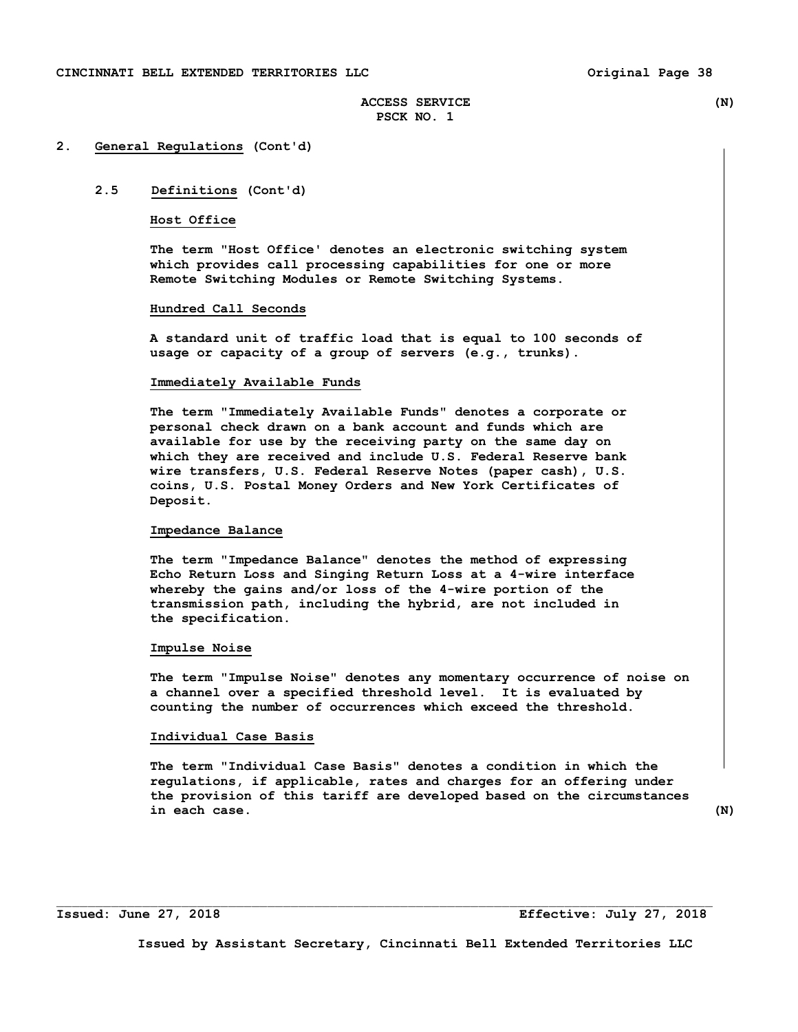#### **2. General Regulations (Cont'd)**

# **2.5 Definitions (Cont'd)**

#### **Host Office**

 **The term "Host Office' denotes an electronic switching system which provides call processing capabilities for one or more Remote Switching Modules or Remote Switching Systems.** 

#### **Hundred Call Seconds**

 **A standard unit of traffic load that is equal to 100 seconds of usage or capacity of a group of servers (e.g., trunks).** 

#### **Immediately Available Funds**

 **The term "Immediately Available Funds" denotes a corporate or personal check drawn on a bank account and funds which are available for use by the receiving party on the same day on which they are received and include U.S. Federal Reserve bank wire transfers, U.S. Federal Reserve Notes (paper cash), U.S. coins, U.S. Postal Money Orders and New York Certificates of Deposit.** 

#### **Impedance Balance**

 **The term "Impedance Balance" denotes the method of expressing Echo Return Loss and Singing Return Loss at a 4-wire interface whereby the gains and/or loss of the 4-wire portion of the transmission path, including the hybrid, are not included in the specification.** 

#### **Impulse Noise**

 **The term "Impulse Noise" denotes any momentary occurrence of noise on a channel over a specified threshold level. It is evaluated by counting the number of occurrences which exceed the threshold.** 

#### **Individual Case Basis**

 **The term "Individual Case Basis" denotes a condition in which the regulations, if applicable, rates and charges for an offering under the provision of this tariff are developed based on the circumstances in each case. (N)** 

**Issued: June 27, 2018 Effective: July 27, 2018** 

**Issued by Assistant Secretary, Cincinnati Bell Extended Territories LLC**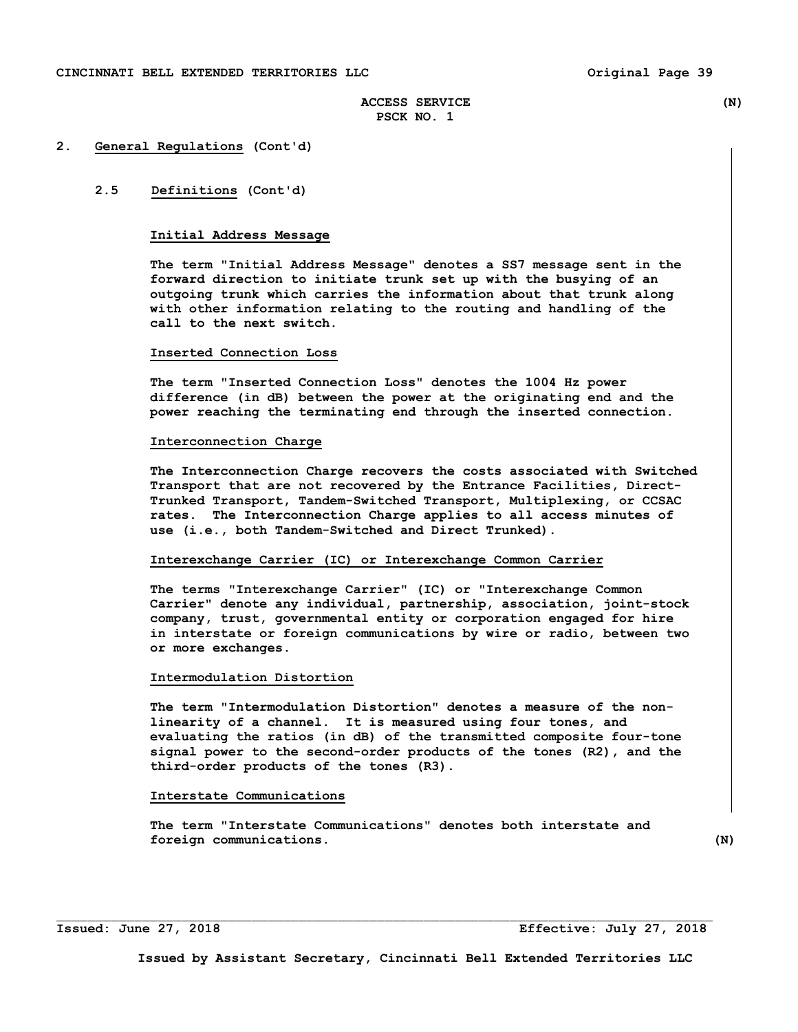#### **2. General Regulations (Cont'd)**

## **2.5 Definitions (Cont'd)**

## **Initial Address Message**

 **The term "Initial Address Message" denotes a SS7 message sent in the forward direction to initiate trunk set up with the busying of an outgoing trunk which carries the information about that trunk along with other information relating to the routing and handling of the call to the next switch.** 

#### **Inserted Connection Loss**

 **The term "Inserted Connection Loss" denotes the 1004 Hz power difference (in dB) between the power at the originating end and the power reaching the terminating end through the inserted connection.** 

#### **Interconnection Charge**

 **The Interconnection Charge recovers the costs associated with Switched Transport that are not recovered by the Entrance Facilities, Direct- Trunked Transport, Tandem-Switched Transport, Multiplexing, or CCSAC rates. The Interconnection Charge applies to all access minutes of use (i.e., both Tandem-Switched and Direct Trunked).** 

#### **Interexchange Carrier (IC) or Interexchange Common Carrier**

 **The terms "Interexchange Carrier" (IC) or "Interexchange Common Carrier" denote any individual, partnership, association, joint-stock company, trust, governmental entity or corporation engaged for hire in interstate or foreign communications by wire or radio, between two or more exchanges.** 

#### **Intermodulation Distortion**

 **The term "Intermodulation Distortion" denotes a measure of the non linearity of a channel. It is measured using four tones, and evaluating the ratios (in dB) of the transmitted composite four-tone signal power to the second-order products of the tones (R2), and the third-order products of the tones (R3).** 

## **Interstate Communications**

 **The term "Interstate Communications" denotes both interstate and foreign communications.** (N)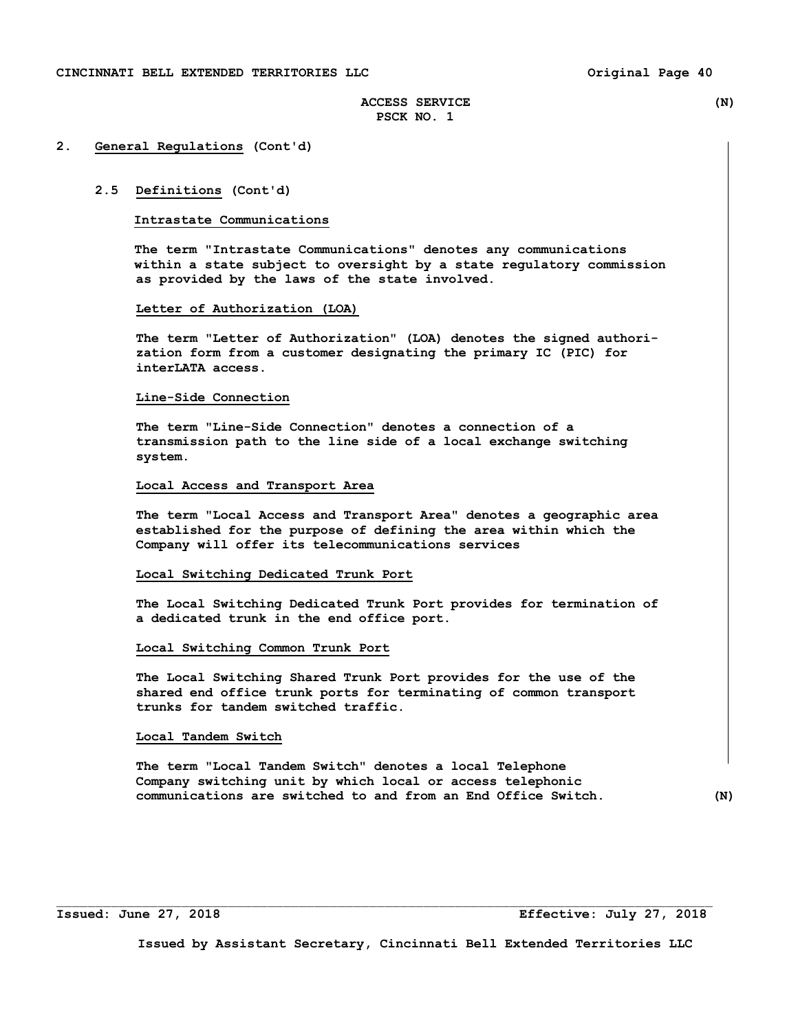#### **2. General Regulations (Cont'd)**

#### **2.5 Definitions (Cont'd)**

#### **Intrastate Communications**

 **The term "Intrastate Communications" denotes any communications within a state subject to oversight by a state regulatory commission as provided by the laws of the state involved.** 

#### **Letter of Authorization (LOA)**

 **The term "Letter of Authorization" (LOA) denotes the signed authori zation form from a customer designating the primary IC (PIC) for interLATA access.** 

#### **Line-Side Connection**

 **The term "Line-Side Connection" denotes a connection of a transmission path to the line side of a local exchange switching system.** 

# **Local Access and Transport Area**

 **The term "Local Access and Transport Area" denotes a geographic area established for the purpose of defining the area within which the Company will offer its telecommunications services** 

#### **Local Switching Dedicated Trunk Port**

 **The Local Switching Dedicated Trunk Port provides for termination of a dedicated trunk in the end office port.** 

#### **Local Switching Common Trunk Port**

 **The Local Switching Shared Trunk Port provides for the use of the shared end office trunk ports for terminating of common transport trunks for tandem switched traffic.** 

# **Local Tandem Switch**

 **The term "Local Tandem Switch" denotes a local Telephone Company switching unit by which local or access telephonic communications are switched to and from an End Office Switch. (N)** 

 $\Box$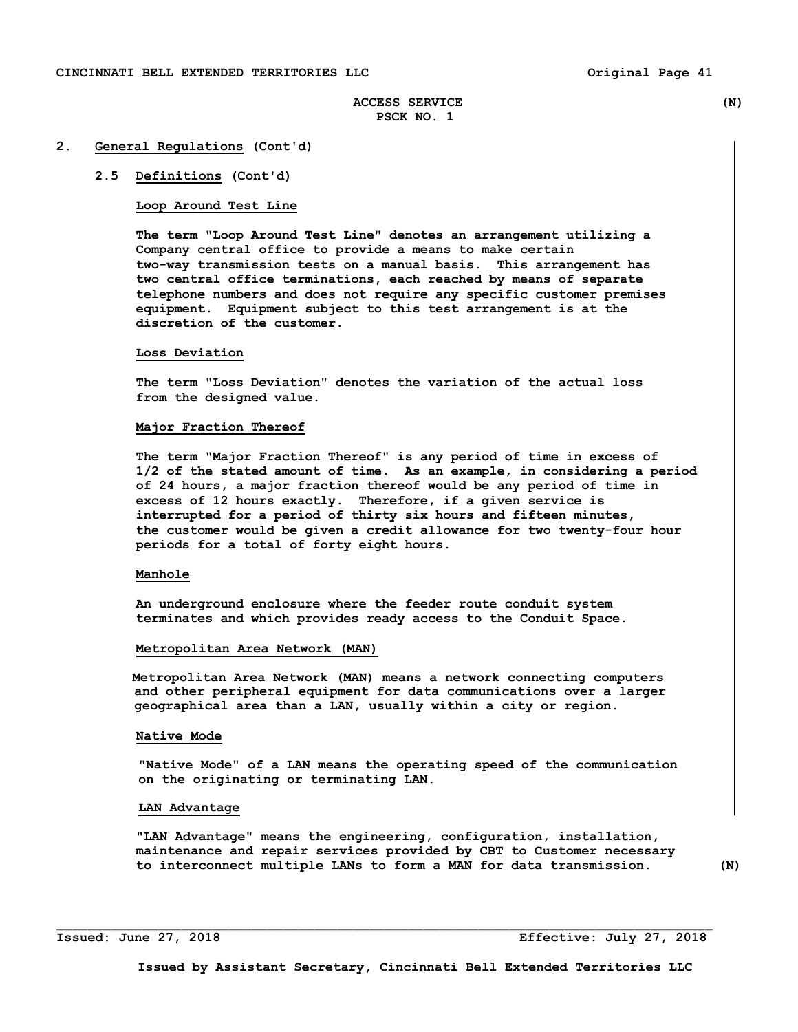#### **2. General Regulations (Cont'd)**

## **2.5 Definitions (Cont'd)**

#### **Loop Around Test Line**

 **The term "Loop Around Test Line" denotes an arrangement utilizing a Company central office to provide a means to make certain two-way transmission tests on a manual basis. This arrangement has two central office terminations, each reached by means of separate telephone numbers and does not require any specific customer premises equipment. Equipment subject to this test arrangement is at the discretion of the customer.** 

#### **Loss Deviation**

 **The term "Loss Deviation" denotes the variation of the actual loss from the designed value.** 

#### **Major Fraction Thereof**

 **The term "Major Fraction Thereof" is any period of time in excess of 1/2 of the stated amount of time. As an example, in considering a period of 24 hours, a major fraction thereof would be any period of time in excess of 12 hours exactly. Therefore, if a given service is interrupted for a period of thirty six hours and fifteen minutes, the customer would be given a credit allowance for two twenty-four hour periods for a total of forty eight hours.** 

### **Manhole**

 **An underground enclosure where the feeder route conduit system terminates and which provides ready access to the Conduit Space.** 

#### **Metropolitan Area Network (MAN)**

 **Metropolitan Area Network (MAN) means a network connecting computers and other peripheral equipment for data communications over a larger geographical area than a LAN, usually within a city or region.** 

#### **Native Mode**

 **"Native Mode" of a LAN means the operating speed of the communication on the originating or terminating LAN.** 

# **LAN Advantage**

 **"LAN Advantage" means the engineering, configuration, installation, maintenance and repair services provided by CBT to Customer necessary to interconnect multiple LANs to form a MAN for data transmission. (N)**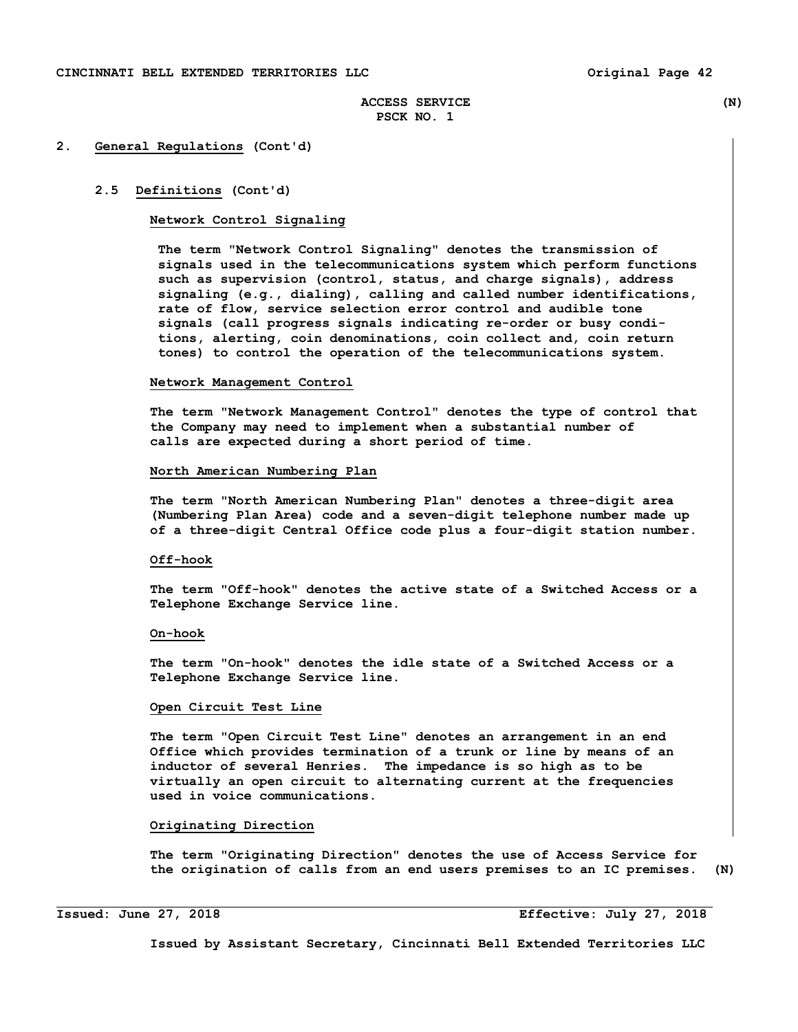## **2. General Regulations (Cont'd)**

#### **2.5 Definitions (Cont'd)**

#### **Network Control Signaling**

 **The term "Network Control Signaling" denotes the transmission of signals used in the telecommunications system which perform functions such as supervision (control, status, and charge signals), address signaling (e.g., dialing), calling and called number identifications, rate of flow, service selection error control and audible tone signals (call progress signals indicating re-order or busy condi tions, alerting, coin denominations, coin collect and, coin return tones) to control the operation of the telecommunications system.** 

#### **Network Management Control**

 **The term "Network Management Control" denotes the type of control that the Company may need to implement when a substantial number of calls are expected during a short period of time.** 

## **North American Numbering Plan**

 **The term "North American Numbering Plan" denotes a three-digit area (Numbering Plan Area) code and a seven-digit telephone number made up of a three-digit Central Office code plus a four-digit station number.** 

#### **Off-hook**

 **The term "Off-hook" denotes the active state of a Switched Access or a Telephone Exchange Service line.** 

#### **On-hook**

 **The term "On-hook" denotes the idle state of a Switched Access or a Telephone Exchange Service line.** 

#### **Open Circuit Test Line**

 **The term "Open Circuit Test Line" denotes an arrangement in an end Office which provides termination of a trunk or line by means of an inductor of several Henries. The impedance is so high as to be virtually an open circuit to alternating current at the frequencies used in voice communications.** 

#### **Originating Direction**

 **The term "Originating Direction" denotes the use of Access Service for the origination of calls from an end users premises to an IC premises. (N)** 

i<br>L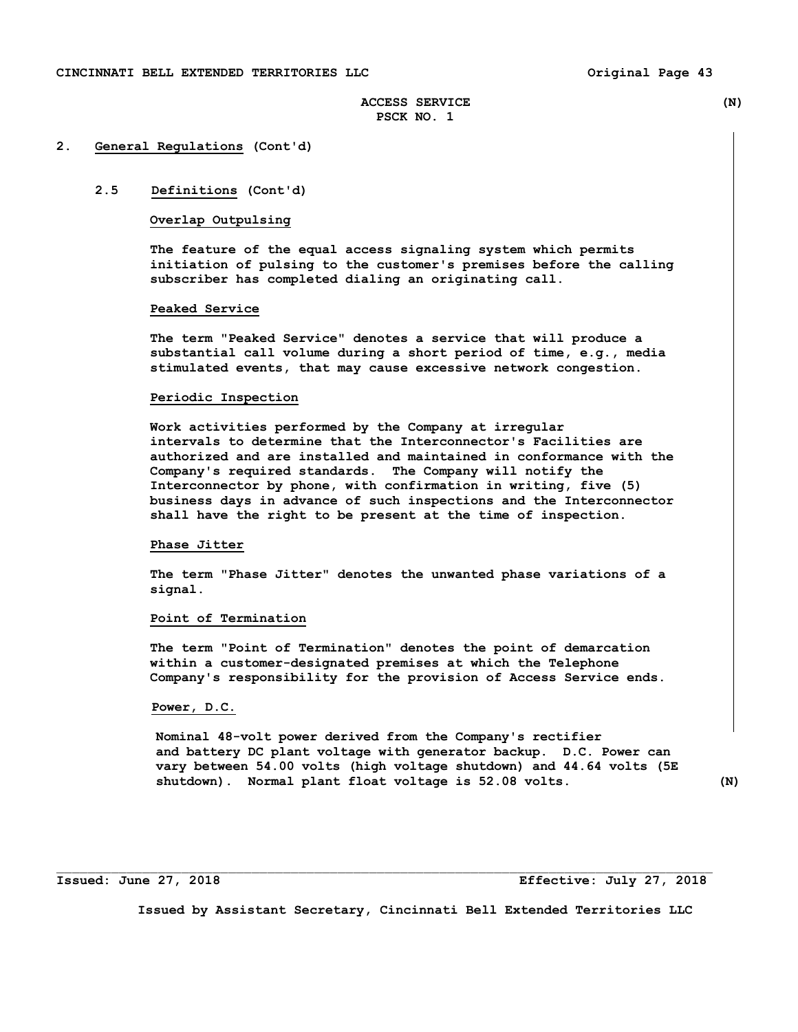#### **2. General Regulations (Cont'd)**

# **2.5 Definitions (Cont'd)**

## **Overlap Outpulsing**

 **The feature of the equal access signaling system which permits initiation of pulsing to the customer's premises before the calling subscriber has completed dialing an originating call.** 

#### **Peaked Service**

 **The term "Peaked Service" denotes a service that will produce a substantial call volume during a short period of time, e.g., media stimulated events, that may cause excessive network congestion.** 

#### **Periodic Inspection**

 **Work activities performed by the Company at irregular intervals to determine that the Interconnector's Facilities are authorized and are installed and maintained in conformance with the Company's required standards. The Company will notify the Interconnector by phone, with confirmation in writing, five (5) business days in advance of such inspections and the Interconnector shall have the right to be present at the time of inspection.** 

#### **Phase Jitter**

 **The term "Phase Jitter" denotes the unwanted phase variations of a signal.** 

#### **Point of Termination**

 **The term "Point of Termination" denotes the point of demarcation within a customer-designated premises at which the Telephone Company's responsibility for the provision of Access Service ends.** 

#### **Power, D.C.**

 **Nominal 48-volt power derived from the Company's rectifier and battery DC plant voltage with generator backup. D.C. Power can vary between 54.00 volts (high voltage shutdown) and 44.64 volts (5E shutdown). Normal plant float voltage is 52.08 volts. (N)** 

**Issued: June 27, 2018 Effective: July 27, 2018** 

**Issued by Assistant Secretary, Cincinnati Bell Extended Territories LLC**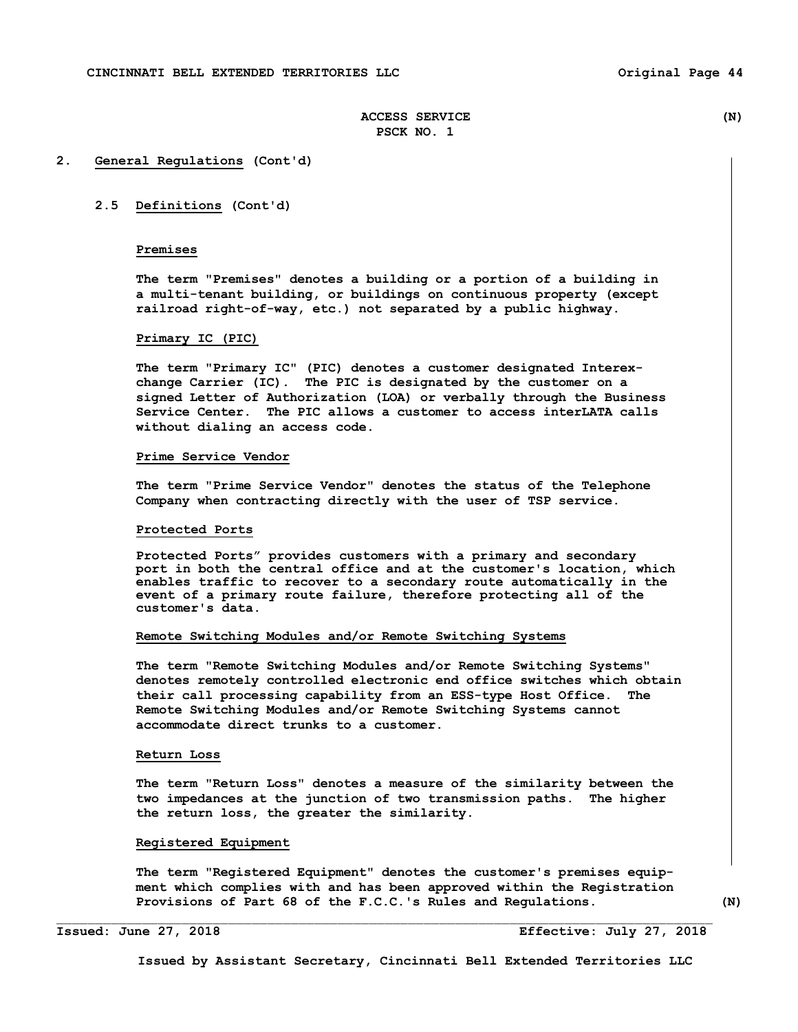## **2. General Regulations (Cont'd)**

## **2.5 Definitions (Cont'd)**

## **Premises**

 **The term "Premises" denotes a building or a portion of a building in a multi-tenant building, or buildings on continuous property (except railroad right-of-way, etc.) not separated by a public highway.** 

# **Primary IC (PIC)**

 **The term "Primary IC" (PIC) denotes a customer designated Interex change Carrier (IC). The PIC is designated by the customer on a signed Letter of Authorization (LOA) or verbally through the Business Service Center. The PIC allows a customer to access interLATA calls without dialing an access code.** 

#### **Prime Service Vendor**

 **The term "Prime Service Vendor" denotes the status of the Telephone Company when contracting directly with the user of TSP service.** 

#### **Protected Ports**

**Protected Ports" provides customers with a primary and secondary port in both the central office and at the customer's location, which enables traffic to recover to a secondary route automatically in the event of a primary route failure, therefore protecting all of the customer's data.** 

#### **Remote Switching Modules and/or Remote Switching Systems**

 **The term "Remote Switching Modules and/or Remote Switching Systems" denotes remotely controlled electronic end office switches which obtain their call processing capability from an ESS-type Host Office. The Remote Switching Modules and/or Remote Switching Systems cannot accommodate direct trunks to a customer.** 

## **Return Loss**

 **The term "Return Loss" denotes a measure of the similarity between the two impedances at the junction of two transmission paths. The higher the return loss, the greater the similarity.** 

#### **Registered Equipment**

 **The term "Registered Equipment" denotes the customer's premises equip ment which complies with and has been approved within the Registration Provisions of Part 68 of the F.C.C.'s Rules and Regulations. (N)** 

 $\Box$ 

**Issued: June 27, 2018 Effective: July 27, 2018**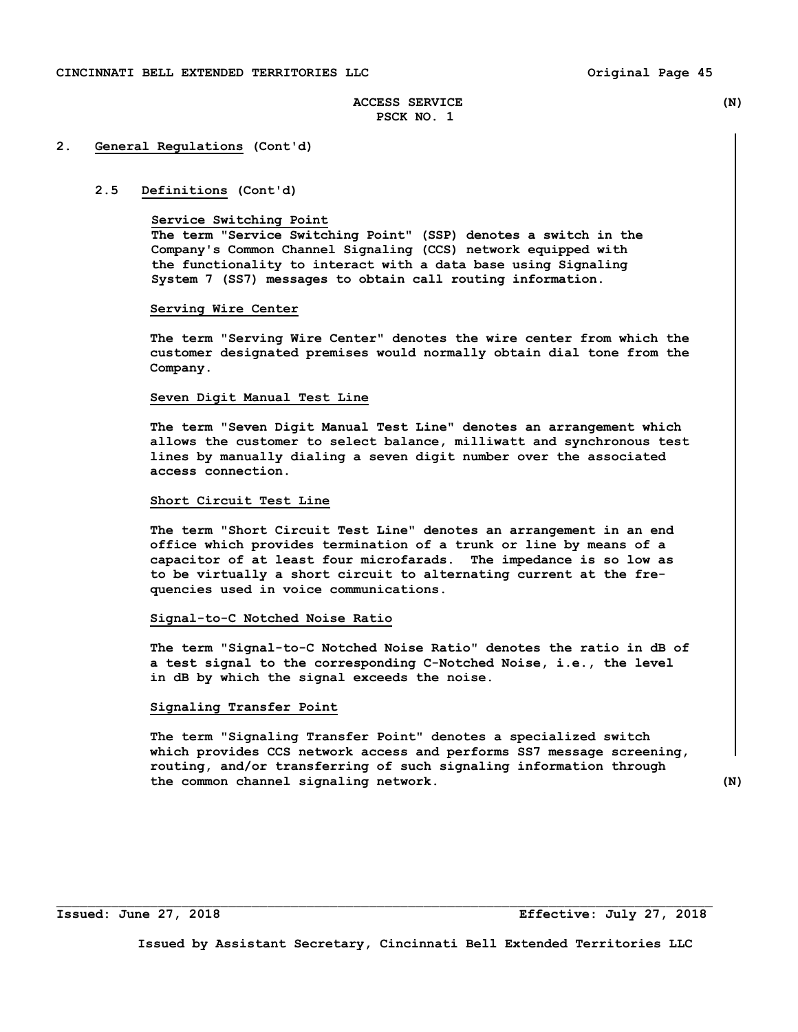#### **2. General Regulations (Cont'd)**

#### **2.5 Definitions (Cont'd)**

#### **Service Switching Point**

 **The term "Service Switching Point" (SSP) denotes a switch in the Company's Common Channel Signaling (CCS) network equipped with the functionality to interact with a data base using Signaling System 7 (SS7) messages to obtain call routing information.** 

#### **Serving Wire Center**

 **The term "Serving Wire Center" denotes the wire center from which the customer designated premises would normally obtain dial tone from the Company.** 

#### **Seven Digit Manual Test Line**

 **The term "Seven Digit Manual Test Line" denotes an arrangement which allows the customer to select balance, milliwatt and synchronous test lines by manually dialing a seven digit number over the associated access connection.** 

#### **Short Circuit Test Line**

 **The term "Short Circuit Test Line" denotes an arrangement in an end office which provides termination of a trunk or line by means of a capacitor of at least four microfarads. The impedance is so low as to be virtually a short circuit to alternating current at the fre quencies used in voice communications.** 

#### **Signal-to-C Notched Noise Ratio**

 **The term "Signal-to-C Notched Noise Ratio" denotes the ratio in dB of a test signal to the corresponding C-Notched Noise, i.e., the level in dB by which the signal exceeds the noise.** 

#### **Signaling Transfer Point**

 **The term "Signaling Transfer Point" denotes a specialized switch which provides CCS network access and performs SS7 message screening, routing, and/or transferring of such signaling information through the common channel signaling network. (N)** 

**Issued by Assistant Secretary, Cincinnati Bell Extended Territories LLC**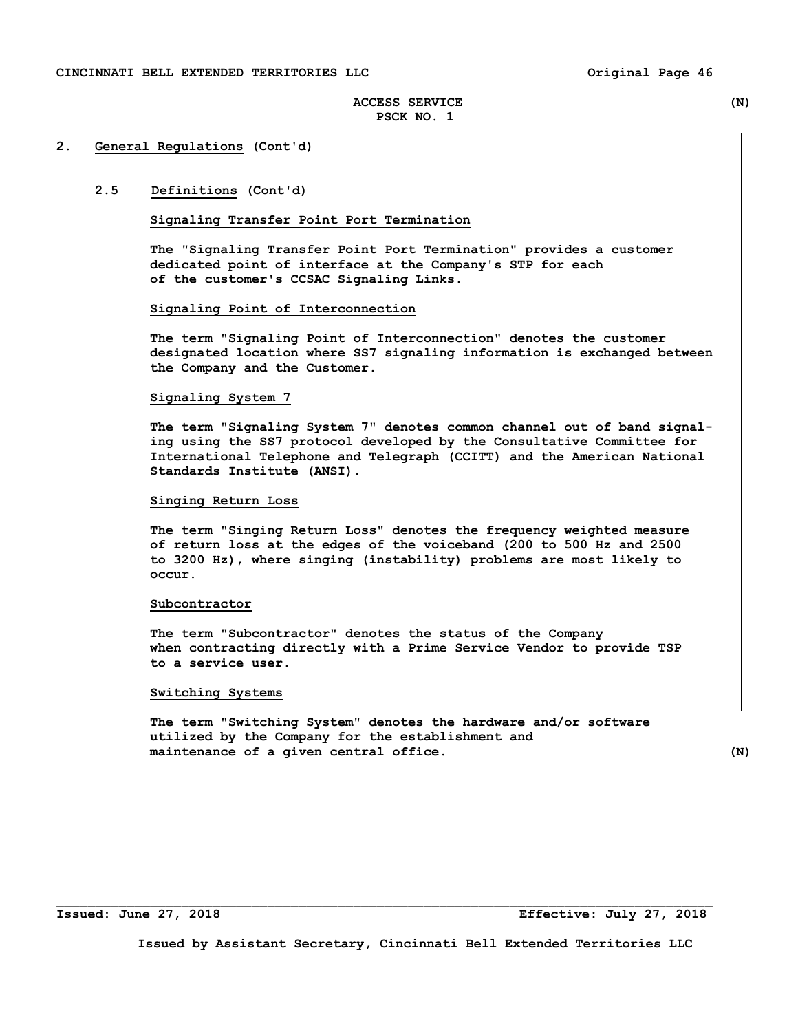## **2. General Regulations (Cont'd)**

# **2.5 Definitions (Cont'd)**

## **Signaling Transfer Point Port Termination**

 **The "Signaling Transfer Point Port Termination" provides a customer dedicated point of interface at the Company's STP for each of the customer's CCSAC Signaling Links.** 

#### **Signaling Point of Interconnection**

 **The term "Signaling Point of Interconnection" denotes the customer designated location where SS7 signaling information is exchanged between the Company and the Customer.** 

#### **Signaling System 7**

 **The term "Signaling System 7" denotes common channel out of band signal ing using the SS7 protocol developed by the Consultative Committee for International Telephone and Telegraph (CCITT) and the American National Standards Institute (ANSI).** 

# **Singing Return Loss**

 **The term "Singing Return Loss" denotes the frequency weighted measure of return loss at the edges of the voiceband (200 to 500 Hz and 2500 to 3200 Hz), where singing (instability) problems are most likely to occur.** 

#### **Subcontractor**

 **The term "Subcontractor" denotes the status of the Company when contracting directly with a Prime Service Vendor to provide TSP to a service user.** 

#### **Switching Systems**

 **The term "Switching System" denotes the hardware and/or software utilized by the Company for the establishment and maintenance of a given central office. (N)**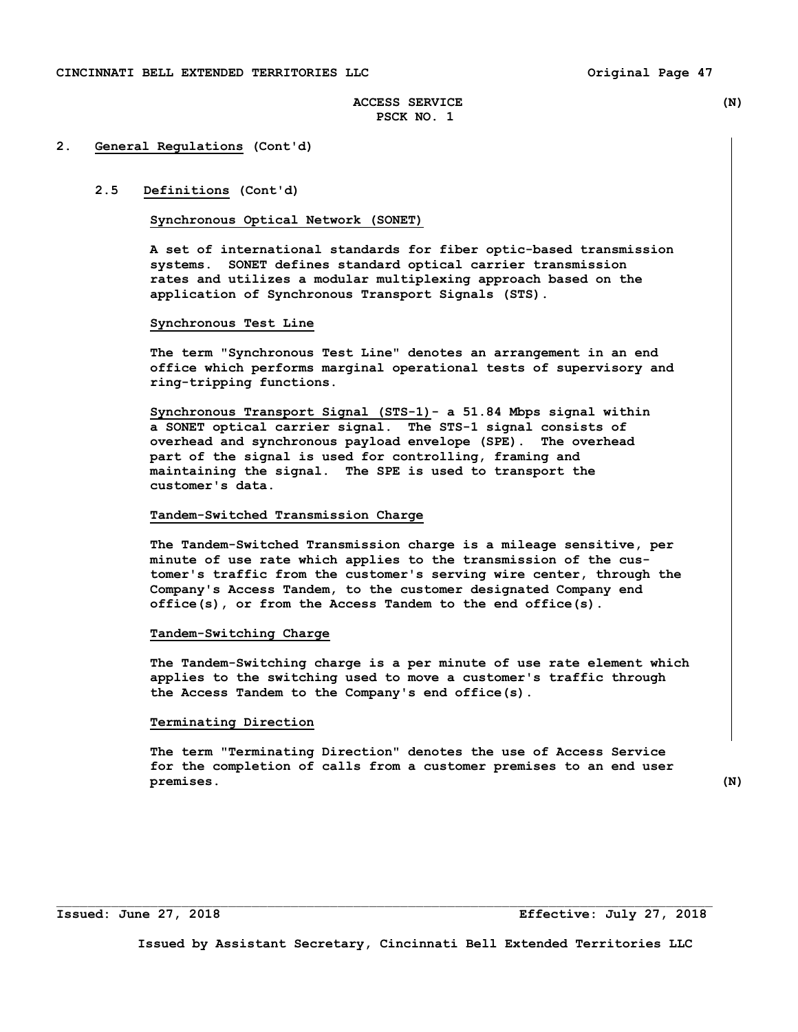## **2. General Regulations (Cont'd)**

# **2.5 Definitions (Cont'd)**

#### **Synchronous Optical Network (SONET)**

**A set of international standards for fiber optic-based transmission systems. SONET defines standard optical carrier transmission rates and utilizes a modular multiplexing approach based on the application of Synchronous Transport Signals (STS).** 

#### **Synchronous Test Line**

 **The term "Synchronous Test Line" denotes an arrangement in an end office which performs marginal operational tests of supervisory and ring-tripping functions.** 

 **Synchronous Transport Signal (STS-1)- a 51.84 Mbps signal within a SONET optical carrier signal. The STS-1 signal consists of overhead and synchronous payload envelope (SPE). The overhead part of the signal is used for controlling, framing and maintaining the signal. The SPE is used to transport the customer's data.** 

#### **Tandem-Switched Transmission Charge**

 **The Tandem-Switched Transmission charge is a mileage sensitive, per minute of use rate which applies to the transmission of the cus tomer's traffic from the customer's serving wire center, through the Company's Access Tandem, to the customer designated Company end office(s), or from the Access Tandem to the end office(s).** 

#### **Tandem-Switching Charge**

 **The Tandem-Switching charge is a per minute of use rate element which applies to the switching used to move a customer's traffic through the Access Tandem to the Company's end office(s).** 

#### **Terminating Direction**

 **The term "Terminating Direction" denotes the use of Access Service for the completion of calls from a customer premises to an end user premises. (N)** 

**Issued: June 27, 2018 Effective: July 27, 2018** 

**Issued by Assistant Secretary, Cincinnati Bell Extended Territories LLC**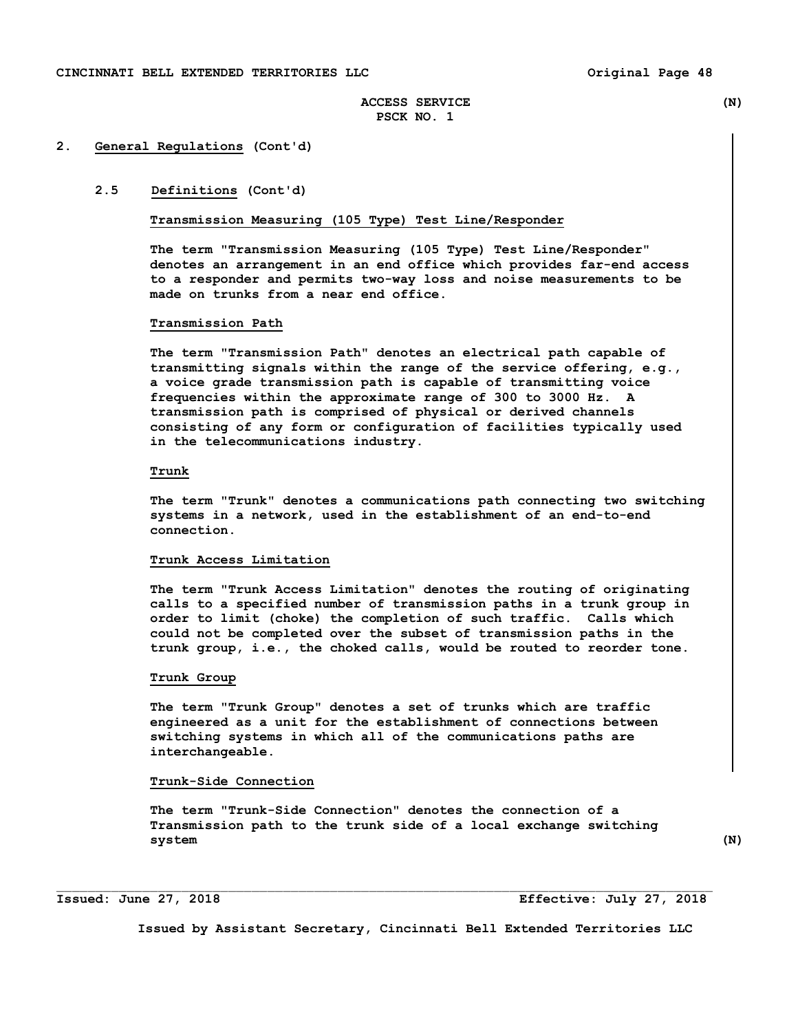#### **2. General Regulations (Cont'd)**

# **2.5 Definitions (Cont'd)**

#### **Transmission Measuring (105 Type) Test Line/Responder**

**The term "Transmission Measuring (105 Type) Test Line/Responder" denotes an arrangement in an end office which provides far-end access to a responder and permits two-way loss and noise measurements to be made on trunks from a near end office.** 

#### **Transmission Path**

 **The term "Transmission Path" denotes an electrical path capable of transmitting signals within the range of the service offering, e.g., a voice grade transmission path is capable of transmitting voice frequencies within the approximate range of 300 to 3000 Hz. A transmission path is comprised of physical or derived channels consisting of any form or configuration of facilities typically used in the telecommunications industry.** 

### **Trunk**

 **The term "Trunk" denotes a communications path connecting two switching systems in a network, used in the establishment of an end-to-end connection.** 

#### **Trunk Access Limitation**

 **The term "Trunk Access Limitation" denotes the routing of originating calls to a specified number of transmission paths in a trunk group in order to limit (choke) the completion of such traffic. Calls which could not be completed over the subset of transmission paths in the trunk group, i.e., the choked calls, would be routed to reorder tone.** 

#### **Trunk Group**

 **The term "Trunk Group" denotes a set of trunks which are traffic engineered as a unit for the establishment of connections between switching systems in which all of the communications paths are interchangeable.** 

#### **Trunk-Side Connection**

 **The term "Trunk-Side Connection" denotes the connection of a Transmission path to the trunk side of a local exchange switching system (N)** 

 $\mathcal{L}_\text{max}$ 

**Issued: June 27, 2018 Effective: July 27, 2018**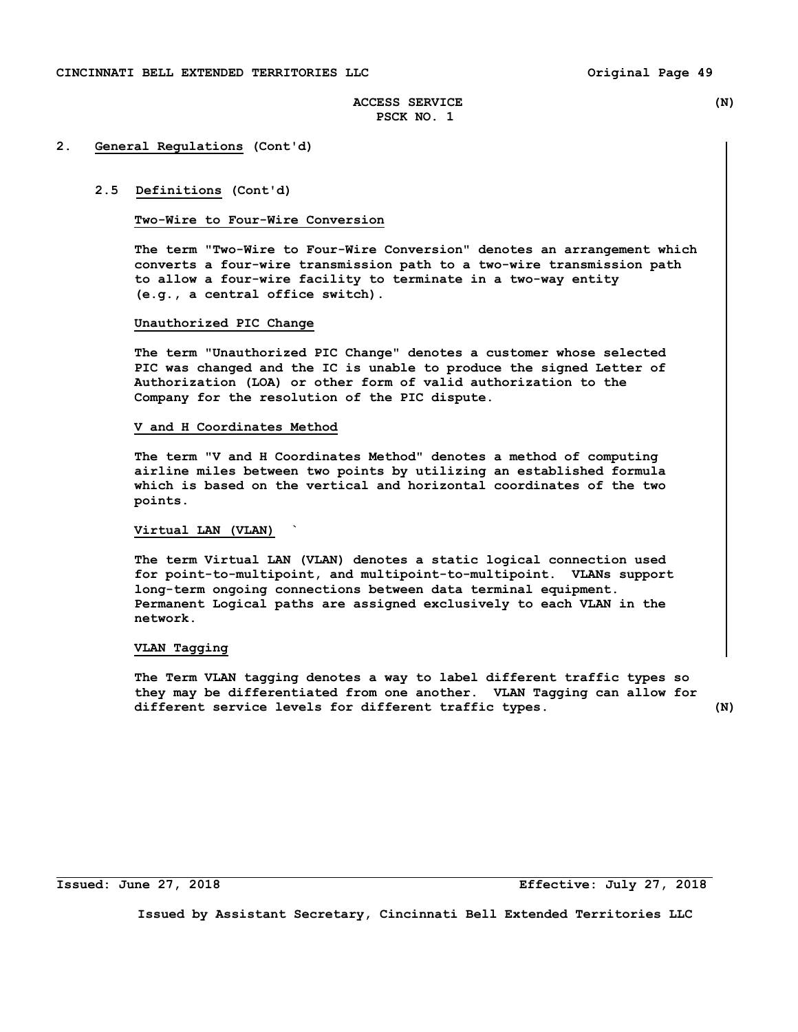#### **2. General Regulations (Cont'd)**

#### **2.5 Definitions (Cont'd)**

#### **Two-Wire to Four-Wire Conversion**

 **The term "Two-Wire to Four-Wire Conversion" denotes an arrangement which converts a four-wire transmission path to a two-wire transmission path to allow a four-wire facility to terminate in a two-way entity (e.g., a central office switch).** 

#### **Unauthorized PIC Change**

 **The term "Unauthorized PIC Change" denotes a customer whose selected PIC was changed and the IC is unable to produce the signed Letter of Authorization (LOA) or other form of valid authorization to the Company for the resolution of the PIC dispute.** 

#### **V and H Coordinates Method**

 **The term "V and H Coordinates Method" denotes a method of computing airline miles between two points by utilizing an established formula which is based on the vertical and horizontal coordinates of the two points.** 

# **Virtual LAN (VLAN) `**

 **The term Virtual LAN (VLAN) denotes a static logical connection used for point-to-multipoint, and multipoint-to-multipoint. VLANs support long-term ongoing connections between data terminal equipment. Permanent Logical paths are assigned exclusively to each VLAN in the network.** 

#### **VLAN Tagging**

 **The Term VLAN tagging denotes a way to label different traffic types so they may be differentiated from one another. VLAN Tagging can allow for different service levels for different traffic types. (N)** 

i<br>L

**Issued: June 27, 2018 Effective: July 27, 2018**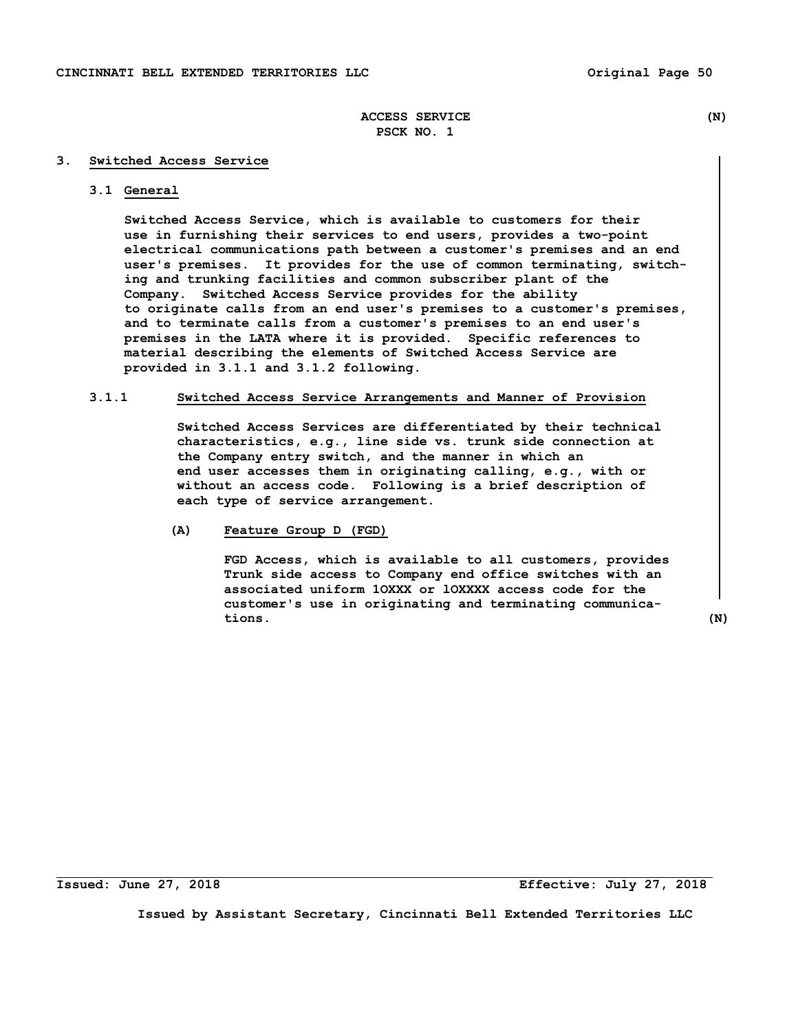#### **3. Switched Access Service**

# **3.1 General**

 **Switched Access Service, which is available to customers for their use in furnishing their services to end users, provides a two-point electrical communications path between a customer's premises and an end user's premises. It provides for the use of common terminating, switch ing and trunking facilities and common subscriber plant of the Company. Switched Access Service provides for the ability to originate calls from an end user's premises to a customer's premises, and to terminate calls from a customer's premises to an end user's premises in the LATA where it is provided. Specific references to material describing the elements of Switched Access Service are provided in 3.1.1 and 3.1.2 following.** 

# **3.1.1 Switched Access Service Arrangements and Manner of Provision**

 **Switched Access Services are differentiated by their technical characteristics, e.g., line side vs. trunk side connection at the Company entry switch, and the manner in which an end user accesses them in originating calling, e.g., with or without an access code. Following is a brief description of each type of service arrangement.** 

# **(A) Feature Group D (FGD)**

 **FGD Access, which is available to all customers, provides Trunk side access to Company end office switches with an associated uniform 1OXXX or lOXXXX access code for the customer's use in originating and terminating communica tions. (N)**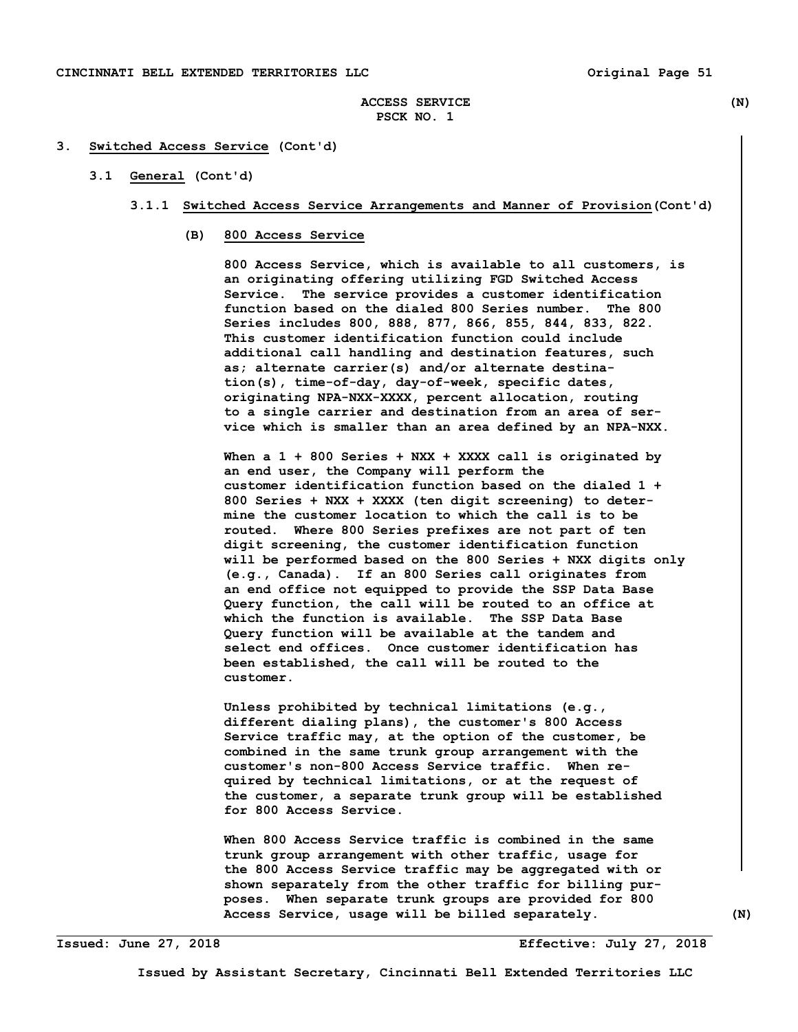#### **3. Switched Access Service (Cont'd)**

## **3.1 General (Cont'd)**

- **3.1.1 Switched Access Service Arrangements and Manner of Provision(Cont'd)** 
	- **(B) 800 Access Service**

 **800 Access Service, which is available to all customers, is an originating offering utilizing FGD Switched Access Service. The service provides a customer identification function based on the dialed 800 Series number. The 800 Series includes 800, 888, 877, 866, 855, 844, 833, 822. This customer identification function could include additional call handling and destination features, such as; alternate carrier(s) and/or alternate destina tion(s), time-of-day, day-of-week, specific dates, originating NPA-NXX-XXXX, percent allocation, routing to a single carrier and destination from an area of ser vice which is smaller than an area defined by an NPA-NXX.** 

 **When a 1 + 800 Series + NXX + XXXX call is originated by an end user, the Company will perform the customer identification function based on the dialed 1 + 800 Series + NXX + XXXX (ten digit screening) to deter mine the customer location to which the call is to be routed. Where 800 Series prefixes are not part of ten digit screening, the customer identification function will be performed based on the 800 Series + NXX digits only (e.g., Canada). If an 800 Series call originates from an end office not equipped to provide the SSP Data Base Query function, the call will be routed to an office at which the function is available. The SSP Data Base Query function will be available at the tandem and select end offices. Once customer identification has been established, the call will be routed to the customer.** 

 **Unless prohibited by technical limitations (e.g., different dialing plans), the customer's 800 Access Service traffic may, at the option of the customer, be combined in the same trunk group arrangement with the customer's non-800 Access Service traffic. When re quired by technical limitations, or at the request of the customer, a separate trunk group will be established for 800 Access Service.** 

 **When 800 Access Service traffic is combined in the same trunk group arrangement with other traffic, usage for the 800 Access Service traffic may be aggregated with or shown separately from the other traffic for billing pur poses. When separate trunk groups are provided for 800 Access Service, usage will be billed separately. (N)** 

**Issued: June 27, 2018 Effective: July 27, 2018**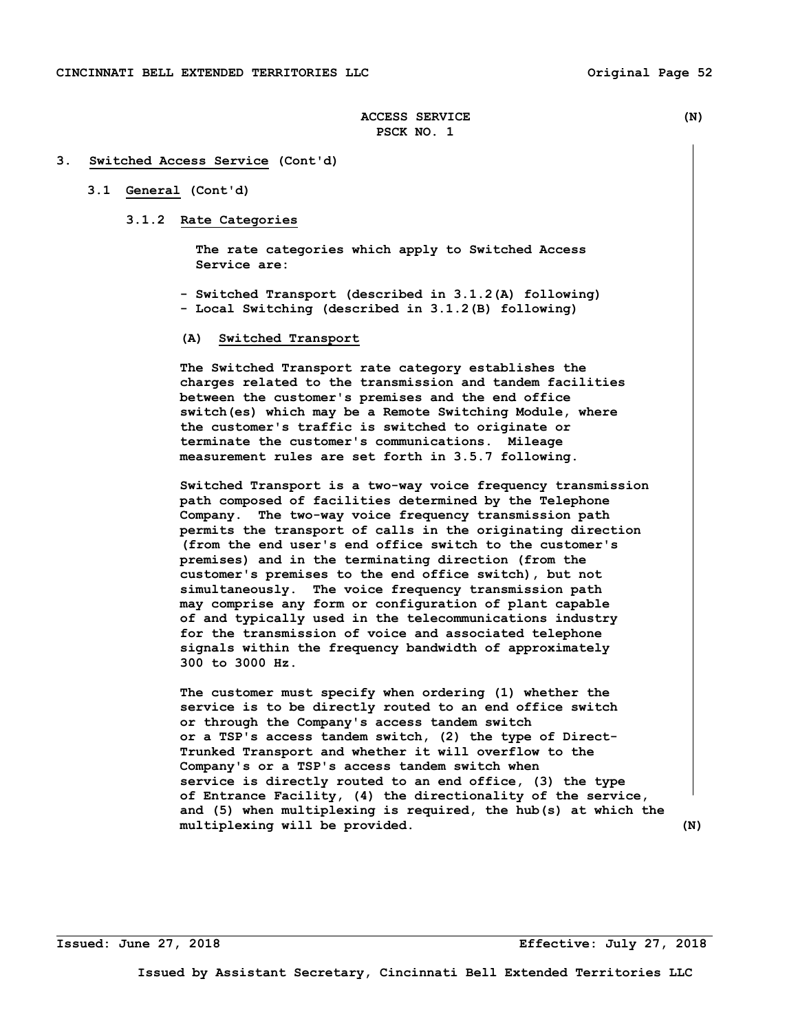#### **3. Switched Access Service (Cont'd)**

## **3.1 General (Cont'd)**

 **3.1.2 Rate Categories** 

 **The rate categories which apply to Switched Access Service are:** 

- **Switched Transport (described in 3.1.2(A) following) - Local Switching (described in 3.1.2(B) following)**
- **(A) Switched Transport**

 **The Switched Transport rate category establishes the charges related to the transmission and tandem facilities between the customer's premises and the end office switch(es) which may be a Remote Switching Module, where the customer's traffic is switched to originate or terminate the customer's communications. Mileage measurement rules are set forth in 3.5.7 following.** 

 **Switched Transport is a two-way voice frequency transmission path composed of facilities determined by the Telephone Company. The two-way voice frequency transmission path permits the transport of calls in the originating direction (from the end user's end office switch to the customer's premises) and in the terminating direction (from the customer's premises to the end office switch), but not simultaneously. The voice frequency transmission path may comprise any form or configuration of plant capable of and typically used in the telecommunications industry for the transmission of voice and associated telephone signals within the frequency bandwidth of approximately 300 to 3000 Hz.** 

 **The customer must specify when ordering (1) whether the service is to be directly routed to an end office switch or through the Company's access tandem switch or a TSP's access tandem switch, (2) the type of Direct- Trunked Transport and whether it will overflow to the Company's or a TSP's access tandem switch when service is directly routed to an end office, (3) the type of Entrance Facility, (4) the directionality of the service, and (5) when multiplexing is required, the hub(s) at which the multiplexing will be provided. (N)** 

**Issued: June 27, 2018 Effective: July 27, 2018**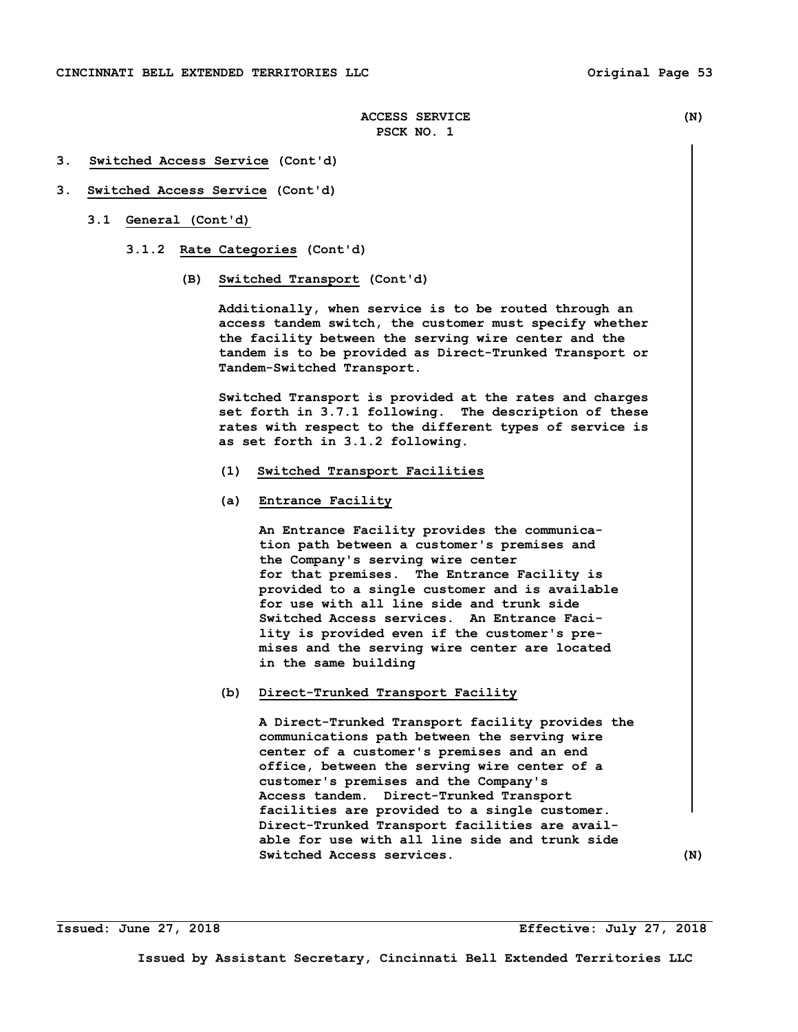- **3. Switched Access Service (Cont'd)**
- **3. Switched Access Service (Cont'd)** 
	- **3.1 General (Cont'd)** 
		- **3.1.2 Rate Categories (Cont'd)** 
			- **(B) Switched Transport (Cont'd)**

 **Additionally, when service is to be routed through an access tandem switch, the customer must specify whether the facility between the serving wire center and the tandem is to be provided as Direct-Trunked Transport or Tandem-Switched Transport.** 

 **Switched Transport is provided at the rates and charges set forth in 3.7.1 following. The description of these rates with respect to the different types of service is as set forth in 3.1.2 following.** 

- **(1) Switched Transport Facilities**
- **(a) Entrance Facility**

 **An Entrance Facility provides the communica tion path between a customer's premises and the Company's serving wire center for that premises. The Entrance Facility is provided to a single customer and is available for use with all line side and trunk side Switched Access services. An Entrance Faci lity is provided even if the customer's pre mises and the serving wire center are located in the same building** 

 **(b) Direct-Trunked Transport Facility** 

 **A Direct-Trunked Transport facility provides the communications path between the serving wire center of a customer's premises and an end office, between the serving wire center of a customer's premises and the Company's Access tandem. Direct-Trunked Transport facilities are provided to a single customer. Direct-Trunked Transport facilities are avail able for use with all line side and trunk side Switched Access services. (N)** 

**Issued: June 27, 2018 Effective: July 27, 2018**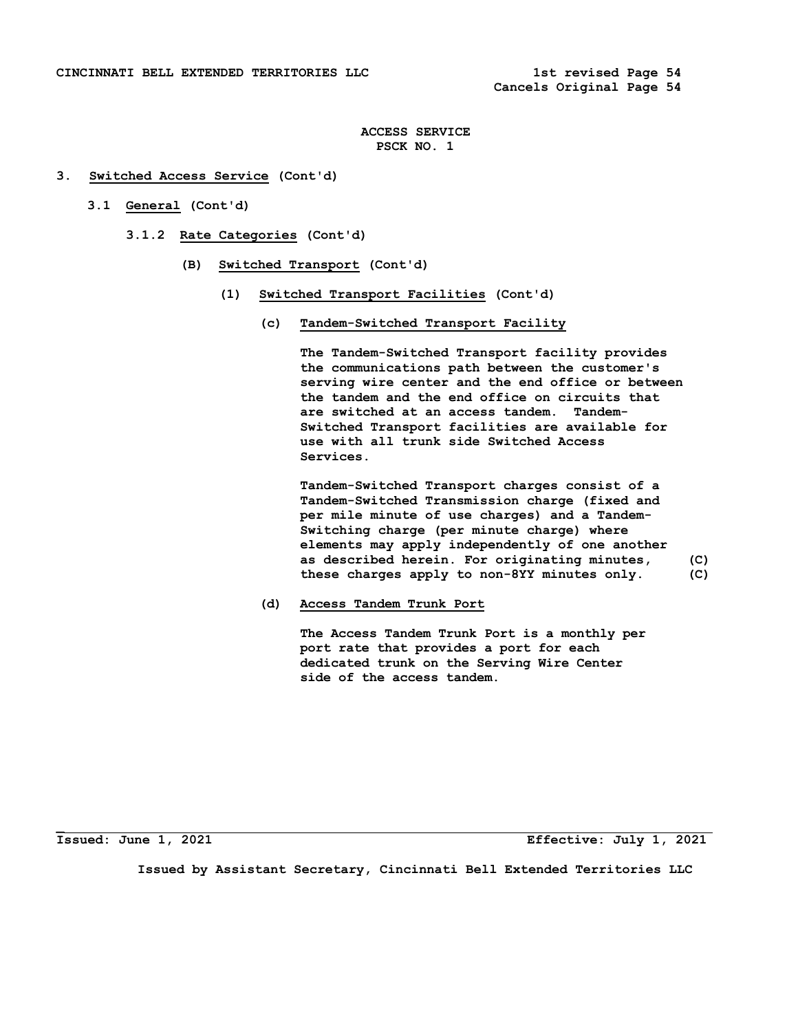- **3. Switched Access Service (Cont'd)** 
	- **3.1 General (Cont'd)** 
		- **3.1.2 Rate Categories (Cont'd)** 
			- **(B) Switched Transport (Cont'd)** 
				- **(1) Switched Transport Facilities (Cont'd)** 
					- **(c) Tandem-Switched Transport Facility**

 **The Tandem-Switched Transport facility provides the communications path between the customer's serving wire center and the end office or between the tandem and the end office on circuits that are switched at an access tandem. Tandem- Switched Transport facilities are available for use with all trunk side Switched Access Services.** 

 **Tandem-Switched Transport charges consist of a Tandem-Switched Transmission charge (fixed and per mile minute of use charges) and a Tandem- Switching charge (per minute charge) where elements may apply independently of one another as described herein**. **For originating minutes, (C) these charges apply to non-8YY minutes only. (C)** 

 **(d) Access Tandem Trunk Port** 

 **The Access Tandem Trunk Port is a monthly per port rate that provides a port for each dedicated trunk on the Serving Wire Center side of the access tandem.** 

**\_**

**Issued: June 1, 2021 Effective: July 1, 2021**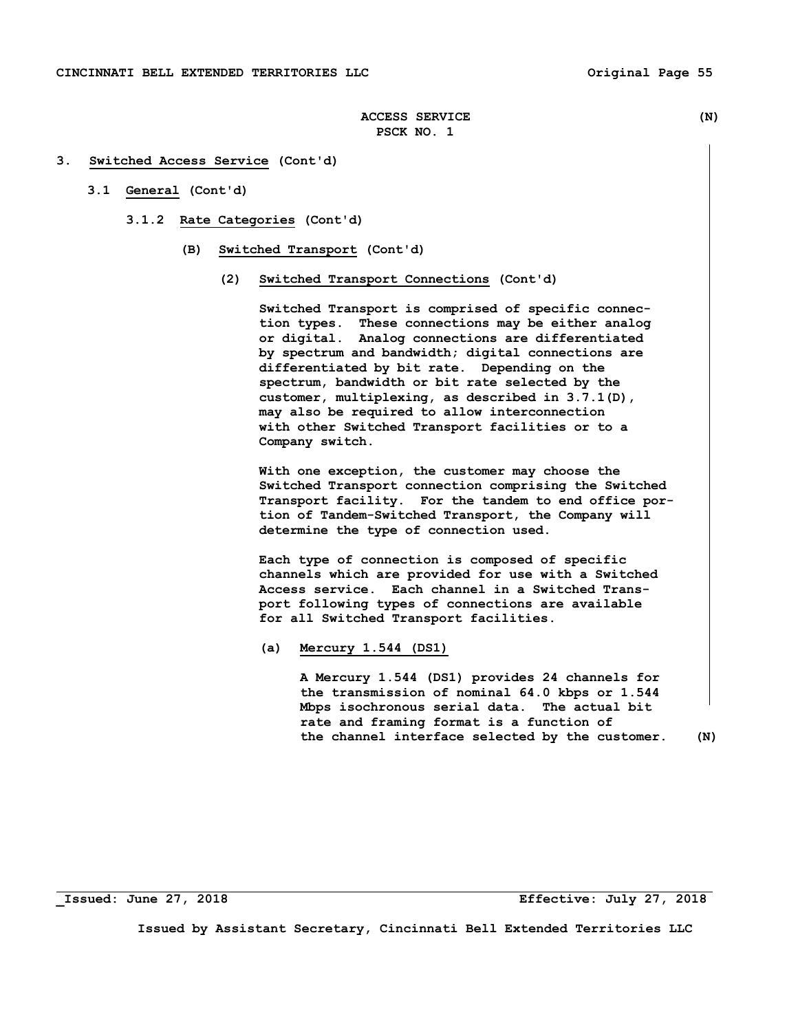- **3.1 General (Cont'd)** 
	- **3.1.2 Rate Categories (Cont'd)** 
		- **(B) Switched Transport (Cont'd)** 
			- **(2) Switched Transport Connections (Cont'd)**

 **Switched Transport is comprised of specific connec tion types. These connections may be either analog or digital. Analog connections are differentiated by spectrum and bandwidth; digital connections are differentiated by bit rate. Depending on the spectrum, bandwidth or bit rate selected by the customer, multiplexing, as described in 3.7.1(D), may also be required to allow interconnection with other Switched Transport facilities or to a Company switch.** 

 **With one exception, the customer may choose the Switched Transport connection comprising the Switched Transport facility. For the tandem to end office por tion of Tandem-Switched Transport, the Company will determine the type of connection used.** 

 **Each type of connection is composed of specific channels which are provided for use with a Switched Access service. Each channel in a Switched Trans port following types of connections are available for all Switched Transport facilities.** 

 **(a) Mercury 1.544 (DS1)** 

 **A Mercury 1.544 (DS1) provides 24 channels for the transmission of nominal 64.0 kbps or 1.544 Mbps isochronous serial data. The actual bit rate and framing format is a function of the channel interface selected by the customer. (N)** 

**\_Issued: June 27, 2018 Effective: July 27, 2018**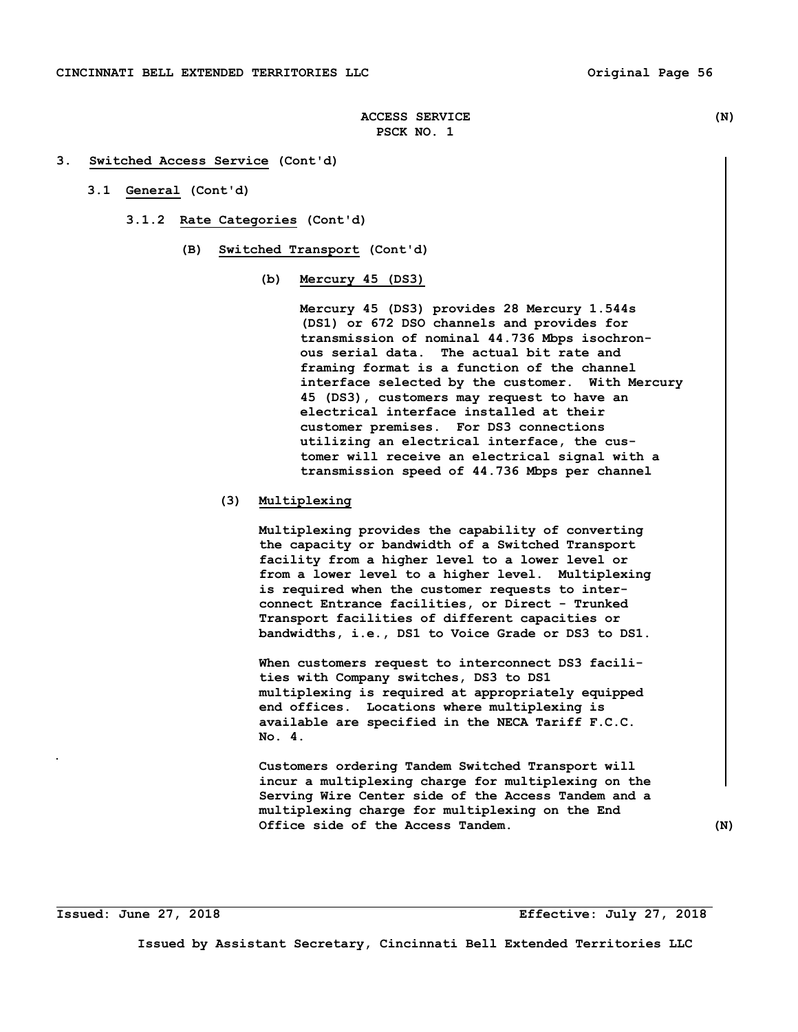- **3.1 General (Cont'd)** 
	- **3.1.2 Rate Categories (Cont'd)** 
		- **(B) Switched Transport (Cont'd)** 
			- **(b) Mercury 45 (DS3)**

 **Mercury 45 (DS3) provides 28 Mercury 1.544s (DS1) or 672 DSO channels and provides for transmission of nominal 44.736 Mbps isochron ous serial data. The actual bit rate and framing format is a function of the channel interface selected by the customer. With Mercury 45 (DS3), customers may request to have an electrical interface installed at their customer premises. For DS3 connections utilizing an electrical interface, the cus tomer will receive an electrical signal with a transmission speed of 44.736 Mbps per channel** 

## **(3) Multiplexing**

 **Multiplexing provides the capability of converting the capacity or bandwidth of a Switched Transport facility from a higher level to a lower level or from a lower level to a higher level. Multiplexing is required when the customer requests to inter connect Entrance facilities, or Direct - Trunked Transport facilities of different capacities or bandwidths, i.e., DS1 to Voice Grade or DS3 to DS1.** 

 **When customers request to interconnect DS3 facili ties with Company switches, DS3 to DS1 multiplexing is required at appropriately equipped end offices. Locations where multiplexing is available are specified in the NECA Tariff F.C.C. No. 4.** 

 **Customers ordering Tandem Switched Transport will incur a multiplexing charge for multiplexing on the Serving Wire Center side of the Access Tandem and a multiplexing charge for multiplexing on the End Office side of the Access Tandem. (N)**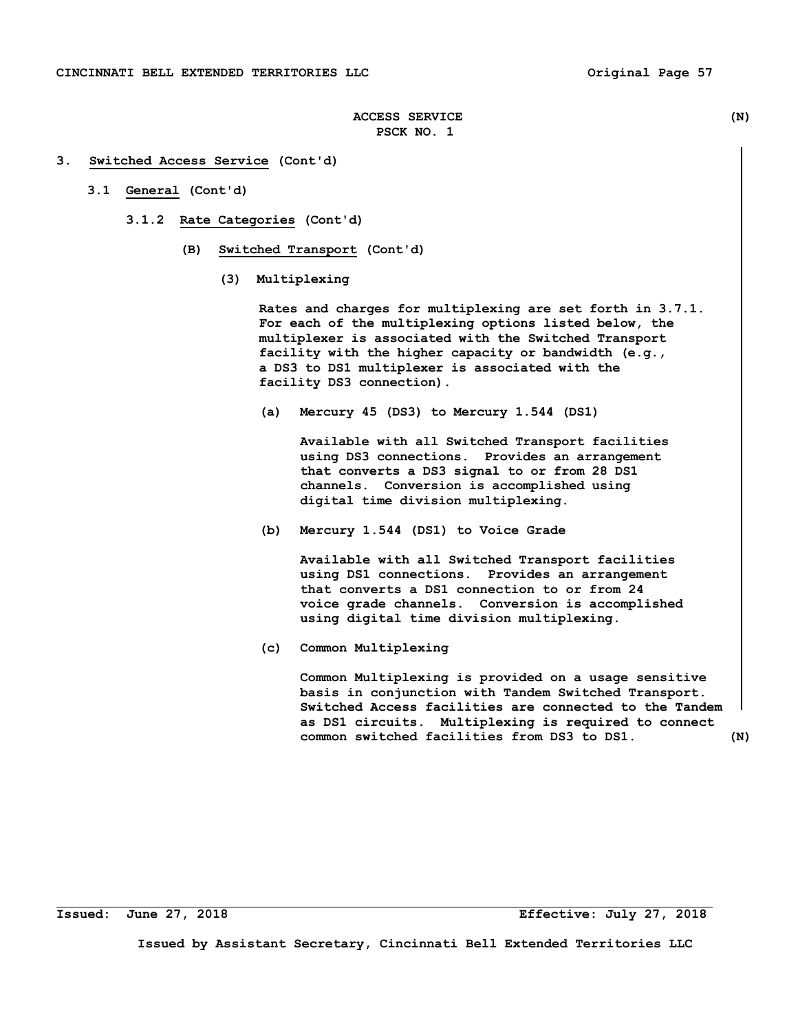#### **3. Switched Access Service (Cont'd)**

- **3.1 General (Cont'd)** 
	- **3.1.2 Rate Categories (Cont'd)** 
		- **(B) Switched Transport (Cont'd)** 
			- **(3) Multiplexing**

 **Rates and charges for multiplexing are set forth in 3.7.1. For each of the multiplexing options listed below, the multiplexer is associated with the Switched Transport facility with the higher capacity or bandwidth (e.g., a DS3 to DS1 multiplexer is associated with the facility DS3 connection).** 

 **(a) Mercury 45 (DS3) to Mercury 1.544 (DS1)** 

 **Available with all Switched Transport facilities using DS3 connections. Provides an arrangement that converts a DS3 signal to or from 28 DS1 channels. Conversion is accomplished using digital time division multiplexing.** 

 **(b) Mercury 1.544 (DS1) to Voice Grade** 

 **Available with all Switched Transport facilities using DS1 connections. Provides an arrangement that converts a DS1 connection to or from 24 voice grade channels. Conversion is accomplished using digital time division multiplexing.** 

 **(c) Common Multiplexing** 

 **Common Multiplexing is provided on a usage sensitive basis in conjunction with Tandem Switched Transport. Switched Access facilities are connected to the Tandem as DS1 circuits. Multiplexing is required to connect common switched facilities from DS3 to DS1. (N)**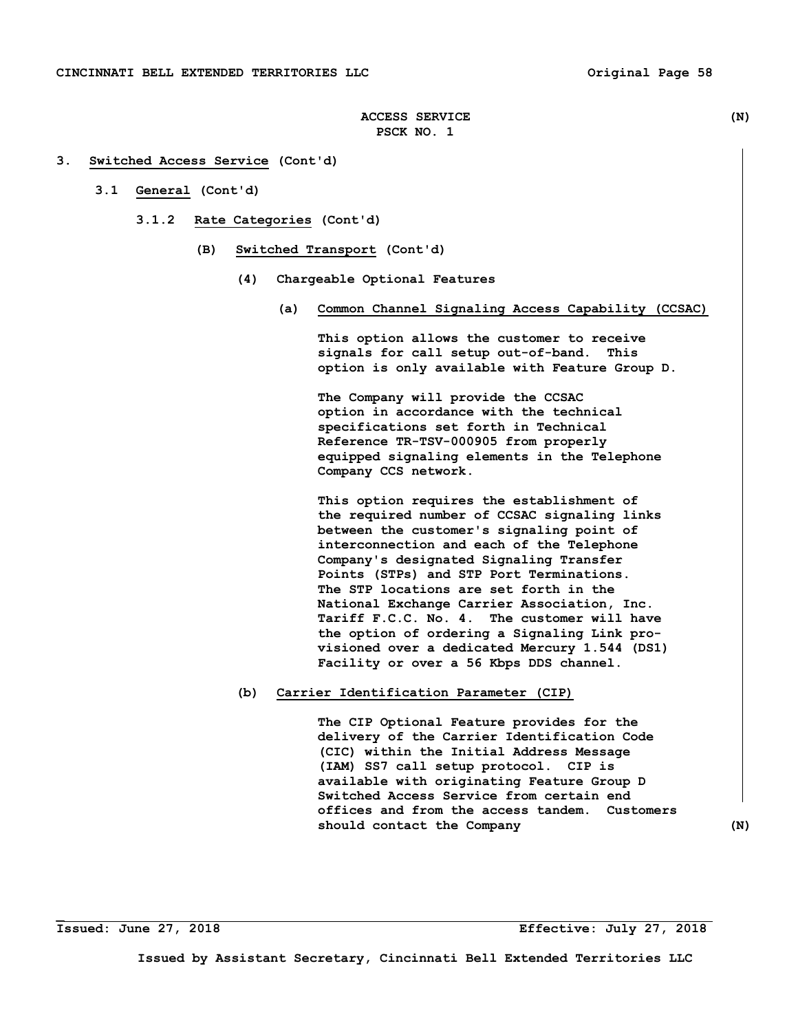# **3. Switched Access Service (Cont'd)**

- **3.1 General (Cont'd)** 
	- **3.1.2 Rate Categories (Cont'd)** 
		- **(B) Switched Transport (Cont'd)** 
			- **(4) Chargeable Optional Features** 
				- **(a) Common Channel Signaling Access Capability (CCSAC)**

 **This option allows the customer to receive signals for call setup out-of-band. This option is only available with Feature Group D.** 

 **The Company will provide the CCSAC option in accordance with the technical specifications set forth in Technical Reference TR-TSV-000905 from properly equipped signaling elements in the Telephone Company CCS network.** 

 **This option requires the establishment of the required number of CCSAC signaling links between the customer's signaling point of interconnection and each of the Telephone Company's designated Signaling Transfer Points (STPs) and STP Port Terminations. The STP locations are set forth in the National Exchange Carrier Association, Inc. Tariff F.C.C. No. 4. The customer will have the option of ordering a Signaling Link pro visioned over a dedicated Mercury 1.544 (DS1) Facility or over a 56 Kbps DDS channel.** 

#### **(b) Carrier Identification Parameter (CIP)**

 **The CIP Optional Feature provides for the delivery of the Carrier Identification Code (CIC) within the Initial Address Message (IAM) SS7 call setup protocol. CIP is available with originating Feature Group D Switched Access Service from certain end offices and from the access tandem. Customers should contact the Company (N)** 

**\_**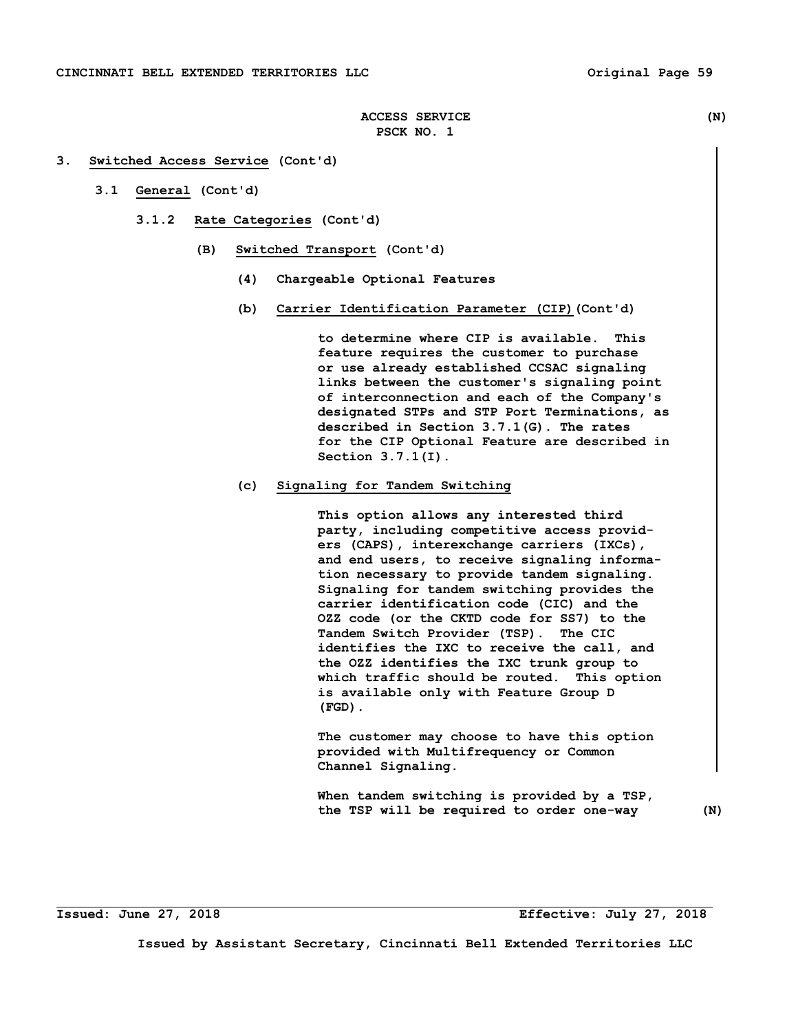- **3.1 General (Cont'd)** 
	- **3.1.2 Rate Categories (Cont'd)** 
		- **(B) Switched Transport (Cont'd)** 
			- **(4) Chargeable Optional Features**
			- **(b) Carrier Identification Parameter (CIP)(Cont'd)**

 **to determine where CIP is available. This feature requires the customer to purchase or use already established CCSAC signaling links between the customer's signaling point of interconnection and each of the Company's designated STPs and STP Port Terminations, as described in Section 3.7.1(G). The rates for the CIP Optional Feature are described in Section 3.7.1(I).** 

# **(c) Signaling for Tandem Switching**

 **This option allows any interested third party, including competitive access provid ers (CAPS), interexchange carriers (IXCs), and end users, to receive signaling informa tion necessary to provide tandem signaling. Signaling for tandem switching provides the carrier identification code (CIC) and the OZZ code (or the CKTD code for SS7) to the Tandem Switch Provider (TSP). The CIC identifies the IXC to receive the call, and the OZZ identifies the IXC trunk group to which traffic should be routed. This option is available only with Feature Group D (FGD).** 

 **The customer may choose to have this option provided with Multifrequency or Common Channel Signaling.** 

 **When tandem switching is provided by a TSP, the TSP will be required to order one-way (N)**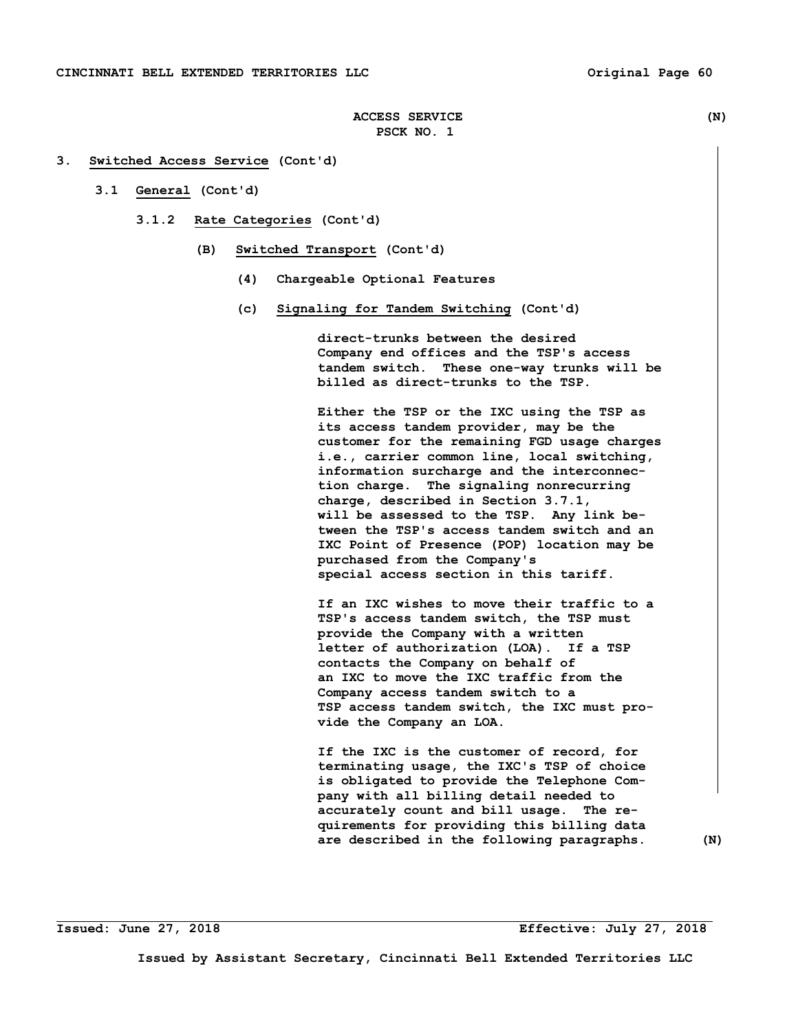- **3.1 General (Cont'd)** 
	- **3.1.2 Rate Categories (Cont'd)** 
		- **(B) Switched Transport (Cont'd)** 
			- **(4) Chargeable Optional Features**
			- **(c) Signaling for Tandem Switching (Cont'd)**

 **direct-trunks between the desired Company end offices and the TSP's access tandem switch. These one-way trunks will be billed as direct-trunks to the TSP.** 

 **Either the TSP or the IXC using the TSP as its access tandem provider, may be the customer for the remaining FGD usage charges i.e., carrier common line, local switching, information surcharge and the interconnec tion charge. The signaling nonrecurring charge, described in Section 3.7.1, will be assessed to the TSP. Any link be tween the TSP's access tandem switch and an IXC Point of Presence (POP) location may be purchased from the Company's special access section in this tariff.** 

 **If an IXC wishes to move their traffic to a TSP's access tandem switch, the TSP must provide the Company with a written letter of authorization (LOA). If a TSP contacts the Company on behalf of an IXC to move the IXC traffic from the Company access tandem switch to a TSP access tandem switch, the IXC must pro vide the Company an LOA.** 

 **If the IXC is the customer of record, for terminating usage, the IXC's TSP of choice is obligated to provide the Telephone Com pany with all billing detail needed to accurately count and bill usage. The re quirements for providing this billing data are described in the following paragraphs. (N)**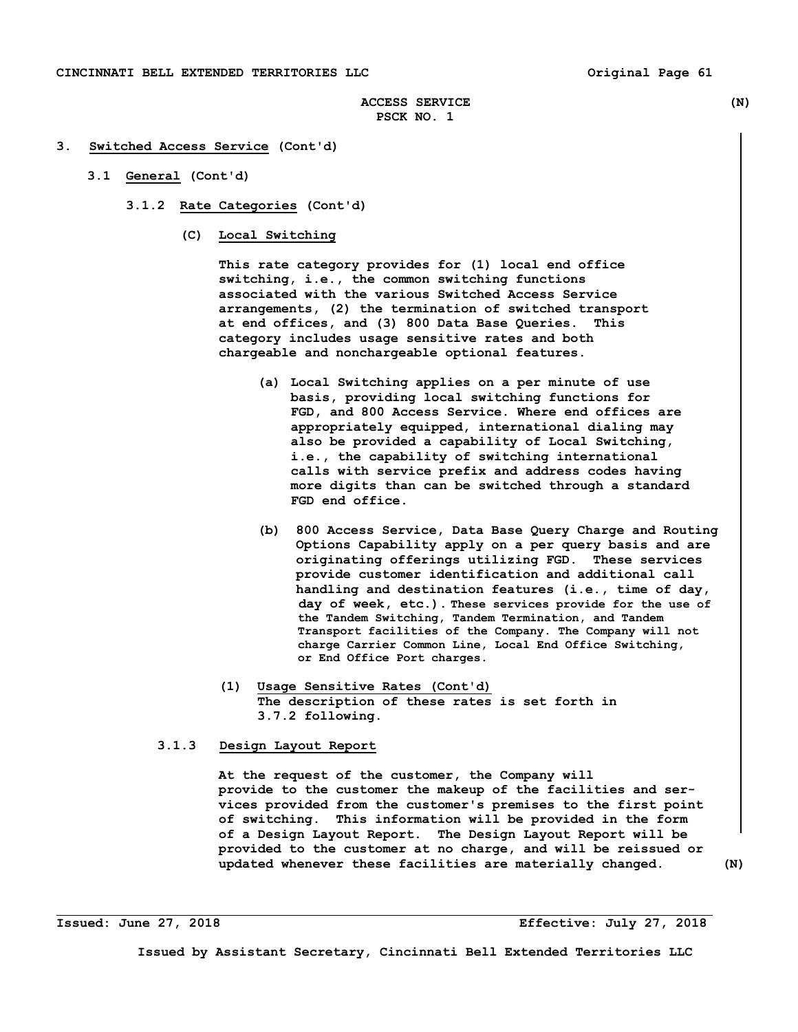- **3.1 General (Cont'd)** 
	- **3.1.2 Rate Categories (Cont'd)** 
		- **(C) Local Switching**

 **This rate category provides for (1) local end office switching, i.e., the common switching functions associated with the various Switched Access Service arrangements, (2) the termination of switched transport at end offices, and (3) 800 Data Base Queries. This category includes usage sensitive rates and both chargeable and nonchargeable optional features.** 

- **(a) Local Switching applies on a per minute of use basis, providing local switching functions for FGD, and 800 Access Service. Where end offices are appropriately equipped, international dialing may also be provided a capability of Local Switching, i.e., the capability of switching international calls with service prefix and address codes having more digits than can be switched through a standard FGD end office.**
- **(b) 800 Access Service, Data Base Query Charge and Routing Options Capability apply on a per query basis and are originating offerings utilizing FGD. These services provide customer identification and additional call handling and destination features (i.e., time of day, day of week, etc.). These services provide for the use of the Tandem Switching, Tandem Termination, and Tandem Transport facilities of the Company. The Company will not charge Carrier Common Line, Local End Office Switching, or End Office Port charges.**
- **(1) Usage Sensitive Rates (Cont'd) The description of these rates is set forth in 3.7.2 following.**

## **3.1.3 Design Layout Report**

 **At the request of the customer, the Company will provide to the customer the makeup of the facilities and ser vices provided from the customer's premises to the first point of switching. This information will be provided in the form of a Design Layout Report. The Design Layout Report will be provided to the customer at no charge, and will be reissued or updated whenever these facilities are materially changed. (N)**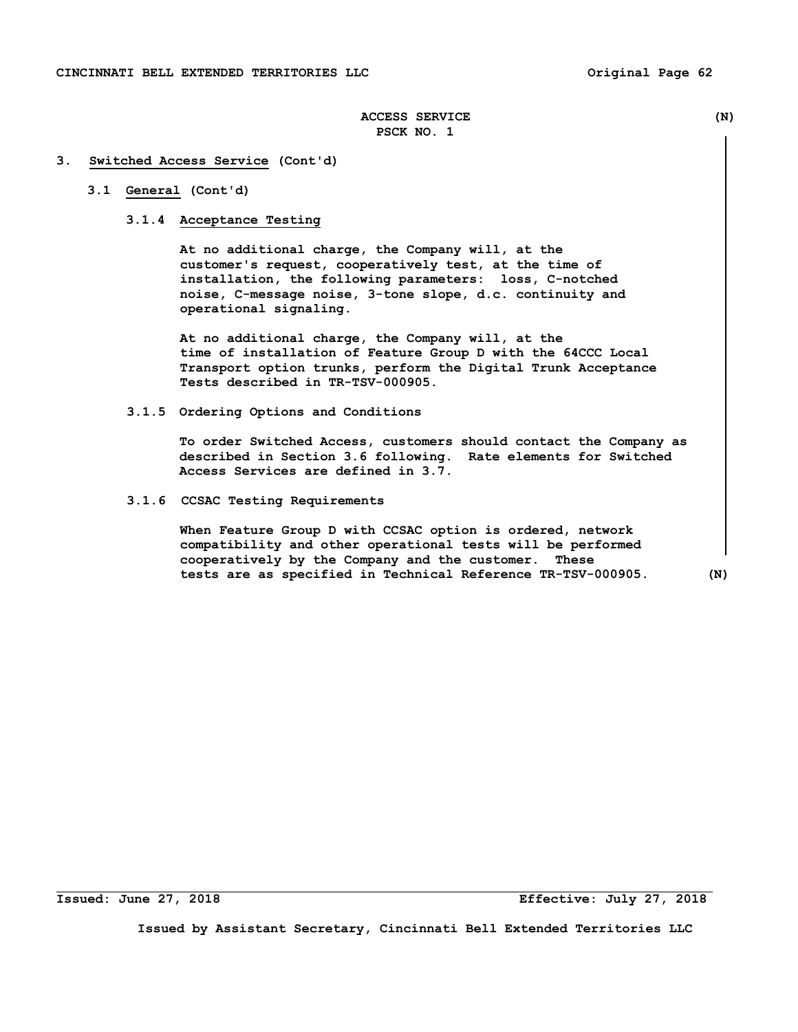#### **3. Switched Access Service (Cont'd)**

# **3.1 General (Cont'd)**

## **3.1.4 Acceptance Testing**

 **At no additional charge, the Company will, at the customer's request, cooperatively test, at the time of installation, the following parameters: loss, C-notched noise, C-message noise, 3-tone slope, d.c. continuity and operational signaling.** 

 **At no additional charge, the Company will, at the time of installation of Feature Group D with the 64CCC Local Transport option trunks, perform the Digital Trunk Acceptance Tests described in TR-TSV-000905.** 

 **3.1.5 Ordering Options and Conditions** 

 **To order Switched Access, customers should contact the Company as described in Section 3.6 following. Rate elements for Switched Access Services are defined in 3.7.** 

 **3.1.6 CCSAC Testing Requirements** 

 **When Feature Group D with CCSAC option is ordered, network compatibility and other operational tests will be performed cooperatively by the Company and the customer. These tests are as specified in Technical Reference TR-TSV-000905. (N)** 

**Issued: June 27, 2018 Effective: July 27, 2018**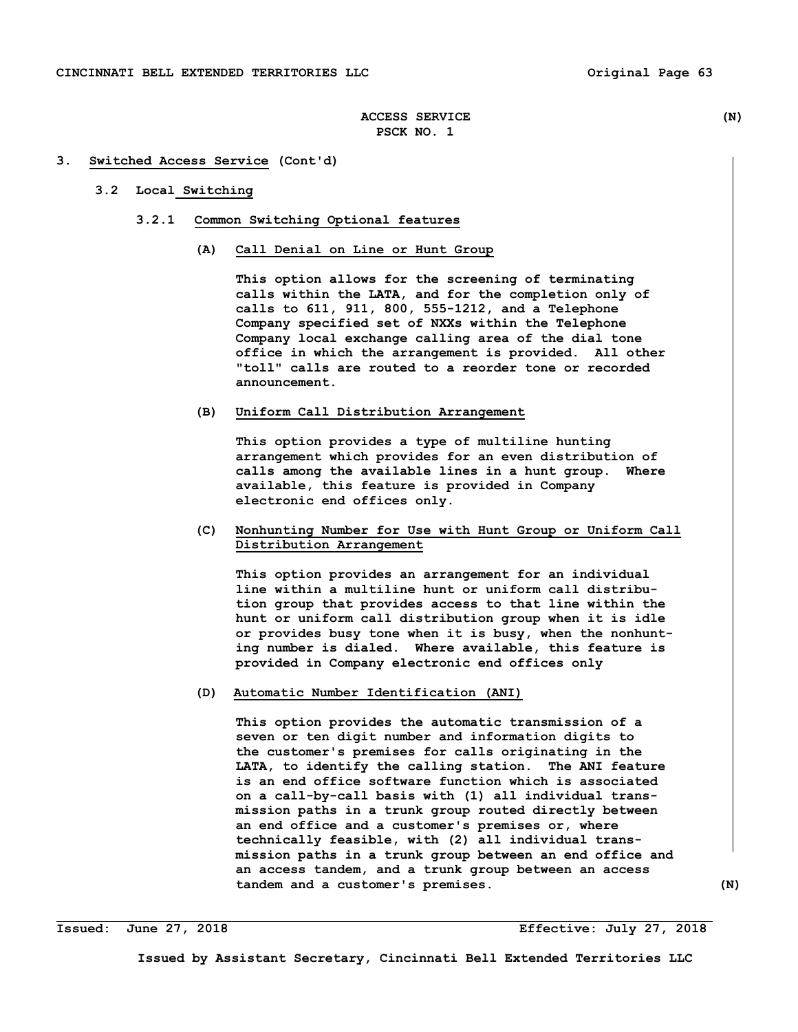#### **3. Switched Access Service (Cont'd)**

## **3.2 Local Switching**

- **3.2.1 Common Switching Optional features** 
	- **(A) Call Denial on Line or Hunt Group**

 **This option allows for the screening of terminating calls within the LATA, and for the completion only of calls to 611, 911, 800, 555-1212, and a Telephone Company specified set of NXXs within the Telephone Company local exchange calling area of the dial tone office in which the arrangement is provided. All other "toll" calls are routed to a reorder tone or recorded announcement.** 

#### **(B) Uniform Call Distribution Arrangement**

 **This option provides a type of multiline hunting arrangement which provides for an even distribution of calls among the available lines in a hunt group. Where available, this feature is provided in Company electronic end offices only.** 

# **(C) Nonhunting Number for Use with Hunt Group or Uniform Call Distribution Arrangement**

 **This option provides an arrangement for an individual line within a multiline hunt or uniform call distribu tion group that provides access to that line within the hunt or uniform call distribution group when it is idle or provides busy tone when it is busy, when the nonhunt ing number is dialed. Where available, this feature is provided in Company electronic end offices only** 

## **(D) Automatic Number Identification (ANI)**

 **This option provides the automatic transmission of a seven or ten digit number and information digits to the customer's premises for calls originating in the LATA, to identify the calling station. The ANI feature is an end office software function which is associated on a call-by-call basis with (1) all individual trans mission paths in a trunk group routed directly between an end office and a customer's premises or, where technically feasible, with (2) all individual trans mission paths in a trunk group between an end office and an access tandem, and a trunk group between an access tandem and a customer's premises. (N)** 

**Issued: June 27, 2018 Effective: July 27, 2018**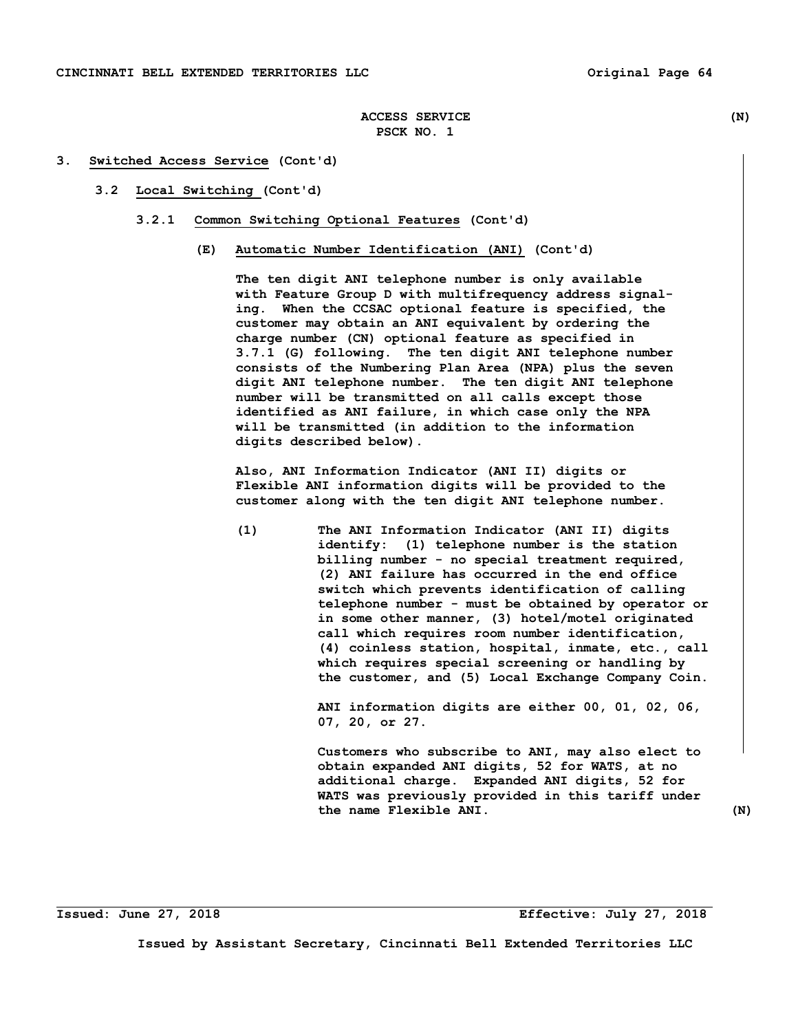#### **3. Switched Access Service (Cont'd)**

- **3.2 Local Switching (Cont'd)** 
	- **3.2.1 Common Switching Optional Features (Cont'd)** 
		- **(E) Automatic Number Identification (ANI) (Cont'd)**

 **The ten digit ANI telephone number is only available with Feature Group D with multifrequency address signal ing. When the CCSAC optional feature is specified, the customer may obtain an ANI equivalent by ordering the charge number (CN) optional feature as specified in 3.7.1 (G) following. The ten digit ANI telephone number consists of the Numbering Plan Area (NPA) plus the seven digit ANI telephone number. The ten digit ANI telephone number will be transmitted on all calls except those identified as ANI failure, in which case only the NPA will be transmitted (in addition to the information digits described below).** 

 **Also, ANI Information Indicator (ANI II) digits or Flexible ANI information digits will be provided to the customer along with the ten digit ANI telephone number.** 

 **(1) The ANI Information Indicator (ANI II) digits identify: (1) telephone number is the station billing number - no special treatment required, (2) ANI failure has occurred in the end office switch which prevents identification of calling telephone number - must be obtained by operator or in some other manner, (3) hotel/motel originated call which requires room number identification, (4) coinless station, hospital, inmate, etc., call which requires special screening or handling by the customer, and (5) Local Exchange Company Coin.** 

> **ANI information digits are either 00, 01, 02, 06, 07, 20, or 27.**

 **Customers who subscribe to ANI, may also elect to obtain expanded ANI digits, 52 for WATS, at no additional charge. Expanded ANI digits, 52 for WATS was previously provided in this tariff under the name Flexible ANI. (N)**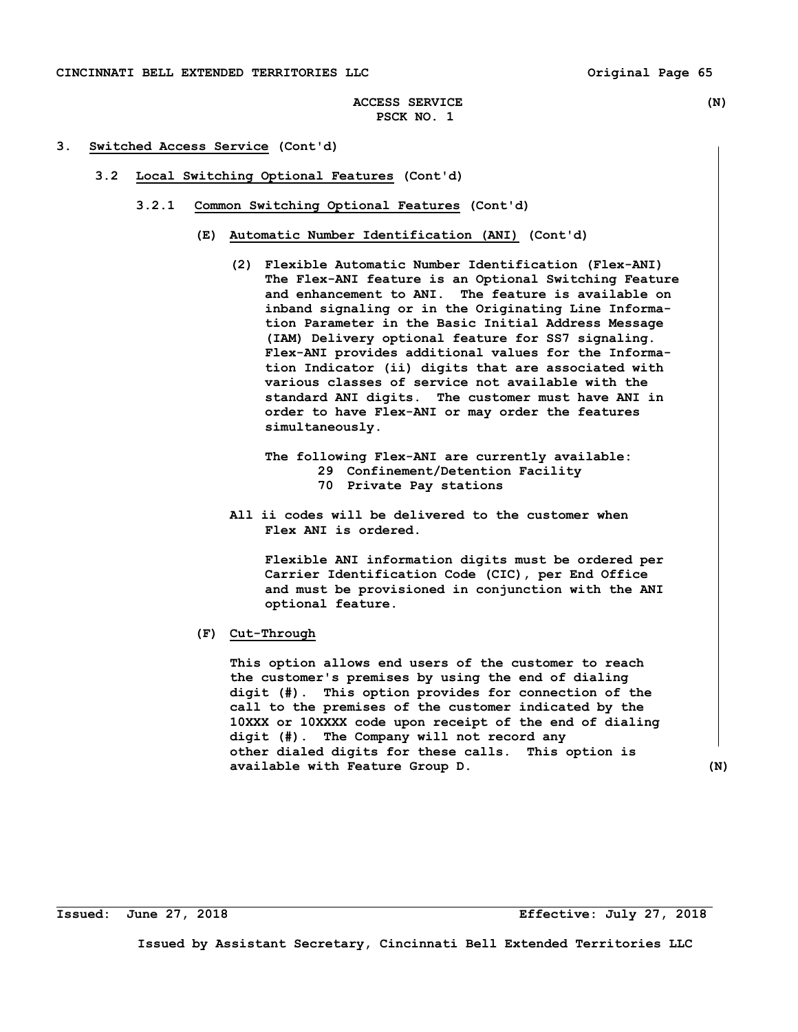- **3.2 Local Switching Optional Features (Cont'd)** 
	- **3.2.1 Common Switching Optional Features (Cont'd)** 
		- **(E) Automatic Number Identification (ANI) (Cont'd)** 
			- **(2) Flexible Automatic Number Identification (Flex-ANI) The Flex-ANI feature is an Optional Switching Feature and enhancement to ANI. The feature is available on inband signaling or in the Originating Line Informa tion Parameter in the Basic Initial Address Message (IAM) Delivery optional feature for SS7 signaling. Flex-ANI provides additional values for the Informa tion Indicator (ii) digits that are associated with various classes of service not available with the standard ANI digits. The customer must have ANI in order to have Flex-ANI or may order the features simultaneously.** 
				- **The following Flex-ANI are currently available: 29 Confinement/Detention Facility 70 Private Pay stations**
			- **All ii codes will be delivered to the customer when Flex ANI is ordered.**

 **Flexible ANI information digits must be ordered per Carrier Identification Code (CIC), per End Office and must be provisioned in conjunction with the ANI optional feature.** 

 **(F) Cut-Through** 

 **This option allows end users of the customer to reach the customer's premises by using the end of dialing digit (#). This option provides for connection of the call to the premises of the customer indicated by the 10XXX or 10XXXX code upon receipt of the end of dialing digit (#). The Company will not record any other dialed digits for these calls. This option is available with Feature Group D. (N)**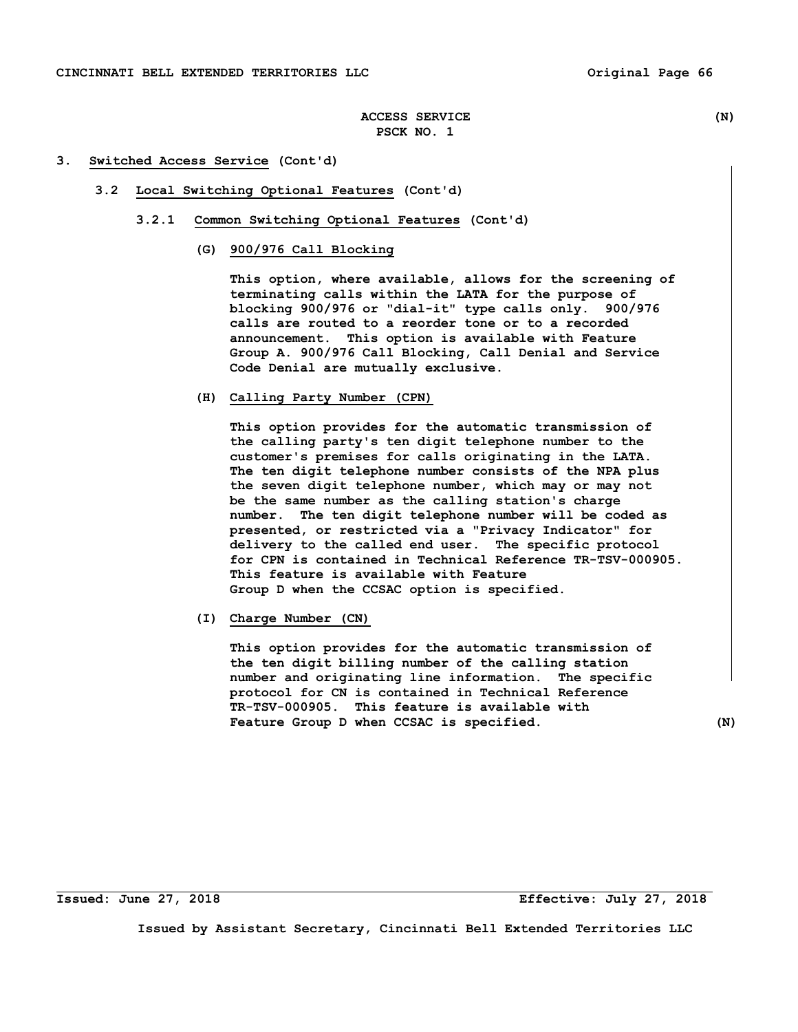#### **3. Switched Access Service (Cont'd)**

- **3.2 Local Switching Optional Features (Cont'd)** 
	- **3.2.1 Common Switching Optional Features (Cont'd)** 
		- **(G) 900/976 Call Blocking**

 **This option, where available, allows for the screening of terminating calls within the LATA for the purpose of blocking 900/976 or "dial-it" type calls only. 900/976 calls are routed to a reorder tone or to a recorded announcement. This option is available with Feature Group A. 900/976 Call Blocking, Call Denial and Service Code Denial are mutually exclusive.** 

 **(H) Calling Party Number (CPN)** 

 **This option provides for the automatic transmission of the calling party's ten digit telephone number to the customer's premises for calls originating in the LATA. The ten digit telephone number consists of the NPA plus the seven digit telephone number, which may or may not be the same number as the calling station's charge number. The ten digit telephone number will be coded as presented, or restricted via a "Privacy Indicator" for delivery to the called end user. The specific protocol for CPN is contained in Technical Reference TR-TSV-000905. This feature is available with Feature Group D when the CCSAC option is specified.** 

 **(I) Charge Number (CN)** 

 **This option provides for the automatic transmission of the ten digit billing number of the calling station number and originating line information. The specific protocol for CN is contained in Technical Reference TR-TSV-000905. This feature is available with**  Feature Group D when CCSAC is specified. (N)

**Issued: June 27, 2018 Effective: July 27, 2018**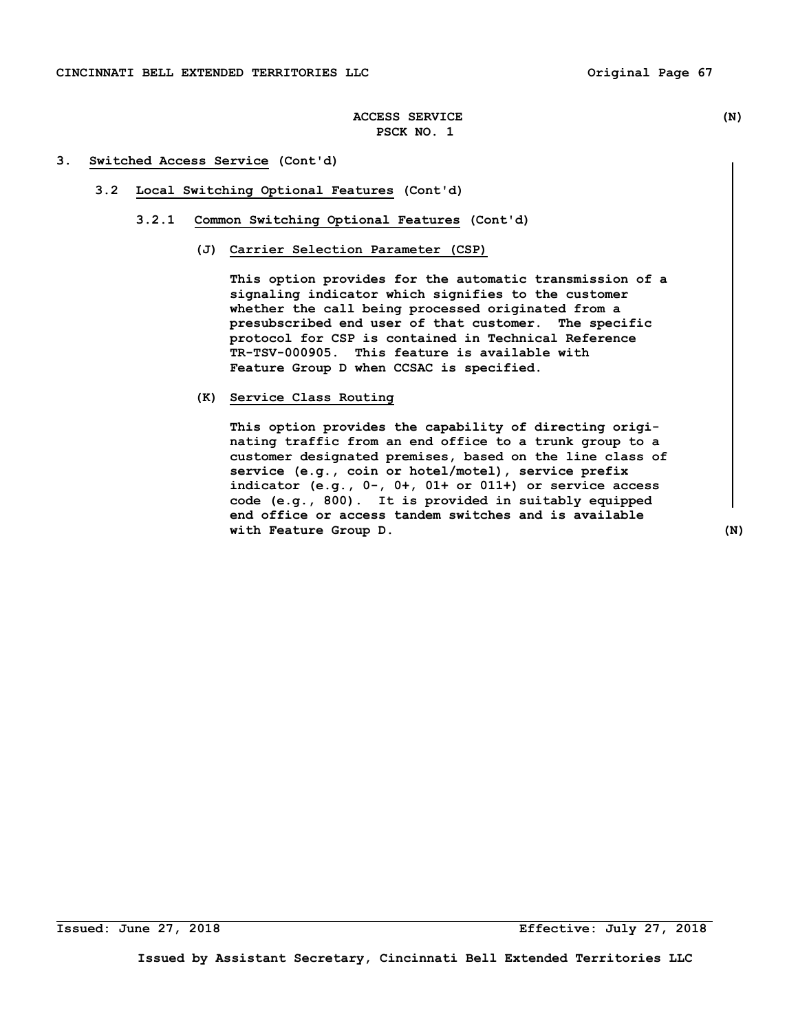## **3. Switched Access Service (Cont'd)**

- **3.2 Local Switching Optional Features (Cont'd)** 
	- **3.2.1 Common Switching Optional Features (Cont'd)** 
		- **(J) Carrier Selection Parameter (CSP)**

 **This option provides for the automatic transmission of a signaling indicator which signifies to the customer whether the call being processed originated from a presubscribed end user of that customer. The specific protocol for CSP is contained in Technical Reference TR-TSV-000905. This feature is available with Feature Group D when CCSAC is specified.** 

 **(K) Service Class Routing** 

 **This option provides the capability of directing origi nating traffic from an end office to a trunk group to a customer designated premises, based on the line class of service (e.g., coin or hotel/motel), service prefix indicator (e.g., 0-, 0+, 01+ or 011+) or service access code (e.g., 800). It is provided in suitably equipped end office or access tandem switches and is available with Feature Group D. (N)** 

**Issued: June 27, 2018 Effective: July 27, 2018**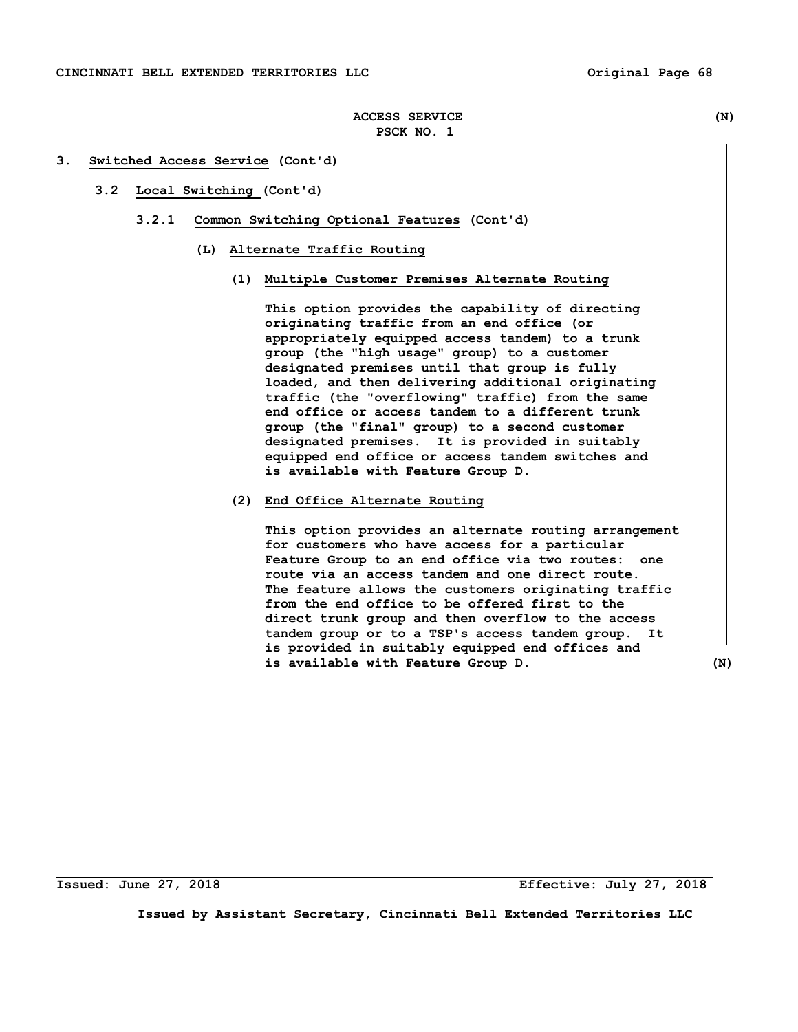#### **3. Switched Access Service (Cont'd)**

- **3.2 Local Switching (Cont'd)** 
	- **3.2.1 Common Switching Optional Features (Cont'd)** 
		- **(L) Alternate Traffic Routing** 
			- **(1) Multiple Customer Premises Alternate Routing**

 **This option provides the capability of directing originating traffic from an end office (or appropriately equipped access tandem) to a trunk group (the "high usage" group) to a customer designated premises until that group is fully loaded, and then delivering additional originating traffic (the "overflowing" traffic) from the same end office or access tandem to a different trunk group (the "final" group) to a second customer designated premises. It is provided in suitably equipped end office or access tandem switches and is available with Feature Group D.** 

# **(2) End Office Alternate Routing**

 **This option provides an alternate routing arrangement for customers who have access for a particular Feature Group to an end office via two routes: one route via an access tandem and one direct route. The feature allows the customers originating traffic from the end office to be offered first to the direct trunk group and then overflow to the access tandem group or to a TSP's access tandem group. It is provided in suitably equipped end offices and is available with Feature Group D. (N)** 

**Issued: June 27, 2018 Effective: July 27, 2018**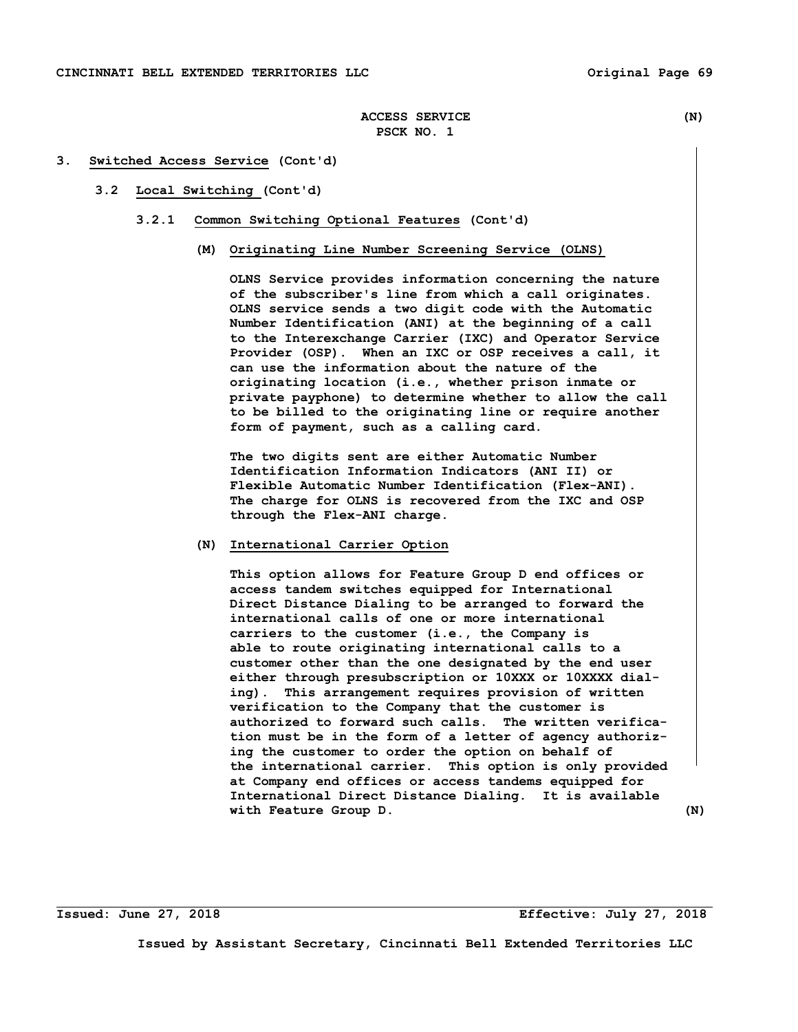#### **3. Switched Access Service (Cont'd)**

- **3.2 Local Switching (Cont'd)** 
	- **3.2.1 Common Switching Optional Features (Cont'd)** 
		- **(M) Originating Line Number Screening Service (OLNS)**

 **OLNS Service provides information concerning the nature of the subscriber's line from which a call originates. OLNS service sends a two digit code with the Automatic Number Identification (ANI) at the beginning of a call to the Interexchange Carrier (IXC) and Operator Service Provider (OSP). When an IXC or OSP receives a call, it can use the information about the nature of the originating location (i.e., whether prison inmate or private payphone) to determine whether to allow the call to be billed to the originating line or require another form of payment, such as a calling card.** 

 **The two digits sent are either Automatic Number Identification Information Indicators (ANI II) or Flexible Automatic Number Identification (Flex-ANI). The charge for OLNS is recovered from the IXC and OSP through the Flex-ANI charge.** 

## **(N) International Carrier Option**

 **This option allows for Feature Group D end offices or access tandem switches equipped for International Direct Distance Dialing to be arranged to forward the international calls of one or more international carriers to the customer (i.e., the Company is able to route originating international calls to a customer other than the one designated by the end user either through presubscription or 10XXX or 10XXXX dial ing). This arrangement requires provision of written verification to the Company that the customer is authorized to forward such calls. The written verifica tion must be in the form of a letter of agency authoriz ing the customer to order the option on behalf of the international carrier. This option is only provided at Company end offices or access tandems equipped for International Direct Distance Dialing. It is available with Feature Group D. (N)** 

**Issued: June 27, 2018 Effective: July 27, 2018**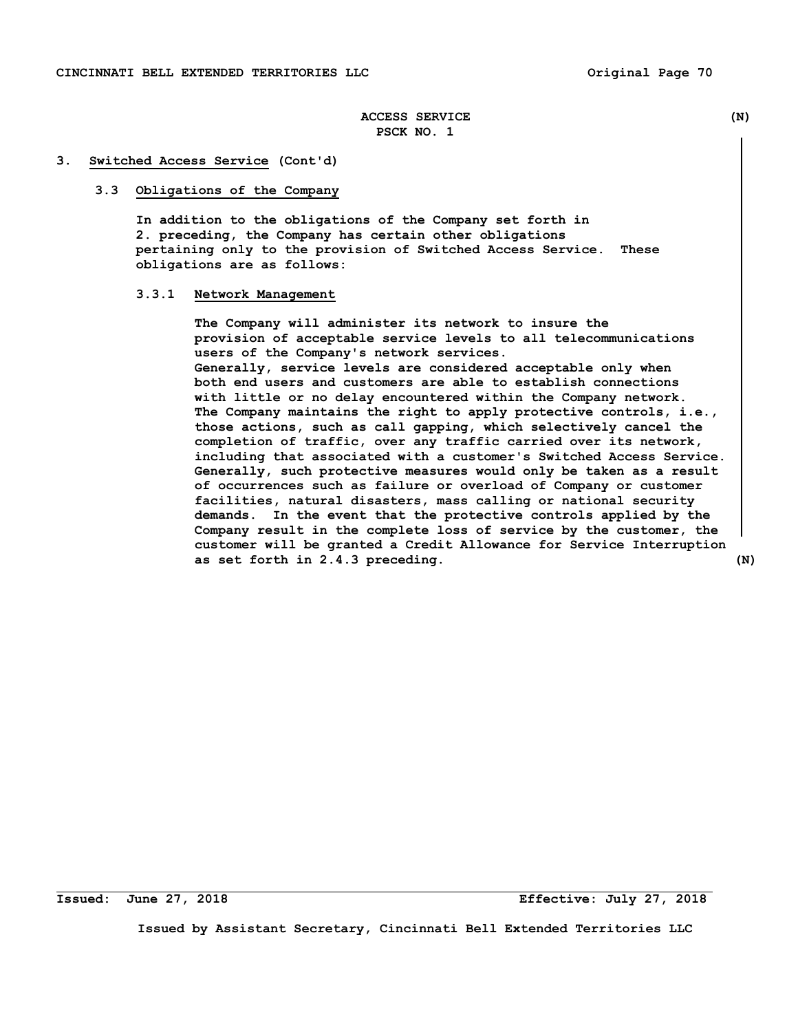#### **3. Switched Access Service (Cont'd)**

#### **3.3 Obligations of the Company**

 **In addition to the obligations of the Company set forth in 2. preceding, the Company has certain other obligations pertaining only to the provision of Switched Access Service. These obligations are as follows:** 

#### **3.3.1 Network Management**

 **The Company will administer its network to insure the provision of acceptable service levels to all telecommunications users of the Company's network services. Generally, service levels are considered acceptable only when both end users and customers are able to establish connections with little or no delay encountered within the Company network. The Company maintains the right to apply protective controls, i.e., those actions, such as call gapping, which selectively cancel the completion of traffic, over any traffic carried over its network, including that associated with a customer's Switched Access Service. Generally, such protective measures would only be taken as a result of occurrences such as failure or overload of Company or customer facilities, natural disasters, mass calling or national security demands. In the event that the protective controls applied by the Company result in the complete loss of service by the customer, the customer will be granted a Credit Allowance for Service Interruption as set forth in 2.4.3 preceding. (N)** 

**Issued: June 27, 2018 Effective: July 27, 2018**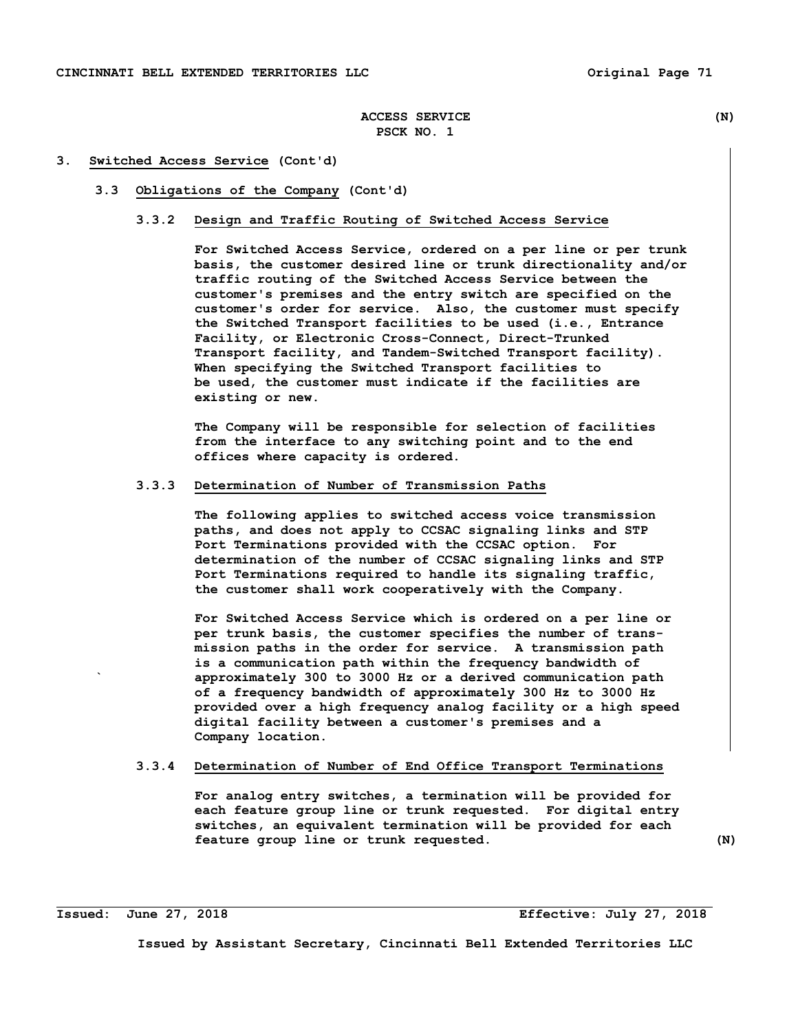#### **3. Switched Access Service (Cont'd)**

### **3.3 Obligations of the Company (Cont'd)**

### **3.3.2 Design and Traffic Routing of Switched Access Service**

 **For Switched Access Service, ordered on a per line or per trunk basis, the customer desired line or trunk directionality and/or traffic routing of the Switched Access Service between the customer's premises and the entry switch are specified on the customer's order for service. Also, the customer must specify the Switched Transport facilities to be used (i.e., Entrance Facility, or Electronic Cross-Connect, Direct-Trunked Transport facility, and Tandem-Switched Transport facility). When specifying the Switched Transport facilities to be used, the customer must indicate if the facilities are existing or new.** 

 **The Company will be responsible for selection of facilities from the interface to any switching point and to the end offices where capacity is ordered.** 

## **3.3.3 Determination of Number of Transmission Paths**

 **The following applies to switched access voice transmission paths, and does not apply to CCSAC signaling links and STP Port Terminations provided with the CCSAC option. For determination of the number of CCSAC signaling links and STP Port Terminations required to handle its signaling traffic, the customer shall work cooperatively with the Company.** 

 **For Switched Access Service which is ordered on a per line or per trunk basis, the customer specifies the number of trans mission paths in the order for service. A transmission path is a communication path within the frequency bandwidth of ` approximately 300 to 3000 Hz or a derived communication path of a frequency bandwidth of approximately 300 Hz to 3000 Hz provided over a high frequency analog facility or a high speed digital facility between a customer's premises and a Company location.** 

## **3.3.4 Determination of Number of End Office Transport Terminations**

 **For analog entry switches, a termination will be provided for each feature group line or trunk requested. For digital entry switches, an equivalent termination will be provided for each feature group line or trunk requested. (N)**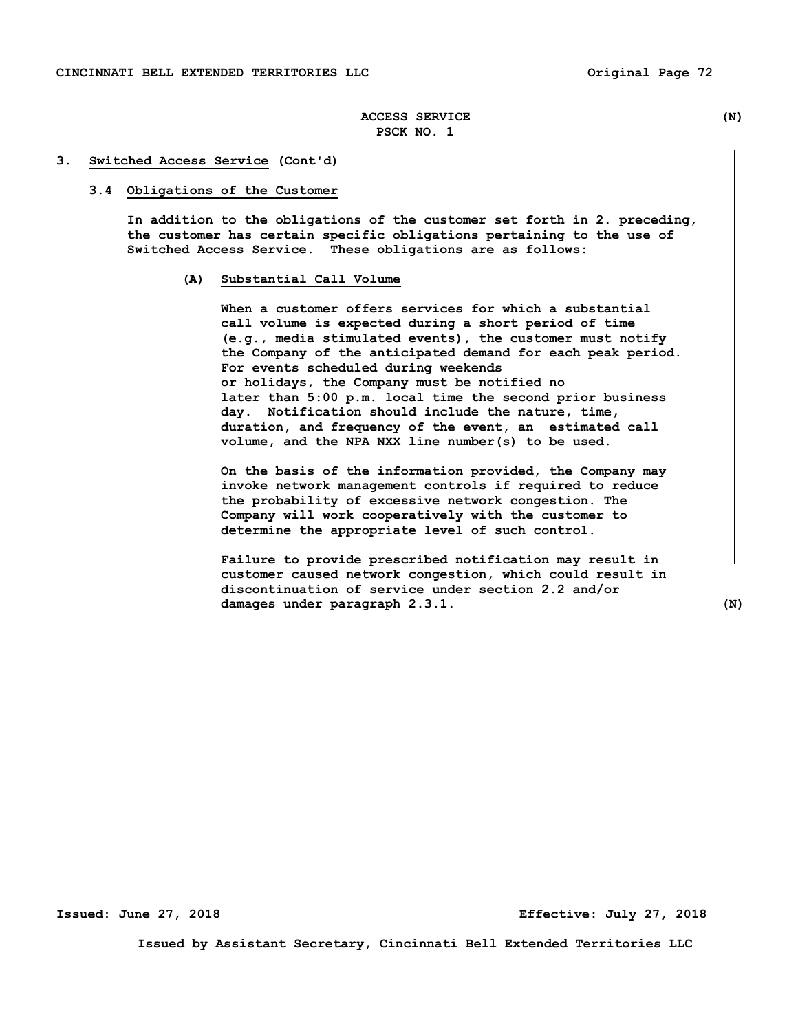#### **3. Switched Access Service (Cont'd)**

### **3.4 Obligations of the Customer**

 **In addition to the obligations of the customer set forth in 2. preceding, the customer has certain specific obligations pertaining to the use of Switched Access Service. These obligations are as follows:** 

## **(A) Substantial Call Volume**

 **When a customer offers services for which a substantial call volume is expected during a short period of time (e.g., media stimulated events), the customer must notify the Company of the anticipated demand for each peak period. For events scheduled during weekends or holidays, the Company must be notified no later than 5:00 p.m. local time the second prior business day. Notification should include the nature, time, duration, and frequency of the event, an estimated call volume, and the NPA NXX line number(s) to be used.** 

 **On the basis of the information provided, the Company may invoke network management controls if required to reduce the probability of excessive network congestion. The Company will work cooperatively with the customer to determine the appropriate level of such control.** 

 **Failure to provide prescribed notification may result in customer caused network congestion, which could result in discontinuation of service under section 2.2 and/or damages under paragraph 2.3.1. (N)** 

**Issued: June 27, 2018 Effective: July 27, 2018**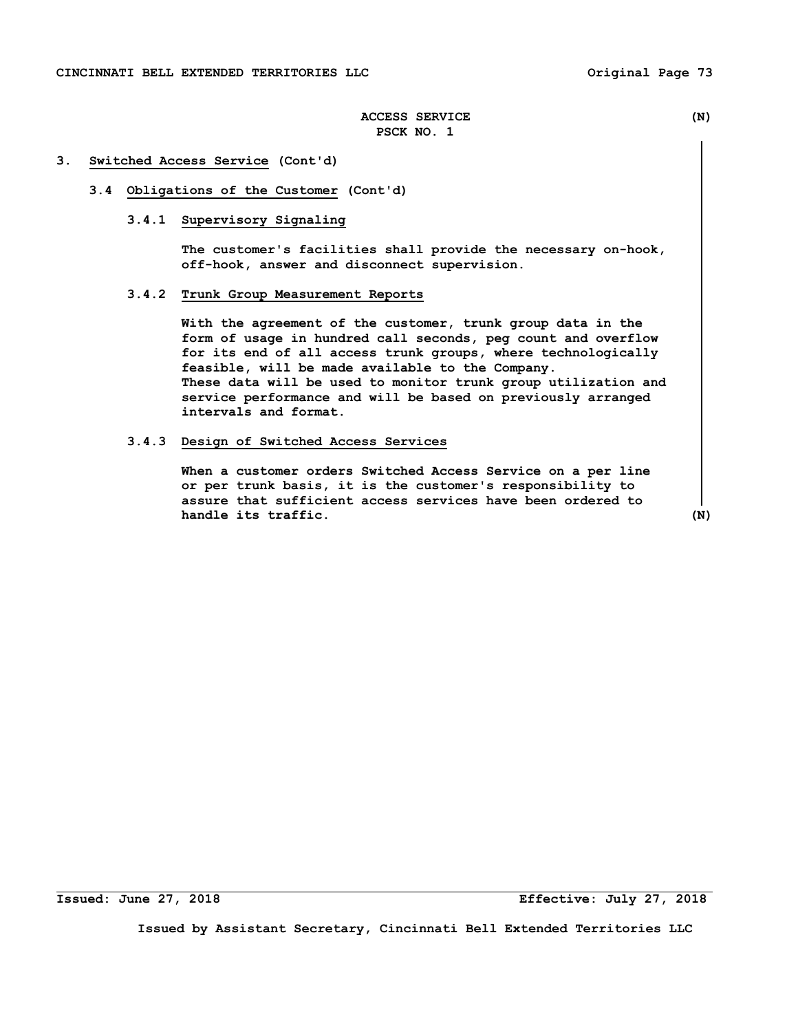#### **3. Switched Access Service (Cont'd)**

## **3.4 Obligations of the Customer (Cont'd)**

## **3.4.1 Supervisory Signaling**

 **The customer's facilities shall provide the necessary on-hook, off-hook, answer and disconnect supervision.** 

# **3.4.2 Trunk Group Measurement Reports**

 **With the agreement of the customer, trunk group data in the form of usage in hundred call seconds, peg count and overflow for its end of all access trunk groups, where technologically feasible, will be made available to the Company. These data will be used to monitor trunk group utilization and service performance and will be based on previously arranged intervals and format.** 

### **3.4.3 Design of Switched Access Services**

 **When a customer orders Switched Access Service on a per line or per trunk basis, it is the customer's responsibility to assure that sufficient access services have been ordered to handle its traffic.** (N)

**Issued: June 27, 2018 Effective: July 27, 2018**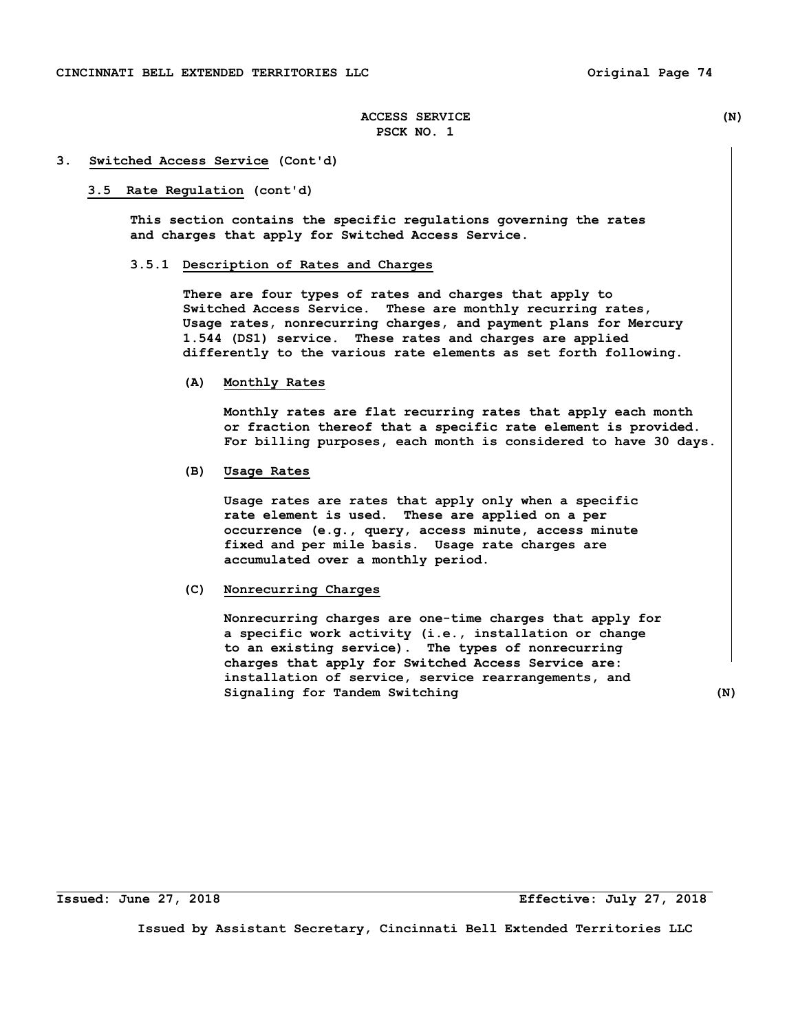#### **3. Switched Access Service (Cont'd)**

#### **3.5 Rate Regulation (cont'd)**

 **This section contains the specific regulations governing the rates and charges that apply for Switched Access Service.** 

## **3.5.1 Description of Rates and Charges**

 **There are four types of rates and charges that apply to Switched Access Service. These are monthly recurring rates, Usage rates, nonrecurring charges, and payment plans for Mercury 1.544 (DS1) service. These rates and charges are applied differently to the various rate elements as set forth following.** 

#### **(A) Monthly Rates**

 **Monthly rates are flat recurring rates that apply each month or fraction thereof that a specific rate element is provided. For billing purposes, each month is considered to have 30 days.** 

## **(B) Usage Rates**

 **Usage rates are rates that apply only when a specific rate element is used. These are applied on a per occurrence (e.g., query, access minute, access minute fixed and per mile basis. Usage rate charges are accumulated over a monthly period.** 

## **(C) Nonrecurring Charges**

 **Nonrecurring charges are one-time charges that apply for a specific work activity (i.e., installation or change to an existing service). The types of nonrecurring charges that apply for Switched Access Service are: installation of service, service rearrangements, and Signaling for Tandem Switching (N)** 

**Issued: June 27, 2018 Effective: July 27, 2018**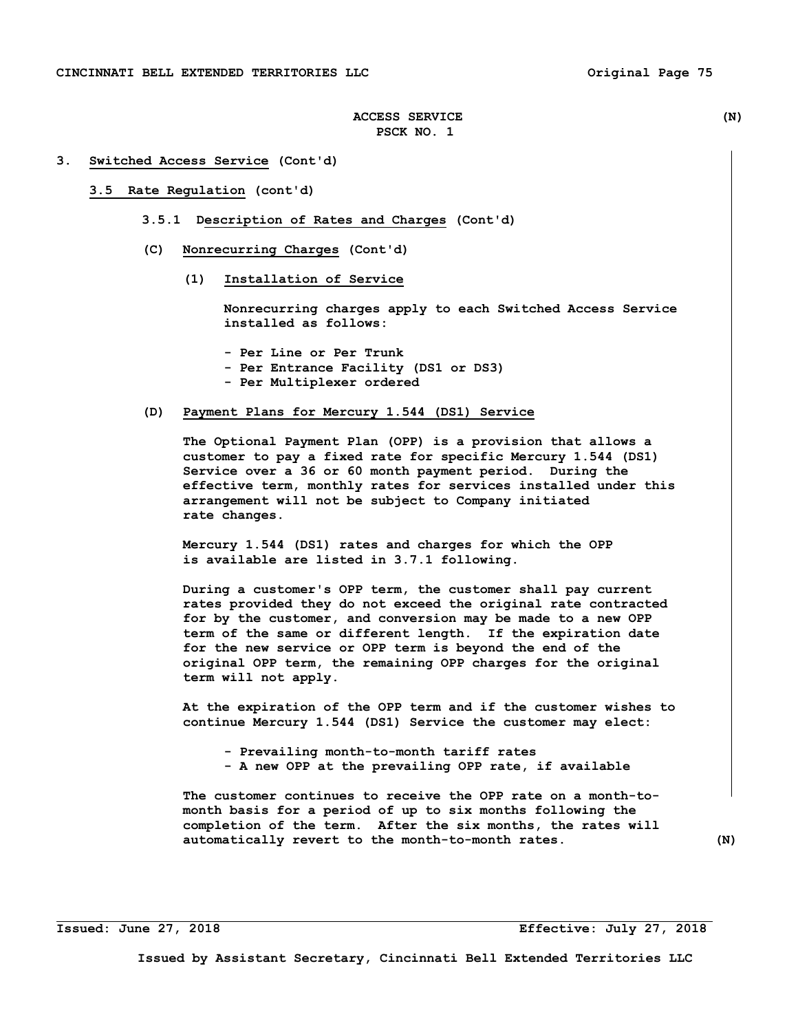#### **3. Switched Access Service (Cont'd)**

### **3.5 Rate Regulation (cont'd)**

- **3.5.1 Description of Rates and Charges (Cont'd)**
- **(C) Nonrecurring Charges (Cont'd)** 
	- **(1) Installation of Service**

 **Nonrecurring charges apply to each Switched Access Service installed as follows:** 

- **Per Line or Per Trunk**
- **Per Entrance Facility (DS1 or DS3)**
- **Per Multiplexer ordered**

## **(D) Payment Plans for Mercury 1.544 (DS1) Service**

 **The Optional Payment Plan (OPP) is a provision that allows a customer to pay a fixed rate for specific Mercury 1.544 (DS1) Service over a 36 or 60 month payment period. During the effective term, monthly rates for services installed under this arrangement will not be subject to Company initiated rate changes.** 

 **Mercury 1.544 (DS1) rates and charges for which the OPP is available are listed in 3.7.1 following.** 

 **During a customer's OPP term, the customer shall pay current rates provided they do not exceed the original rate contracted for by the customer, and conversion may be made to a new OPP term of the same or different length. If the expiration date for the new service or OPP term is beyond the end of the original OPP term, the remaining OPP charges for the original term will not apply.** 

 **At the expiration of the OPP term and if the customer wishes to continue Mercury 1.544 (DS1) Service the customer may elect:** 

- **Prevailing month-to-month tariff rates**
- **A new OPP at the prevailing OPP rate, if available**

 **The customer continues to receive the OPP rate on a month-to month basis for a period of up to six months following the completion of the term. After the six months, the rates will automatically revert to the month-to-month rates. (N)**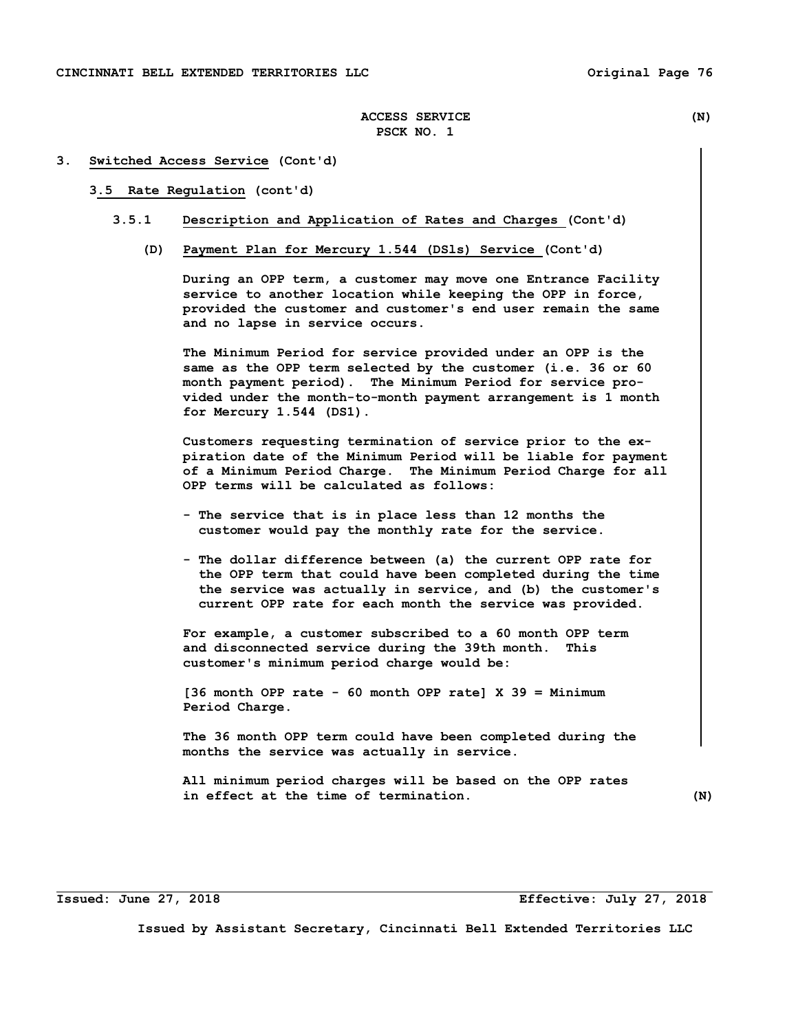#### **3. Switched Access Service (Cont'd)**

### **3.5 Rate Regulation (cont'd)**

## **3.5.1 Description and Application of Rates and Charges (Cont'd)**

 **(D) Payment Plan for Mercury 1.544 (DSls) Service (Cont'd)** 

 **During an OPP term, a customer may move one Entrance Facility service to another location while keeping the OPP in force, provided the customer and customer's end user remain the same and no lapse in service occurs.** 

 **The Minimum Period for service provided under an OPP is the same as the OPP term selected by the customer (i.e. 36 or 60 month payment period). The Minimum Period for service pro vided under the month-to-month payment arrangement is 1 month for Mercury 1.544 (DS1).** 

 **Customers requesting termination of service prior to the ex piration date of the Minimum Period will be liable for payment of a Minimum Period Charge. The Minimum Period Charge for all OPP terms will be calculated as follows:** 

- **The service that is in place less than 12 months the customer would pay the monthly rate for the service.**
- **The dollar difference between (a) the current OPP rate for the OPP term that could have been completed during the time the service was actually in service, and (b) the customer's current OPP rate for each month the service was provided.**

 **For example, a customer subscribed to a 60 month OPP term and disconnected service during the 39th month. This customer's minimum period charge would be:** 

 **[36 month OPP rate - 60 month OPP rate] X 39 = Minimum Period Charge.** 

 **The 36 month OPP term could have been completed during the months the service was actually in service.** 

 **All minimum period charges will be based on the OPP rates in effect at the time of termination. (N)** 

**Issued: June 27, 2018 Effective: July 27, 2018**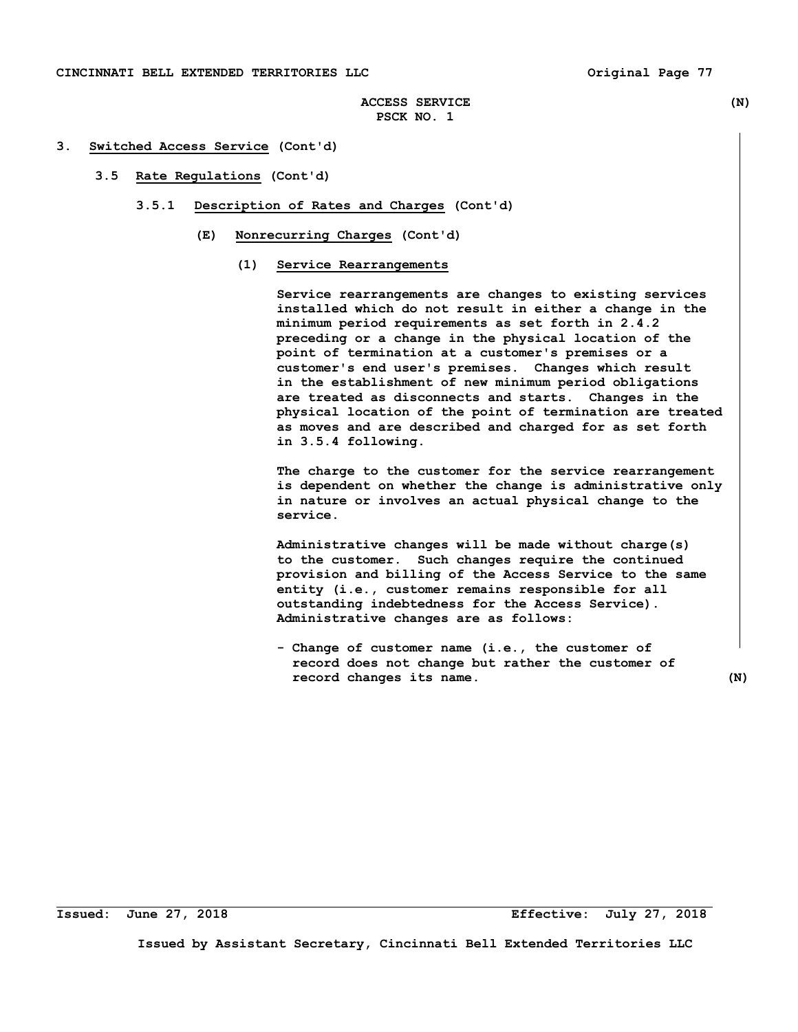### **CINCINNATI BELL EXTENDED TERRITORIES LLC Original Page 77**

# **ACCESS SERVICE (N) PSCK NO. 1**

## **3. Switched Access Service (Cont'd)**

## **3.5 Rate Regulations (Cont'd)**

- **3.5.1 Description of Rates and Charges (Cont'd)** 
	- **(E) Nonrecurring Charges (Cont'd)** 
		- **(1) Service Rearrangements**

 **Service rearrangements are changes to existing services installed which do not result in either a change in the minimum period requirements as set forth in 2.4.2 preceding or a change in the physical location of the point of termination at a customer's premises or a customer's end user's premises. Changes which result in the establishment of new minimum period obligations are treated as disconnects and starts. Changes in the physical location of the point of termination are treated as moves and are described and charged for as set forth in 3.5.4 following.** 

 **The charge to the customer for the service rearrangement is dependent on whether the change is administrative only in nature or involves an actual physical change to the service.** 

 **Administrative changes will be made without charge(s) to the customer. Such changes require the continued provision and billing of the Access Service to the same entity (i.e., customer remains responsible for all outstanding indebtedness for the Access Service). Administrative changes are as follows:** 

 **- Change of customer name (i.e., the customer of record does not change but rather the customer of record changes its name. (N)**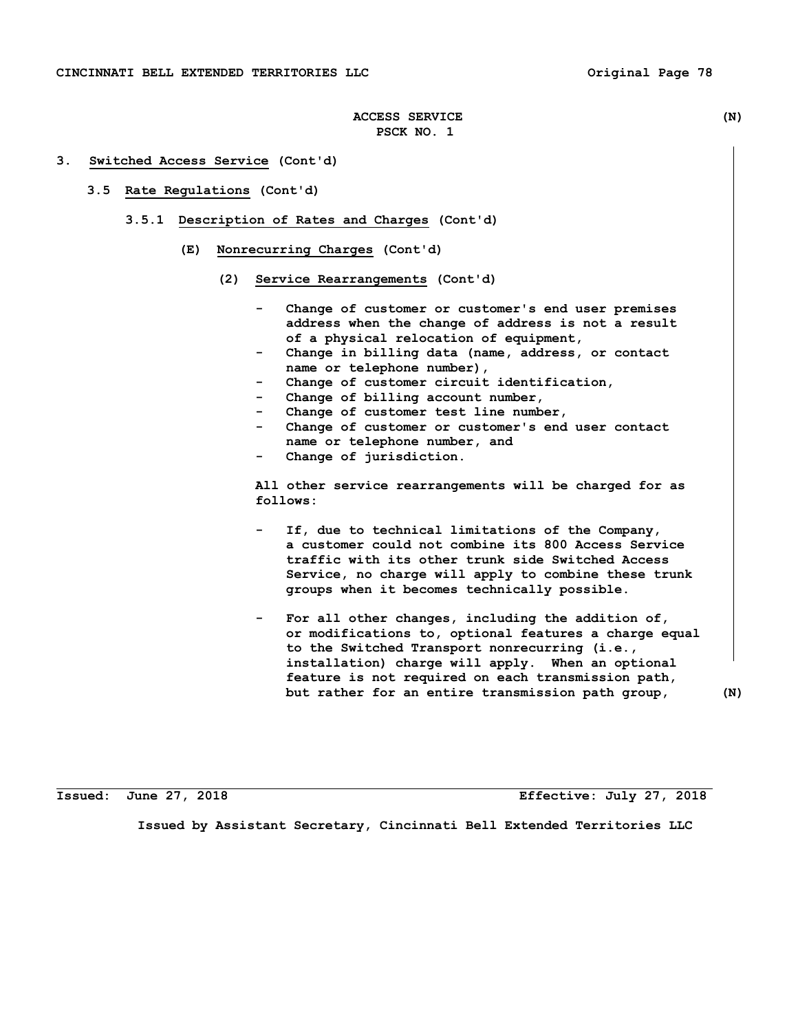#### **3. Switched Access Service (Cont'd)**

- **3.5 Rate Regulations (Cont'd)** 
	- **3.5.1 Description of Rates and Charges (Cont'd)** 
		- **(E) Nonrecurring Charges (Cont'd)** 
			- **(2) Service Rearrangements (Cont'd)** 
				- Change of customer or customer's end user premises  **address when the change of address is not a result of a physical relocation of equipment,**
				- Change in billing data (name, address, or contact  **name or telephone number),**
				- Change of customer circuit identification,
				- Change of billing account number,
				- Change of customer test line number,
				- Change of customer or customer's end user contact  **name or telephone number, and**
				- Change of jurisdiction.

 **All other service rearrangements will be charged for as follows:** 

- If, due to technical limitations of the Company,  **a customer could not combine its 800 Access Service traffic with its other trunk side Switched Access Service, no charge will apply to combine these trunk groups when it becomes technically possible.**
- For all other changes, including the addition of,  **or modifications to, optional features a charge equal to the Switched Transport nonrecurring (i.e., installation) charge will apply. When an optional feature is not required on each transmission path, but rather for an entire transmission path group, (N)**

**Issued: June 27, 2018 Effective: July 27, 2018**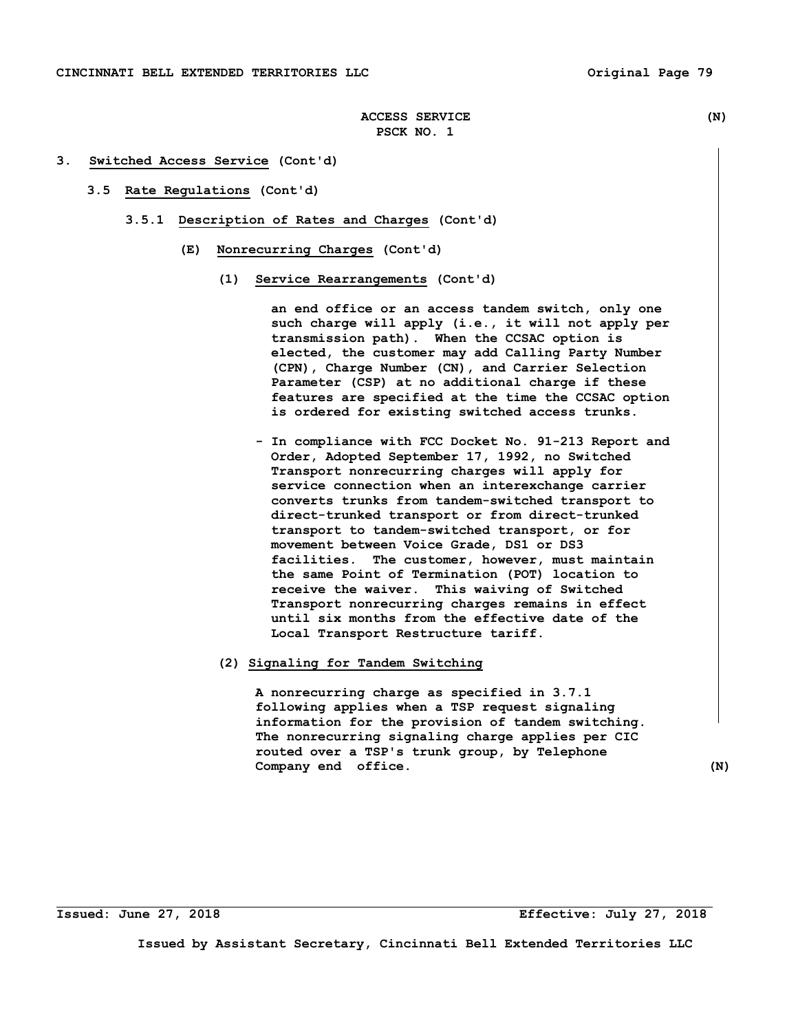### **3. Switched Access Service (Cont'd)**

- **3.5 Rate Regulations (Cont'd)** 
	- **3.5.1 Description of Rates and Charges (Cont'd)** 
		- **(E) Nonrecurring Charges (Cont'd)** 
			- **(1) Service Rearrangements (Cont'd)**

 **an end office or an access tandem switch, only one such charge will apply (i.e., it will not apply per transmission path). When the CCSAC option is elected, the customer may add Calling Party Number (CPN), Charge Number (CN), and Carrier Selection Parameter (CSP) at no additional charge if these features are specified at the time the CCSAC option is ordered for existing switched access trunks.** 

 **- In compliance with FCC Docket No. 91-213 Report and Order, Adopted September 17, 1992, no Switched Transport nonrecurring charges will apply for service connection when an interexchange carrier converts trunks from tandem-switched transport to direct-trunked transport or from direct-trunked transport to tandem-switched transport, or for movement between Voice Grade, DS1 or DS3 facilities. The customer, however, must maintain the same Point of Termination (POT) location to receive the waiver. This waiving of Switched Transport nonrecurring charges remains in effect until six months from the effective date of the Local Transport Restructure tariff.** 

### **(2) Signaling for Tandem Switching**

 **A nonrecurring charge as specified in 3.7.1 following applies when a TSP request signaling information for the provision of tandem switching. The nonrecurring signaling charge applies per CIC routed over a TSP's trunk group, by Telephone Company end office.** (N)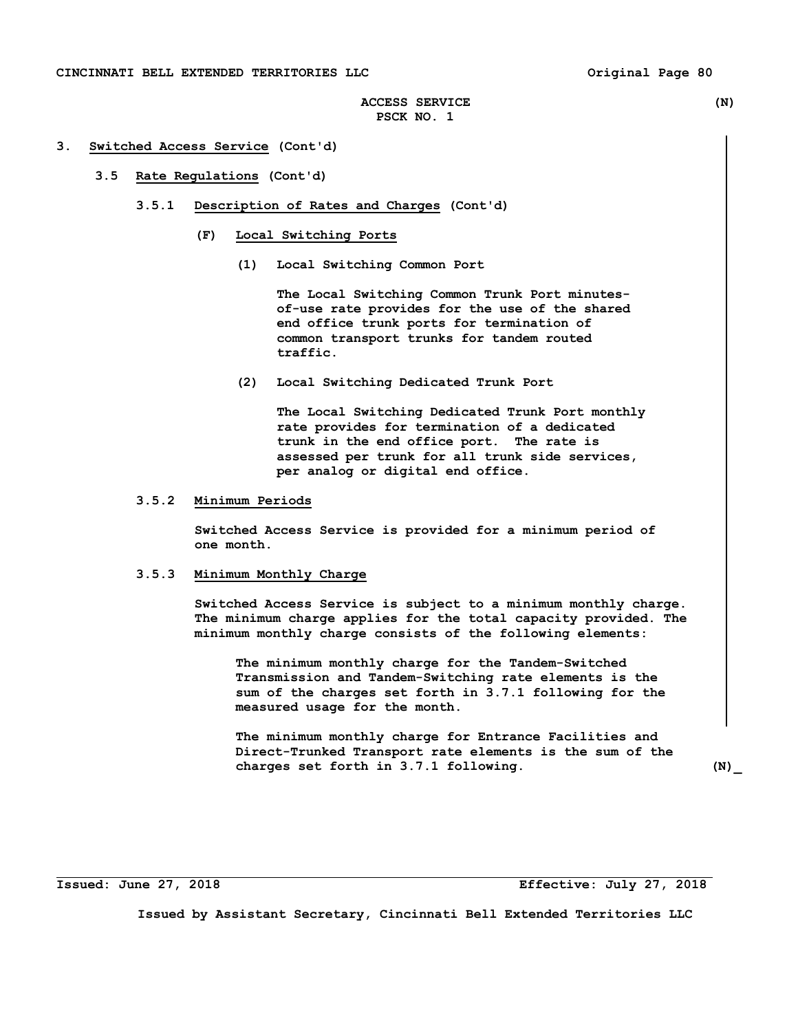### **CINCINNATI BELL EXTENDED TERRITORIES LLC Original Page 80**

# **ACCESS SERVICE (N) PSCK NO. 1**

#### **3. Switched Access Service (Cont'd)**

### **3.5 Rate Regulations (Cont'd)**

- **3.5.1 Description of Rates and Charges (Cont'd)** 
	- **(F) Local Switching Ports** 
		- **(1) Local Switching Common Port**

 **The Local Switching Common Trunk Port minutes of-use rate provides for the use of the shared end office trunk ports for termination of common transport trunks for tandem routed traffic.** 

 **(2) Local Switching Dedicated Trunk Port** 

 **The Local Switching Dedicated Trunk Port monthly rate provides for termination of a dedicated trunk in the end office port. The rate is assessed per trunk for all trunk side services, per analog or digital end office.** 

## **3.5.2 Minimum Periods**

 **Switched Access Service is provided for a minimum period of one month.** 

## **3.5.3 Minimum Monthly Charge**

 **Switched Access Service is subject to a minimum monthly charge. The minimum charge applies for the total capacity provided. The minimum monthly charge consists of the following elements:** 

 **The minimum monthly charge for the Tandem-Switched Transmission and Tandem-Switching rate elements is the sum of the charges set forth in 3.7.1 following for the measured usage for the month.** 

 **The minimum monthly charge for Entrance Facilities and Direct-Trunked Transport rate elements is the sum of the charges set forth in 3.7.1 following. (N)\_** 

**Issued: June 27, 2018 Effective: July 27, 2018**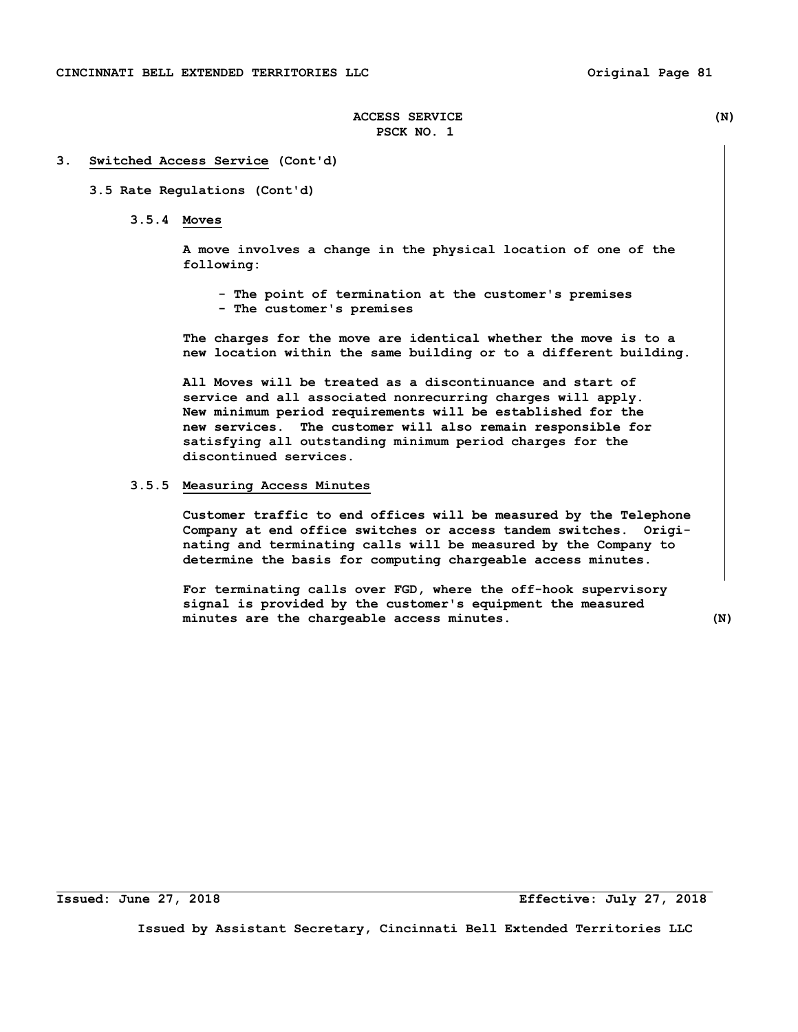#### **3. Switched Access Service (Cont'd)**

#### **3.5 Rate Regulations (Cont'd)**

 **3.5.4 Moves** 

 **A move involves a change in the physical location of one of the following:** 

 **- The point of termination at the customer's premises - The customer's premises** 

 **The charges for the move are identical whether the move is to a new location within the same building or to a different building.** 

 **All Moves will be treated as a discontinuance and start of service and all associated nonrecurring charges will apply. New minimum period requirements will be established for the new services. The customer will also remain responsible for satisfying all outstanding minimum period charges for the discontinued services.** 

## **3.5.5 Measuring Access Minutes**

 **Customer traffic to end offices will be measured by the Telephone Company at end office switches or access tandem switches. Origi nating and terminating calls will be measured by the Company to determine the basis for computing chargeable access minutes.** 

 **For terminating calls over FGD, where the off-hook supervisory signal is provided by the customer's equipment the measured minutes are the chargeable access minutes. (N)** 

**Issued: June 27, 2018 Effective: July 27, 2018**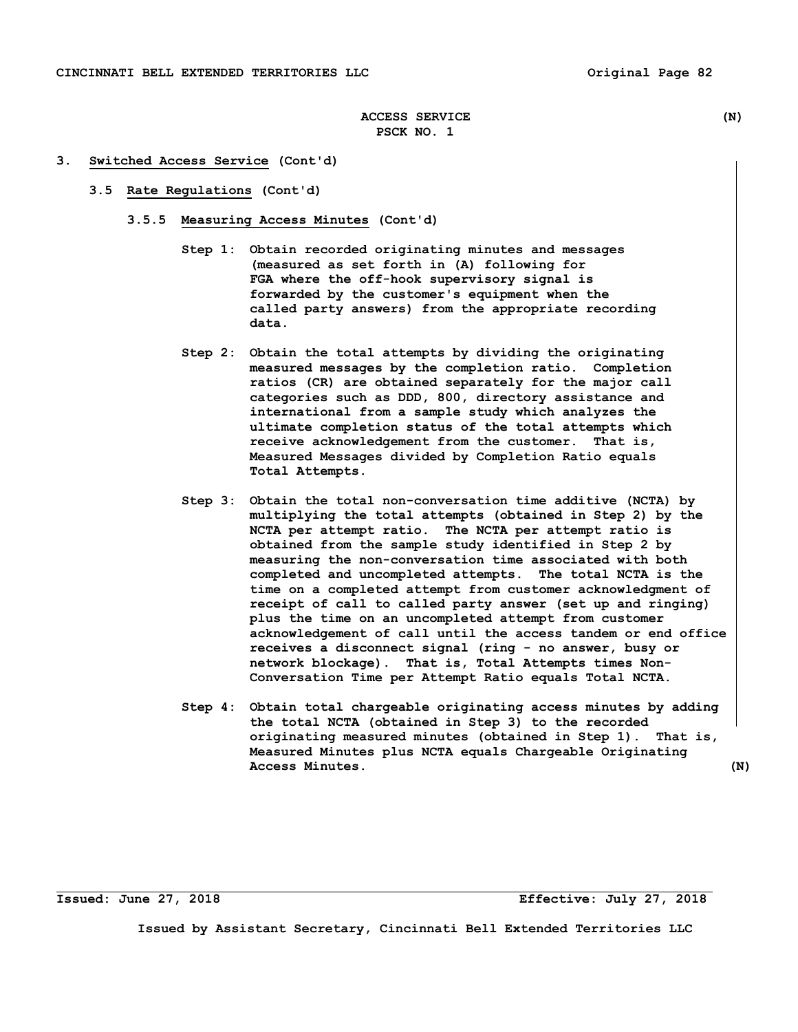#### **3. Switched Access Service (Cont'd)**

- **3.5 Rate Regulations (Cont'd)** 
	- **3.5.5 Measuring Access Minutes (Cont'd)** 
		- **Step 1: Obtain recorded originating minutes and messages (measured as set forth in (A) following for FGA where the off-hook supervisory signal is forwarded by the customer's equipment when the called party answers) from the appropriate recording data.**
		- **Step 2: Obtain the total attempts by dividing the originating measured messages by the completion ratio. Completion ratios (CR) are obtained separately for the major call categories such as DDD, 800, directory assistance and international from a sample study which analyzes the ultimate completion status of the total attempts which receive acknowledgement from the customer. That is, Measured Messages divided by Completion Ratio equals Total Attempts.**
		- **Step 3: Obtain the total non-conversation time additive (NCTA) by multiplying the total attempts (obtained in Step 2) by the NCTA per attempt ratio. The NCTA per attempt ratio is obtained from the sample study identified in Step 2 by measuring the non-conversation time associated with both completed and uncompleted attempts. The total NCTA is the time on a completed attempt from customer acknowledgment of receipt of call to called party answer (set up and ringing) plus the time on an uncompleted attempt from customer acknowledgement of call until the access tandem or end office receives a disconnect signal (ring - no answer, busy or network blockage). That is, Total Attempts times Non- Conversation Time per Attempt Ratio equals Total NCTA.**
		- **Step 4: Obtain total chargeable originating access minutes by adding the total NCTA (obtained in Step 3) to the recorded originating measured minutes (obtained in Step 1). That is, Measured Minutes plus NCTA equals Chargeable Originating Access Minutes. (N)**

**Issued: June 27, 2018 Effective: July 27, 2018**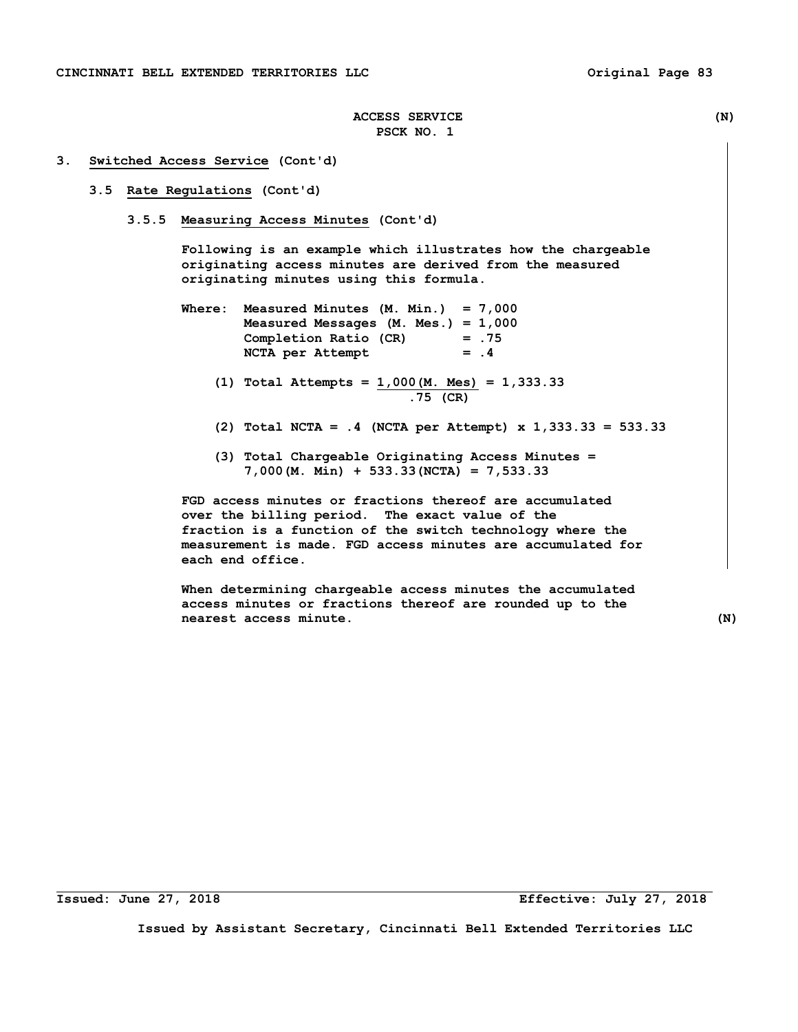#### **3. Switched Access Service (Cont'd)**

### **3.5 Rate Regulations (Cont'd)**

 **3.5.5 Measuring Access Minutes (Cont'd)** 

 **Following is an example which illustrates how the chargeable originating access minutes are derived from the measured originating minutes using this formula.** 

- **Where: Measured Minutes (M. Min.) = 7,000 Measured Messages (M. Mes.) = 1,000 Completion Ratio (CR) = .75**  NCTA per Attempt = .4
	- **(1) Total Attempts = 1,000(M. Mes) = 1,333.33 .75 (CR)**
	- **(2) Total NCTA = .4 (NCTA per Attempt) x 1,333.33 = 533.33**
	- **(3) Total Chargeable Originating Access Minutes = 7,000(M. Min) + 533.33(NCTA) = 7,533.33**

 **FGD access minutes or fractions thereof are accumulated over the billing period. The exact value of the fraction is a function of the switch technology where the measurement is made. FGD access minutes are accumulated for each end office.** 

 **When determining chargeable access minutes the accumulated access minutes or fractions thereof are rounded up to the nearest access minute. (N)** 

**Issued: June 27, 2018 Effective: July 27, 2018**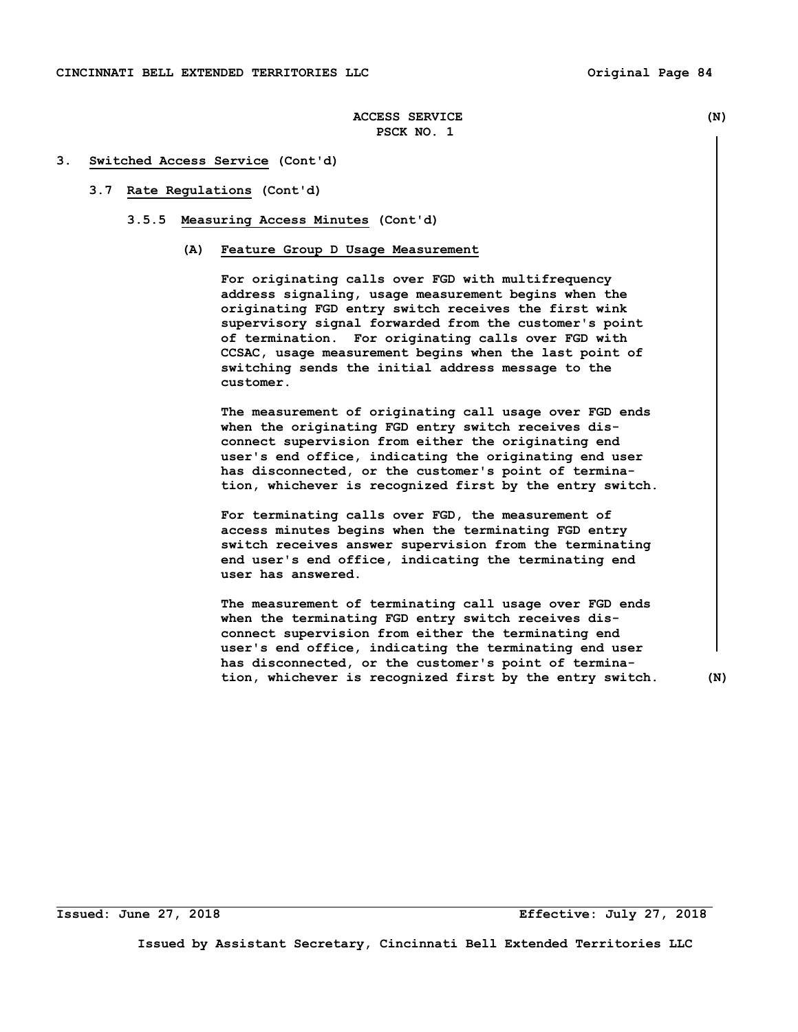#### **3. Switched Access Service (Cont'd)**

### **3.7 Rate Regulations (Cont'd)**

- **3.5.5 Measuring Access Minutes (Cont'd)** 
	- **(A) Feature Group D Usage Measurement**

 **For originating calls over FGD with multifrequency address signaling, usage measurement begins when the originating FGD entry switch receives the first wink supervisory signal forwarded from the customer's point of termination. For originating calls over FGD with CCSAC, usage measurement begins when the last point of switching sends the initial address message to the customer.** 

 **The measurement of originating call usage over FGD ends when the originating FGD entry switch receives dis connect supervision from either the originating end user's end office, indicating the originating end user has disconnected, or the customer's point of termina tion, whichever is recognized first by the entry switch.** 

 **For terminating calls over FGD, the measurement of access minutes begins when the terminating FGD entry switch receives answer supervision from the terminating end user's end office, indicating the terminating end user has answered.** 

 **The measurement of terminating call usage over FGD ends when the terminating FGD entry switch receives dis connect supervision from either the terminating end user's end office, indicating the terminating end user has disconnected, or the customer's point of termina tion, whichever is recognized first by the entry switch. (N)**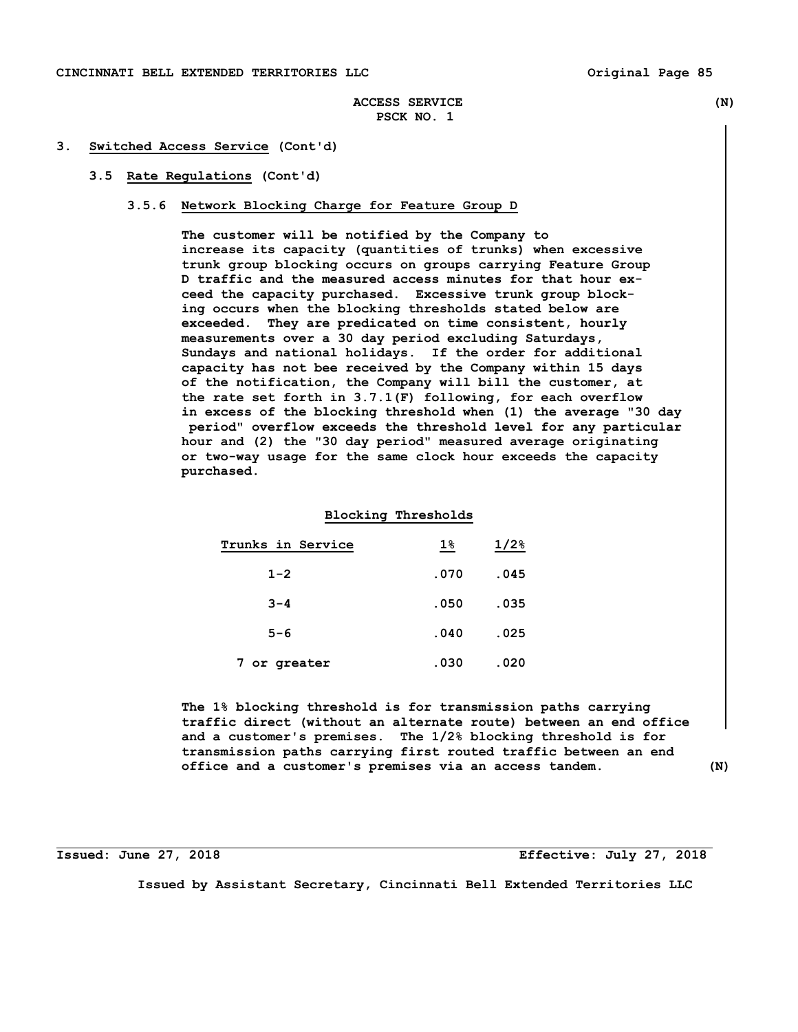### **3. Switched Access Service (Cont'd)**

## **3.5 Rate Regulations (Cont'd)**

#### **3.5.6 Network Blocking Charge for Feature Group D**

 **The customer will be notified by the Company to increase its capacity (quantities of trunks) when excessive trunk group blocking occurs on groups carrying Feature Group D traffic and the measured access minutes for that hour ex ceed the capacity purchased. Excessive trunk group block ing occurs when the blocking thresholds stated below are exceeded. They are predicated on time consistent, hourly measurements over a 30 day period excluding Saturdays, Sundays and national holidays. If the order for additional capacity has not bee received by the Company within 15 days of the notification, the Company will bill the customer, at the rate set forth in 3.7.1(F) following, for each overflow in excess of the blocking threshold when (1) the average "30 day period" overflow exceeds the threshold level for any particular hour and (2) the "30 day period" measured average originating or two-way usage for the same clock hour exceeds the capacity purchased.** 

#### **Blocking Thresholds**

| Trunks in Service | $1\%$ | $1/2$ <sup>8</sup> |
|-------------------|-------|--------------------|
| $1 - 2$           | .070  | .045               |
| $3 - 4$           | .050  | .035               |
| $5 - 6$           | .040  | .025               |
| 7 or greater      | .030  | .020               |

 **The 1% blocking threshold is for transmission paths carrying traffic direct (without an alternate route) between an end office and a customer's premises. The 1/2% blocking threshold is for transmission paths carrying first routed traffic between an end office and a customer's premises via an access tandem. (N)** 

### **Issued: June 27, 2018 Effective: July 27, 2018**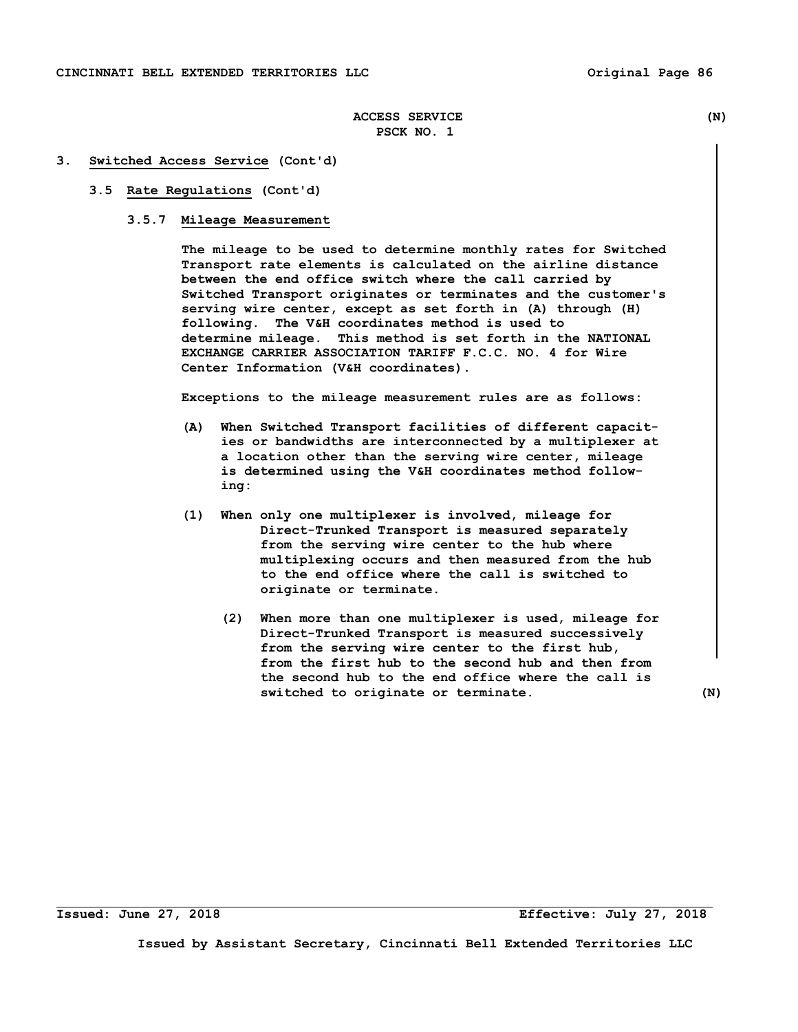#### **3. Switched Access Service (Cont'd)**

### **3.5 Rate Regulations (Cont'd)**

### **3.5.7 Mileage Measurement**

 **The mileage to be used to determine monthly rates for Switched Transport rate elements is calculated on the airline distance between the end office switch where the call carried by Switched Transport originates or terminates and the customer's serving wire center, except as set forth in (A) through (H) following. The V&H coordinates method is used to determine mileage. This method is set forth in the NATIONAL EXCHANGE CARRIER ASSOCIATION TARIFF F.C.C. NO. 4 for Wire Center Information (V&H coordinates).** 

 **Exceptions to the mileage measurement rules are as follows:** 

- **(A) When Switched Transport facilities of different capacit ies or bandwidths are interconnected by a multiplexer at a location other than the serving wire center, mileage is determined using the V&H coordinates method follow ing:**
- **(1) When only one multiplexer is involved, mileage for Direct-Trunked Transport is measured separately from the serving wire center to the hub where multiplexing occurs and then measured from the hub to the end office where the call is switched to originate or terminate.** 
	- **(2) When more than one multiplexer is used, mileage for Direct-Trunked Transport is measured successively from the serving wire center to the first hub, from the first hub to the second hub and then from the second hub to the end office where the call is switched to originate or terminate. (N)**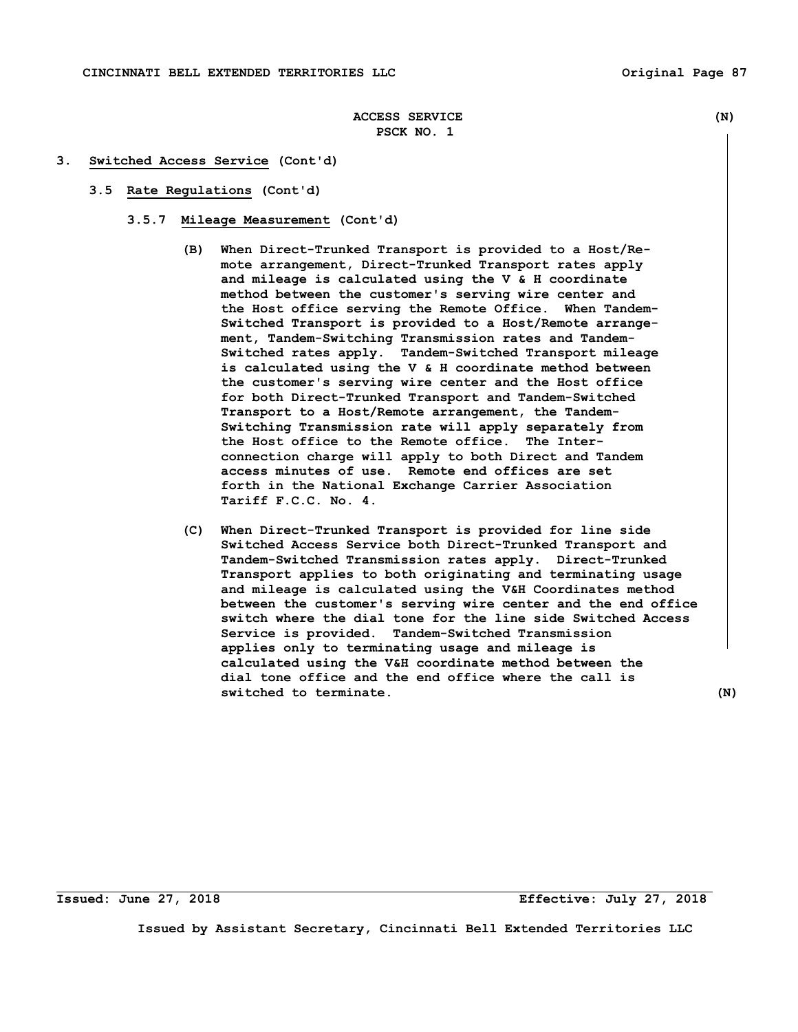#### **3. Switched Access Service (Cont'd)**

- **3.5 Rate Regulations (Cont'd)** 
	- **3.5.7 Mileage Measurement (Cont'd)** 
		- **(B) When Direct-Trunked Transport is provided to a Host/Re mote arrangement, Direct-Trunked Transport rates apply and mileage is calculated using the V & H coordinate method between the customer's serving wire center and the Host office serving the Remote Office. When Tandem- Switched Transport is provided to a Host/Remote arrange ment, Tandem-Switching Transmission rates and Tandem- Switched rates apply. Tandem-Switched Transport mileage is calculated using the V & H coordinate method between the customer's serving wire center and the Host office for both Direct-Trunked Transport and Tandem-Switched Transport to a Host/Remote arrangement, the Tandem- Switching Transmission rate will apply separately from the Host office to the Remote office. The Inter connection charge will apply to both Direct and Tandem access minutes of use. Remote end offices are set forth in the National Exchange Carrier Association Tariff F.C.C. No. 4.**
		- **(C) When Direct-Trunked Transport is provided for line side Switched Access Service both Direct-Trunked Transport and Tandem-Switched Transmission rates apply. Direct-Trunked Transport applies to both originating and terminating usage and mileage is calculated using the V&H Coordinates method between the customer's serving wire center and the end office switch where the dial tone for the line side Switched Access Service is provided. Tandem-Switched Transmission applies only to terminating usage and mileage is calculated using the V&H coordinate method between the dial tone office and the end office where the call is switched to terminate. (N)**

**Issued: June 27, 2018 Effective: July 27, 2018**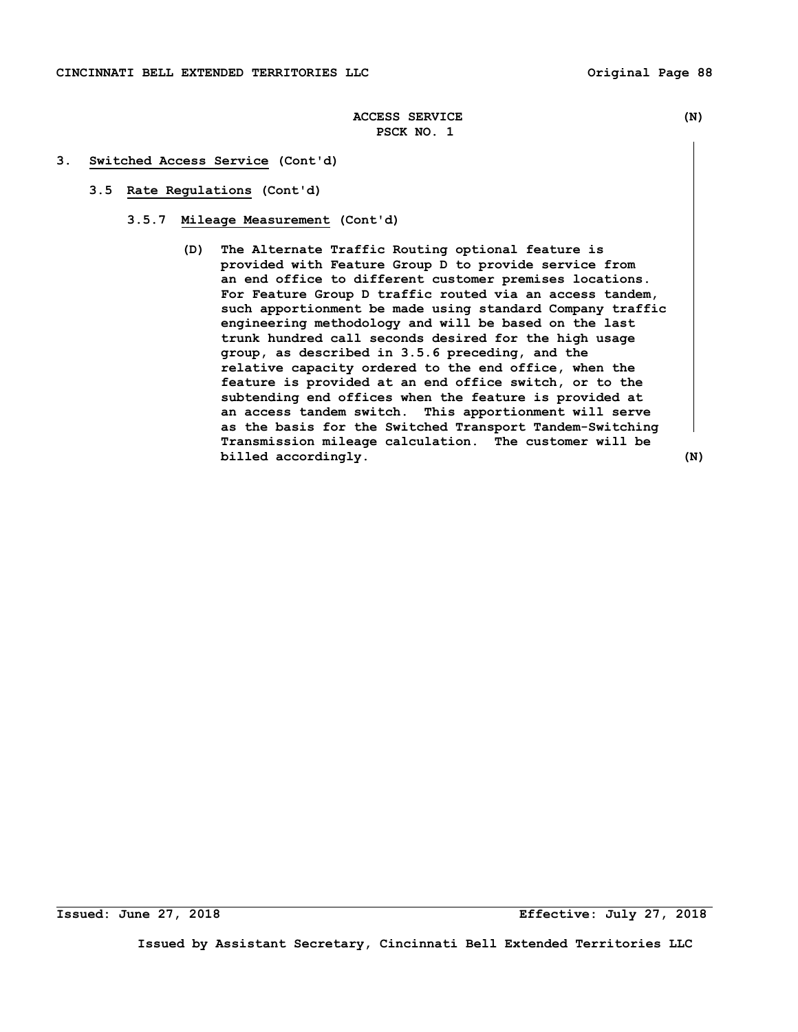### **3. Switched Access Service (Cont'd)**

- **3.5 Rate Regulations (Cont'd)** 
	- **3.5.7 Mileage Measurement (Cont'd)** 
		- **(D) The Alternate Traffic Routing optional feature is provided with Feature Group D to provide service from an end office to different customer premises locations. For Feature Group D traffic routed via an access tandem, such apportionment be made using standard Company traffic engineering methodology and will be based on the last trunk hundred call seconds desired for the high usage group, as described in 3.5.6 preceding, and the relative capacity ordered to the end office, when the feature is provided at an end office switch, or to the subtending end offices when the feature is provided at an access tandem switch. This apportionment will serve as the basis for the Switched Transport Tandem-Switching Transmission mileage calculation. The customer will be billed** accordingly. (N)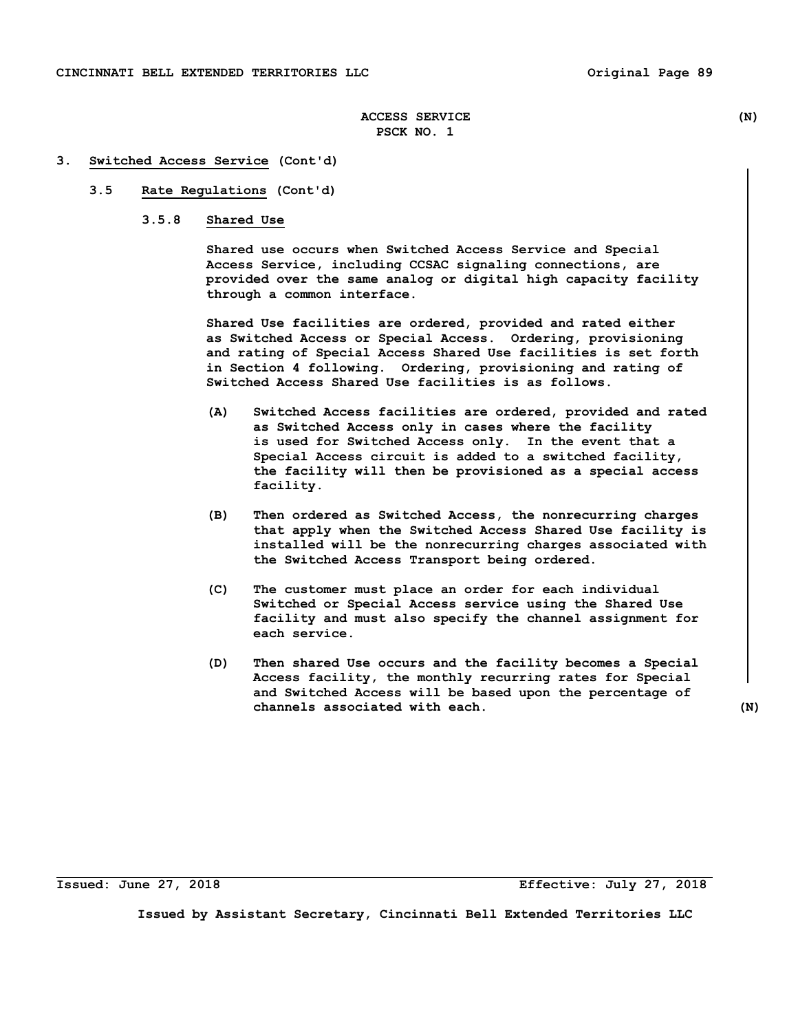### **3. Switched Access Service (Cont'd)**

## **3.5 Rate Regulations (Cont'd)**

 **3.5.8 Shared Use** 

 **Shared use occurs when Switched Access Service and Special Access Service, including CCSAC signaling connections, are provided over the same analog or digital high capacity facility through a common interface.** 

 **Shared Use facilities are ordered, provided and rated either as Switched Access or Special Access. Ordering, provisioning and rating of Special Access Shared Use facilities is set forth in Section 4 following. Ordering, provisioning and rating of Switched Access Shared Use facilities is as follows.** 

- **(A) Switched Access facilities are ordered, provided and rated as Switched Access only in cases where the facility is used for Switched Access only. In the event that a Special Access circuit is added to a switched facility, the facility will then be provisioned as a special access facility.**
- **(B) Then ordered as Switched Access, the nonrecurring charges that apply when the Switched Access Shared Use facility is installed will be the nonrecurring charges associated with the Switched Access Transport being ordered.**
- **(C) The customer must place an order for each individual Switched or Special Access service using the Shared Use facility and must also specify the channel assignment for each service.**
- **(D) Then shared Use occurs and the facility becomes a Special Access facility, the monthly recurring rates for Special and Switched Access will be based upon the percentage of channels associated with each. (N)**

**Issued: June 27, 2018 Effective: July 27, 2018**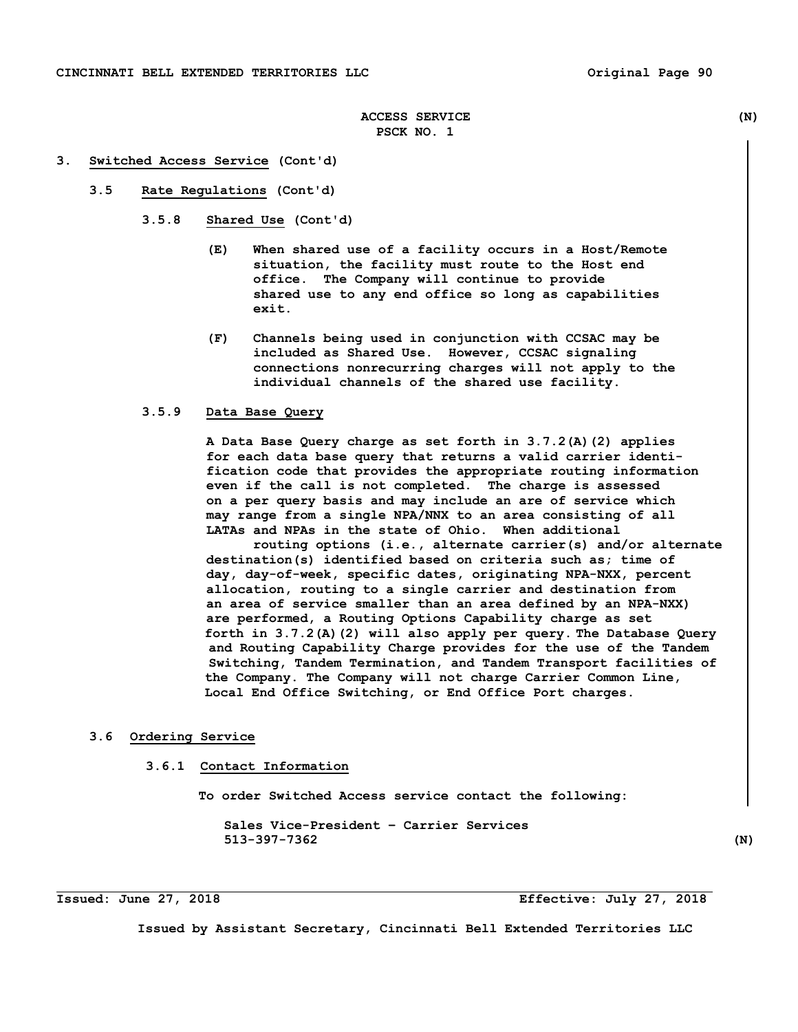#### **3. Switched Access Service (Cont'd)**

 **3.5 Rate Regulations (Cont'd)** 

 **3.5.8 Shared Use (Cont'd)** 

- **(E) When shared use of a facility occurs in a Host/Remote situation, the facility must route to the Host end office. The Company will continue to provide shared use to any end office so long as capabilities exit.**
- **(F) Channels being used in conjunction with CCSAC may be included as Shared Use. However, CCSAC signaling connections nonrecurring charges will not apply to the individual channels of the shared use facility.**

### **3.5.9 Data Base Query**

 **A Data Base Query charge as set forth in 3.7.2(A)(2) applies for each data base query that returns a valid carrier identi fication code that provides the appropriate routing information even if the call is not completed. The charge is assessed on a per query basis and may include an are of service which may range from a single NPA/NNX to an area consisting of all LATAs and NPAs in the state of Ohio. When additional** 

 **routing options (i.e., alternate carrier(s) and/or alternate destination(s) identified based on criteria such as; time of day, day-of-week, specific dates, originating NPA-NXX, percent allocation, routing to a single carrier and destination from an area of service smaller than an area defined by an NPA-NXX) are performed, a Routing Options Capability charge as set forth in 3.7.2(A)(2) will also apply per query. The Database Query and Routing Capability Charge provides for the use of the Tandem Switching, Tandem Termination, and Tandem Transport facilities of the Company. The Company will not charge Carrier Common Line, Local End Office Switching, or End Office Port charges.** 

## **3.6 Ordering Service**

### **3.6.1 Contact Information**

 **To order Switched Access service contact the following:** 

 **Sales Vice-President – Carrier Services 513-397-7362 (N)** 

**Issued: June 27, 2018 Effective: July 27, 2018**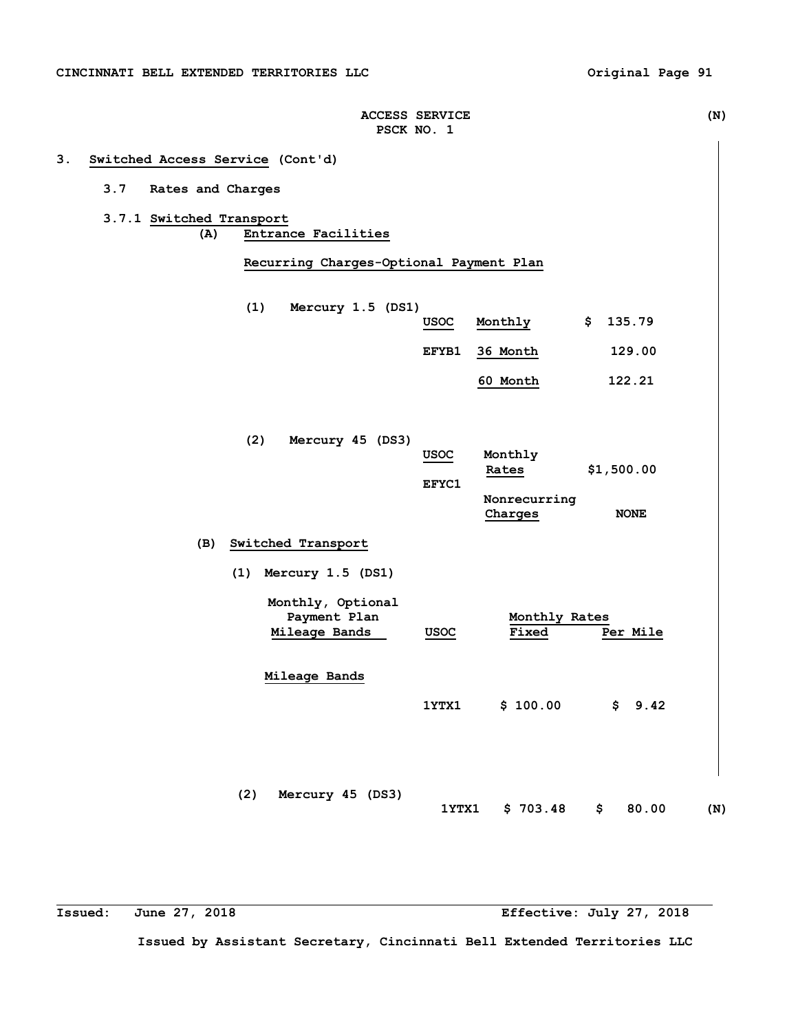| <b>ACCESS SERVICE</b> | (N |
|-----------------------|----|
| PSCK NO.              |    |

# **3. Switched Access Service (Cont'd)**

## **3.7 Rates and Charges**

**3.7.1 Switched Transport (A) Entrance Facilities** 

 **Recurring Charges-Optional Payment Plan** 

- **(1) Mercury 1.5 (DS1) USOC Monthly \$ 135.79**
	- **EFYB1 36 Month 129.00**

 **60 Month 122.21** 

**(2) Mercury 45 (DS3) USOC Monthly Rates \$1,500.00 EFYC1 Nonrecurring Charges NONE** 

# **(B) Switched Transport**

 **(1) Mercury 1.5 (DS1)** 

| Monthly, Optional<br>Payment Plan<br>Mileage Bands | <b>USOC</b> | Monthly Rates<br>Fixed | Per Mile   |  |
|----------------------------------------------------|-------------|------------------------|------------|--|
| Mileage Bands                                      |             |                        |            |  |
|                                                    | 1YTX1       | \$100.00               | \$<br>9.42 |  |
|                                                    |             |                        |            |  |
|                                                    |             |                        |            |  |
| (2)<br>Mercury 45                                  | (DS3)       |                        |            |  |

 **1YTX1 \$ 703.48 \$ 80.00 (N)** 

**Issued: June 27, 2018 Effective: July 27, 2018**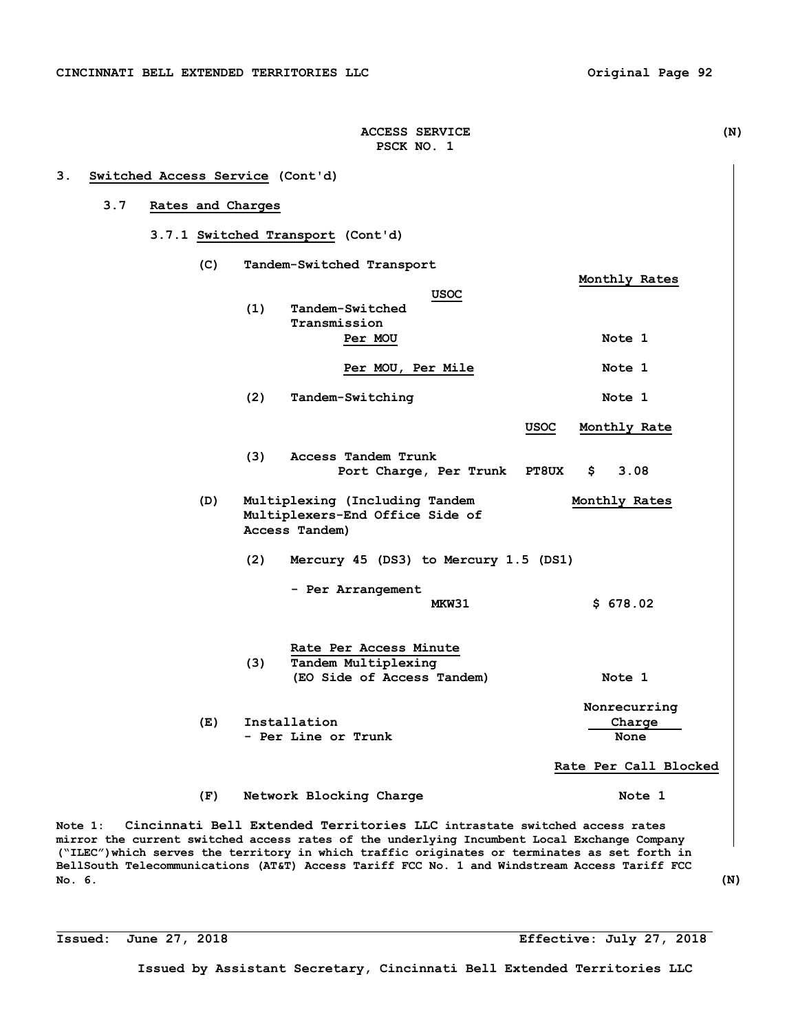| 3.7 |     | Rates and Charges |                |                                                                   |                                       |              |                       |
|-----|-----|-------------------|----------------|-------------------------------------------------------------------|---------------------------------------|--------------|-----------------------|
|     |     |                   |                | 3.7.1 Switched Transport (Cont'd)                                 |                                       |              |                       |
|     | (C) |                   |                | Tandem-Switched Transport                                         |                                       |              |                       |
|     |     |                   |                |                                                                   | USOC                                  |              | Monthly Rates         |
|     |     | (1)               |                | Tandem-Switched                                                   |                                       |              |                       |
|     |     |                   |                | Transmission<br>Per MOU                                           |                                       |              | Note 1                |
|     |     |                   |                |                                                                   |                                       |              |                       |
|     |     |                   |                | Per MOU, Per Mile                                                 |                                       |              | Note 1                |
|     |     | (2)               |                | Tandem-Switching                                                  |                                       |              | Note 1                |
|     |     |                   |                |                                                                   |                                       | USOC         | Monthly Rate          |
|     |     | (3)               |                | Access Tandem Trunk                                               | Port Charge, Per Trunk                | <b>PT8UX</b> | Ş.<br>3.08            |
|     |     |                   |                |                                                                   |                                       |              |                       |
|     | (D) |                   | Access Tandem) | Multiplexing (Including Tandem<br>Multiplexers-End Office Side of |                                       |              | Monthly Rates         |
|     |     | (2)               |                |                                                                   | Mercury 45 (DS3) to Mercury 1.5 (DS1) |              |                       |
|     |     |                   |                | - Per Arrangement                                                 |                                       |              |                       |
|     |     |                   |                |                                                                   | MKW31                                 |              | \$678.02              |
|     |     |                   |                | Rate Per Access Minute                                            |                                       |              |                       |
|     |     | (3)               |                | Tandem Multiplexing<br>(EO Side of Access Tandem)                 |                                       |              | Note 1                |
|     |     |                   |                |                                                                   |                                       |              |                       |
|     |     |                   |                |                                                                   |                                       |              | Nonrecurring          |
|     | (E) |                   | Installation   |                                                                   |                                       |              | Charge                |
|     |     |                   |                | - Per Line or Trunk                                               |                                       |              | None                  |
|     |     |                   |                |                                                                   |                                       |              | Rate Per Call Blocked |
|     | (F) |                   |                | Network Blocking Charge                                           |                                       |              | Note 1                |

**PSCK NO. 1** 

**mirror the current switched access rates of the underlying Incumbent Local Exchange Company ("ILEC")which serves the territory in which traffic originates or terminates as set forth in BellSouth Telecommunications (AT&T) Access Tariff FCC No. 1 and Windstream Access Tariff FCC No. 6. (N)**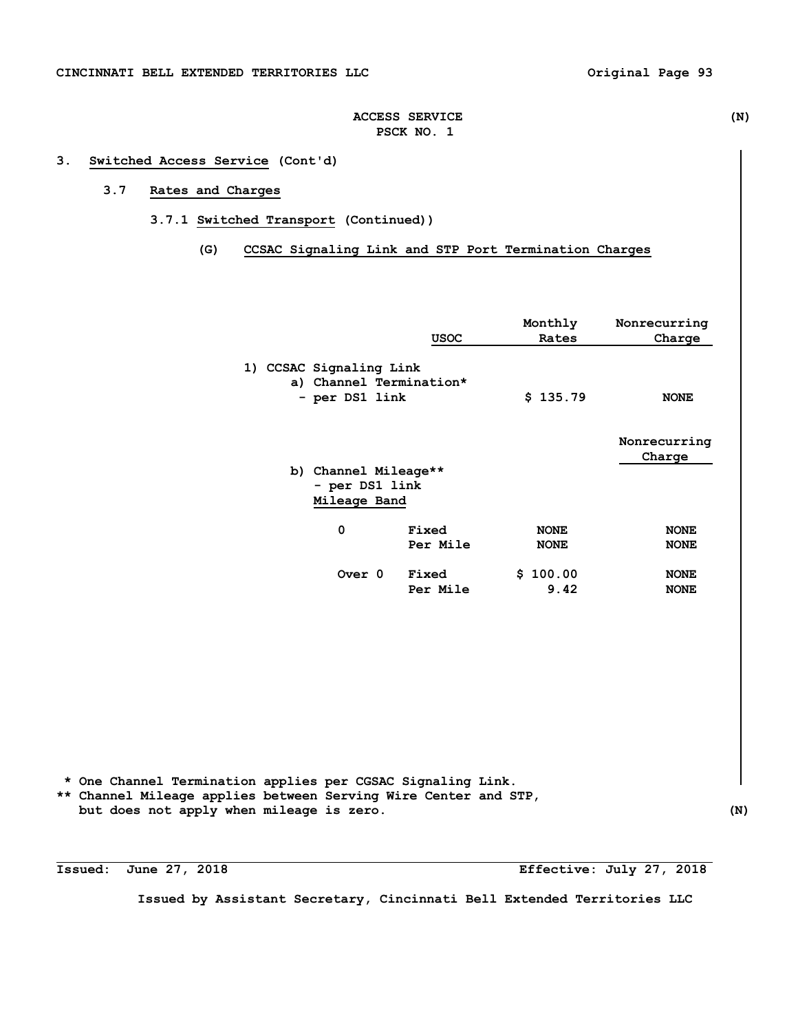## **3. Switched Access Service (Cont'd)**

# **3.7 Rates and Charges**

- **3.7.1 Switched Transport (Continued))** 
	- **(G) CCSAC Signaling Link and STP Port Termination Charges**

|                                                                      | <b>USOC</b>       | Monthly<br>Rates           | Nonrecurring<br>Charge     |
|----------------------------------------------------------------------|-------------------|----------------------------|----------------------------|
| 1) CCSAC Signaling Link<br>a) Channel Termination*<br>- per DS1 link |                   | \$135.79                   | <b>NONE</b>                |
| b) Channel Mileage**                                                 |                   |                            | Nonrecurring<br>Charge     |
| - per DS1 link<br>Mileage Band                                       |                   |                            |                            |
| 0                                                                    | Fixed<br>Per Mile | <b>NONE</b><br><b>NONE</b> | <b>NONE</b><br><b>NONE</b> |
| Over 0                                                               | Fixed<br>Per Mile | \$100.00<br>9.42           | <b>NONE</b><br><b>NONE</b> |

 **\* One Channel Termination applies per CGSAC Signaling Link. \*\* Channel Mileage applies between Serving Wire Center and STP, but does not apply when mileage is zero. (N)** 

**Issued: June 27, 2018 Effective: July 27, 2018**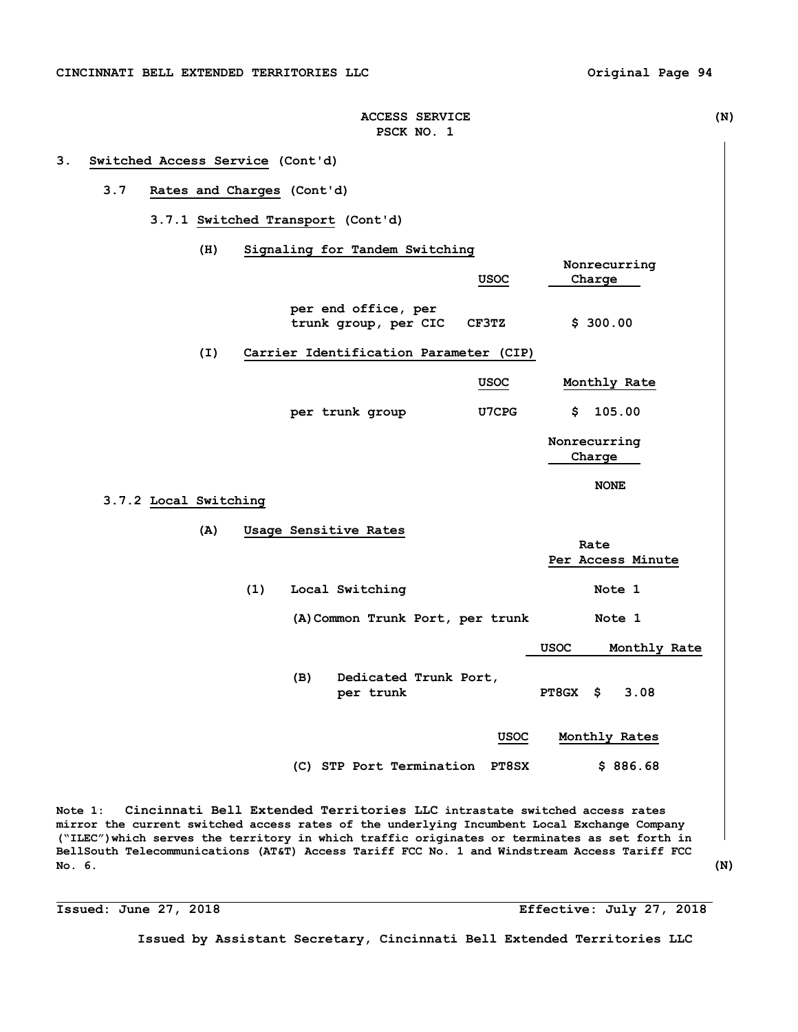| <b>ACCESS SERVICE</b> | (N) |
|-----------------------|-----|
| PSCK NO. 1            |     |

#### **3. Switched Access Service (Cont'd)**

## **3.7 Rates and Charges (Cont'd)**

 **3.7.1 Switched Transport (Cont'd)** 

 **(H) Signaling for Tandem Switching Nonrecurring USOC** Charge **Charge per end office, per trunk group, per CIC CF3TZ \$ 300.00 (I) Carrier Identification Parameter (CIP) USOC Monthly Rate per trunk group U7CPG \$ 105.00 Nonrecurring Charge**  $\overline{\phantom{a}}$   $\overline{\phantom{a}}$   $\overline{\phantom{a}}$   $\overline{\phantom{a}}$   $\overline{\phantom{a}}$   $\overline{\phantom{a}}$   $\overline{\phantom{a}}$   $\overline{\phantom{a}}$   $\overline{\phantom{a}}$   $\overline{\phantom{a}}$   $\overline{\phantom{a}}$   $\overline{\phantom{a}}$   $\overline{\phantom{a}}$   $\overline{\phantom{a}}$   $\overline{\phantom{a}}$   $\overline{\phantom{a}}$   $\overline{\phantom{a}}$   $\overline{\phantom{$ **NONE 3.7.2 Local Switching (A) Usage Sensitive Rates**  *Rate* **Rate Per Access Minute**  (1) Local Switching Note 1  **(A)Common Trunk Port, per trunk Note 1 USOC Monthly Rate (B) Dedicated Trunk Port, per trunk PT8GX \$ 3.08 USOC Monthly Rates (C) STP Port Termination PT8SX \$ 886.68** 

**Note 1: Cincinnati Bell Extended Territories LLC intrastate switched access rates mirror the current switched access rates of the underlying Incumbent Local Exchange Company ("ILEC")which serves the territory in which traffic originates or terminates as set forth in BellSouth Telecommunications (AT&T) Access Tariff FCC No. 1 and Windstream Access Tariff FCC No. 6. (N)** 

**Issued: June 27, 2018 Effective: July 27, 2018**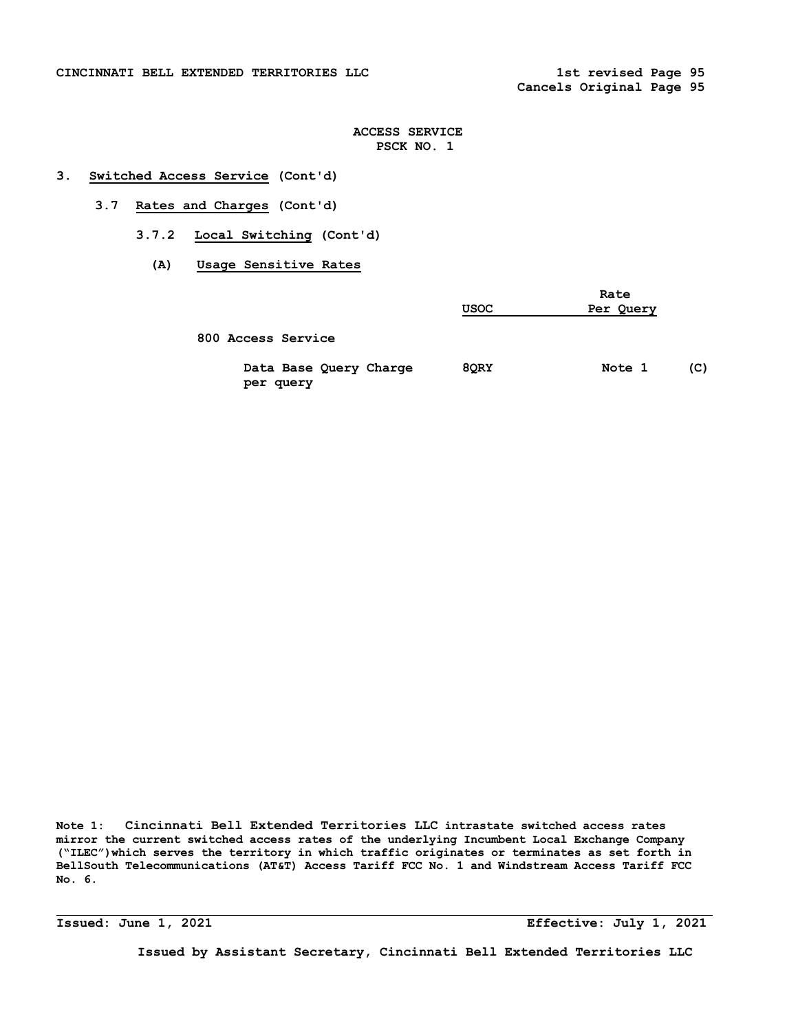### **CINCINNATI BELL EXTENDED TERRITORIES LLC 1st revised Page 95**

## **ACCESS SERVICE PSCK NO. 1**

## **3. Switched Access Service (Cont'd)**

- **3.7 Rates and Charges (Cont'd)** 
	- **3.7.2 Local Switching (Cont'd)** 
		- **(A) Usage Sensitive Rates**

|                                     | <b>USOC</b> | Rate<br>Per Query |     |  |
|-------------------------------------|-------------|-------------------|-----|--|
| 800 Access Service                  |             |                   |     |  |
| Data Base Query Charge<br>per query | 8QRY        | Note 1            | (C) |  |

**Note 1: Cincinnati Bell Extended Territories LLC intrastate switched access rates mirror the current switched access rates of the underlying Incumbent Local Exchange Company ("ILEC")which serves the territory in which traffic originates or terminates as set forth in BellSouth Telecommunications (AT&T) Access Tariff FCC No. 1 and Windstream Access Tariff FCC No. 6.** 

**Issued: June 1, 2021 Effective: July 1, 2021**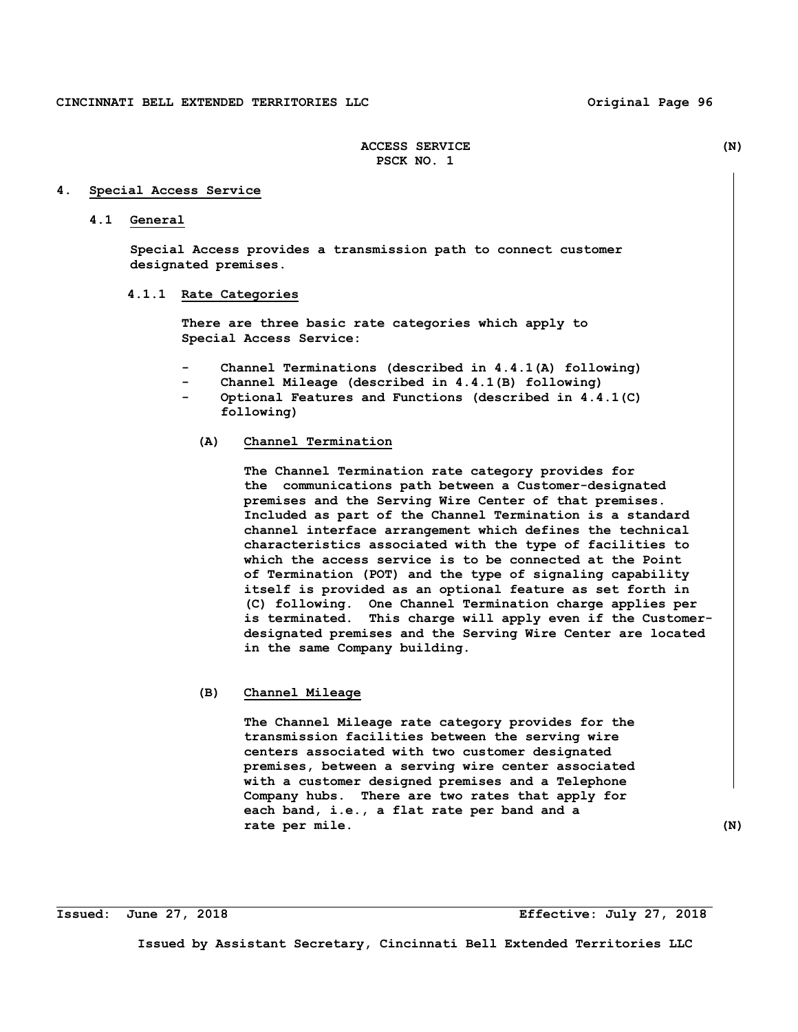### **4. Special Access Service**

#### **4.1 General**

 **Special Access provides a transmission path to connect customer designated premises.** 

## **4.1.1 Rate Categories**

 **There are three basic rate categories which apply to Special Access Service:** 

- Channel Terminations (described in 4.4.1(A) following)
- Channel Mileage (described in 4.4.1(B) following)
- **Optional Features and Functions (described in 4.4.1(C) following)**

### **(A) Channel Termination**

**The Channel Termination rate category provides for the communications path between a Customer-designated premises and the Serving Wire Center of that premises. Included as part of the Channel Termination is a standard channel interface arrangement which defines the technical characteristics associated with the type of facilities to which the access service is to be connected at the Point of Termination (POT) and the type of signaling capability itself is provided as an optional feature as set forth in (C) following. One Channel Termination charge applies per is terminated. This charge will apply even if the Customerdesignated premises and the Serving Wire Center are located in the same Company building.** 

## **(B) Channel Mileage**

 **The Channel Mileage rate category provides for the transmission facilities between the serving wire centers associated with two customer designated premises, between a serving wire center associated with a customer designed premises and a Telephone Company hubs. There are two rates that apply for each band, i.e., a flat rate per band and a rate per mile. (N)**